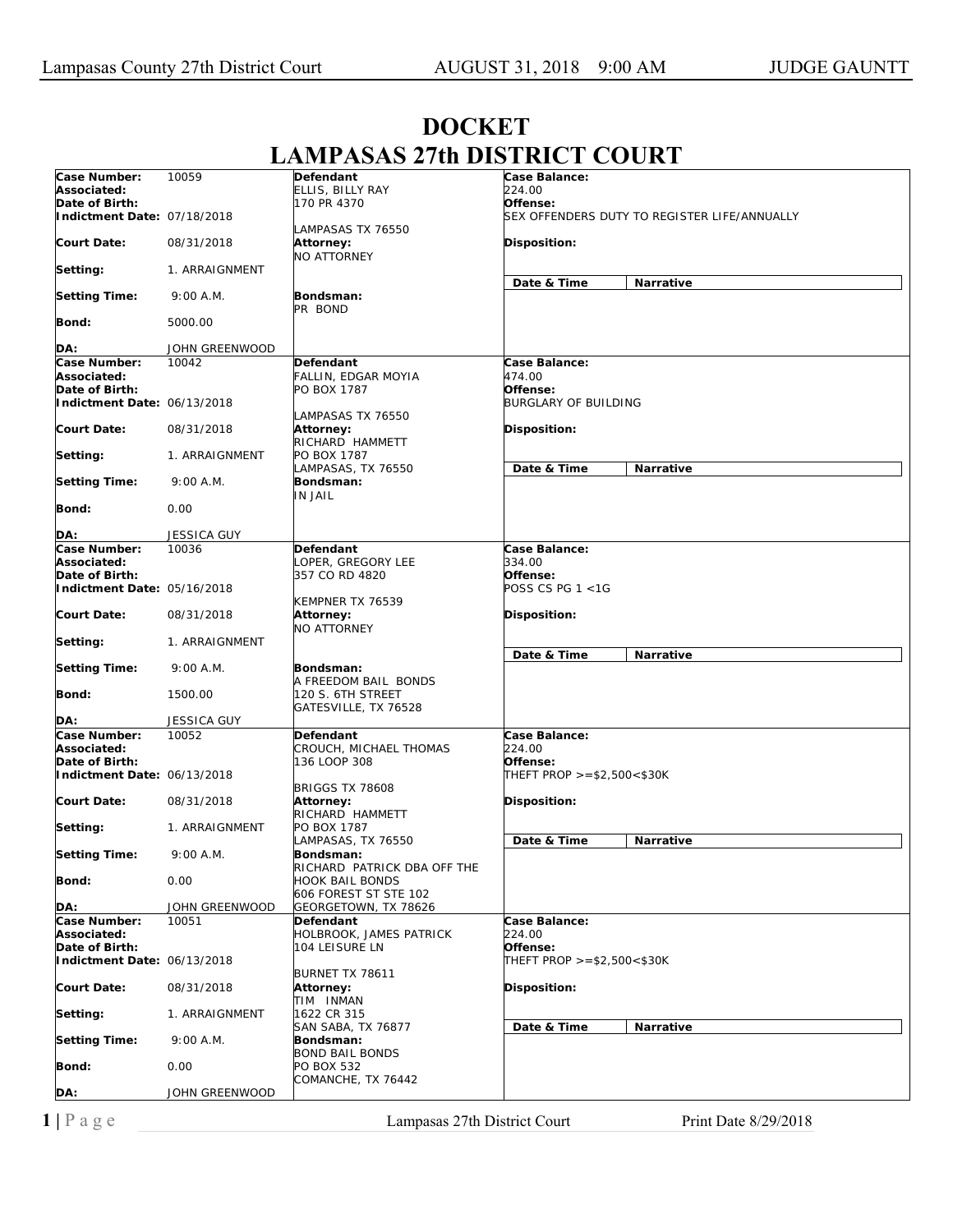## **DOCKET LAMPASAS 27th DISTRICT COURT**

| Case Number:                | 10059              | Defendant                                           | Case Balance:               |                                              |
|-----------------------------|--------------------|-----------------------------------------------------|-----------------------------|----------------------------------------------|
| Associated:                 |                    | ELLIS, BILLY RAY                                    | 224.00                      |                                              |
| Date of Birth:              |                    | 170 PR 4370                                         | Offense:                    | SEX OFFENDERS DUTY TO REGISTER LIFE/ANNUALLY |
| Indictment Date: 07/18/2018 |                    | LAMPASAS TX 76550                                   |                             |                                              |
| <b>Court Date:</b>          | 08/31/2018         | Attorney:<br><b>NO ATTORNEY</b>                     | Disposition:                |                                              |
| Setting:                    | 1. ARRAIGNMENT     |                                                     | Date & Time                 | <b>Narrative</b>                             |
| <b>Setting Time:</b>        | 9:00 A.M.          | Bondsman:<br>PR BOND                                |                             |                                              |
| Bond:                       | 5000.00            |                                                     |                             |                                              |
| DA:                         | JOHN GREENWOOD     |                                                     |                             |                                              |
| Case Number:                | 10042              | <b>Defendant</b>                                    | Case Balance:               |                                              |
| Associated:                 |                    | FALLIN, EDGAR MOYIA                                 | 474.00                      |                                              |
| Date of Birth:              |                    | PO BOX 1787                                         | Offense:                    |                                              |
| Indictment Date: 06/13/2018 |                    |                                                     | <b>BURGLARY OF BUILDING</b> |                                              |
|                             |                    | LAMPASAS TX 76550                                   |                             |                                              |
| <b>Court Date:</b>          | 08/31/2018         | Attorney:                                           | Disposition:                |                                              |
|                             |                    | RICHARD HAMMETT<br>PO BOX 1787                      |                             |                                              |
| Setting:                    | 1. ARRAIGNMENT     | LAMPASAS, TX 76550                                  | Date & Time                 | <b>Narrative</b>                             |
| <b>Setting Time:</b>        | 9:00 A.M.          | Bondsman:                                           |                             |                                              |
|                             |                    | IN JAIL                                             |                             |                                              |
| Bond:                       | 0.00               |                                                     |                             |                                              |
| DA:                         | <b>JESSICA GUY</b> |                                                     |                             |                                              |
| Case Number:                | 10036              | Defendant                                           | Case Balance:               |                                              |
| Associated:                 |                    | LOPER, GREGORY LEE                                  | 334.00                      |                                              |
| Date of Birth:              |                    | 357 CO RD 4820                                      | Offense:                    |                                              |
| Indictment Date: 05/16/2018 |                    |                                                     | POSS CS PG 1 <1G            |                                              |
| <b>Court Date:</b>          | 08/31/2018         | KEMPNER TX 76539<br>Attorney:<br><b>NO ATTORNEY</b> | Disposition:                |                                              |
| Setting:                    | 1. ARRAIGNMENT     |                                                     |                             |                                              |
|                             |                    |                                                     | Date & Time                 | <b>Narrative</b>                             |
| <b>Setting Time:</b>        | 9:00 A.M.          | Bondsman:                                           |                             |                                              |
|                             |                    | A FREEDOM BAIL BONDS                                |                             |                                              |
| Bond:                       | 1500.00            | 120 S. 6TH STREET<br>GATESVILLE, TX 76528           |                             |                                              |
| DA:                         | JESSICA GUY        |                                                     |                             |                                              |
| Case Number:                | 10052              | Defendant                                           | Case Balance:               |                                              |
| Associated:                 |                    | CROUCH, MICHAEL THOMAS                              | 224.00                      |                                              |
| Date of Birth:              |                    | 136 LOOP 308                                        | Offense:                    |                                              |
| Indictment Date: 06/13/2018 |                    |                                                     | THEFT PROP >=\$2,500<\$30K  |                                              |
|                             |                    | <b>BRIGGS TX 78608</b>                              |                             |                                              |
| <b>Court Date:</b>          | 08/31/2018         | <b>Attorney:</b>                                    | Disposition:                |                                              |
|                             |                    | RICHARD HAMMETT<br>PO BOX 1787                      |                             |                                              |
| Setting:                    | 1. ARRAIGNMENT     | LAMPASAS, TX 76550                                  | Date & Time                 | Narrative                                    |
| <b>Setting Time:</b>        | 9:00 A.M.          | Bondsman:                                           |                             |                                              |
|                             |                    | RICHARD PATRICK DBA OFF THE                         |                             |                                              |
| Bond:                       | 0.00               | <b>HOOK BAIL BONDS</b>                              |                             |                                              |
|                             | JOHN GREENWOOD     | 606 FOREST ST STE 102                               |                             |                                              |
| DA:<br>Case Number:         | 10051              | GEORGETOWN, TX 78626<br>Defendant                   | Case Balance:               |                                              |
| Associated:                 |                    | HOLBROOK, JAMES PATRICK                             | 224.00                      |                                              |
| Date of Birth:              |                    | 104 LEISURE LN                                      | Offense:                    |                                              |
| Indictment Date: 06/13/2018 |                    |                                                     | THEFT PROP >=\$2,500<\$30K  |                                              |
|                             |                    | BURNET TX 78611                                     |                             |                                              |
| <b>Court Date:</b>          | 08/31/2018         | Attorney:                                           | Disposition:                |                                              |
|                             |                    | TIM INMAN                                           |                             |                                              |
| Setting:                    | 1. ARRAIGNMENT     | 1622 CR 315                                         |                             |                                              |
|                             | 9:00 A.M.          | SAN SABA, TX 76877                                  | Date & Time                 | Narrative                                    |
| <b>Setting Time:</b>        |                    | Bondsman:<br><b>BOND BAIL BONDS</b>                 |                             |                                              |
| Bond:                       | 0.00               | PO BOX 532                                          |                             |                                              |
|                             |                    | COMANCHE, TX 76442                                  |                             |                                              |
| DA:                         | JOHN GREENWOOD     |                                                     |                             |                                              |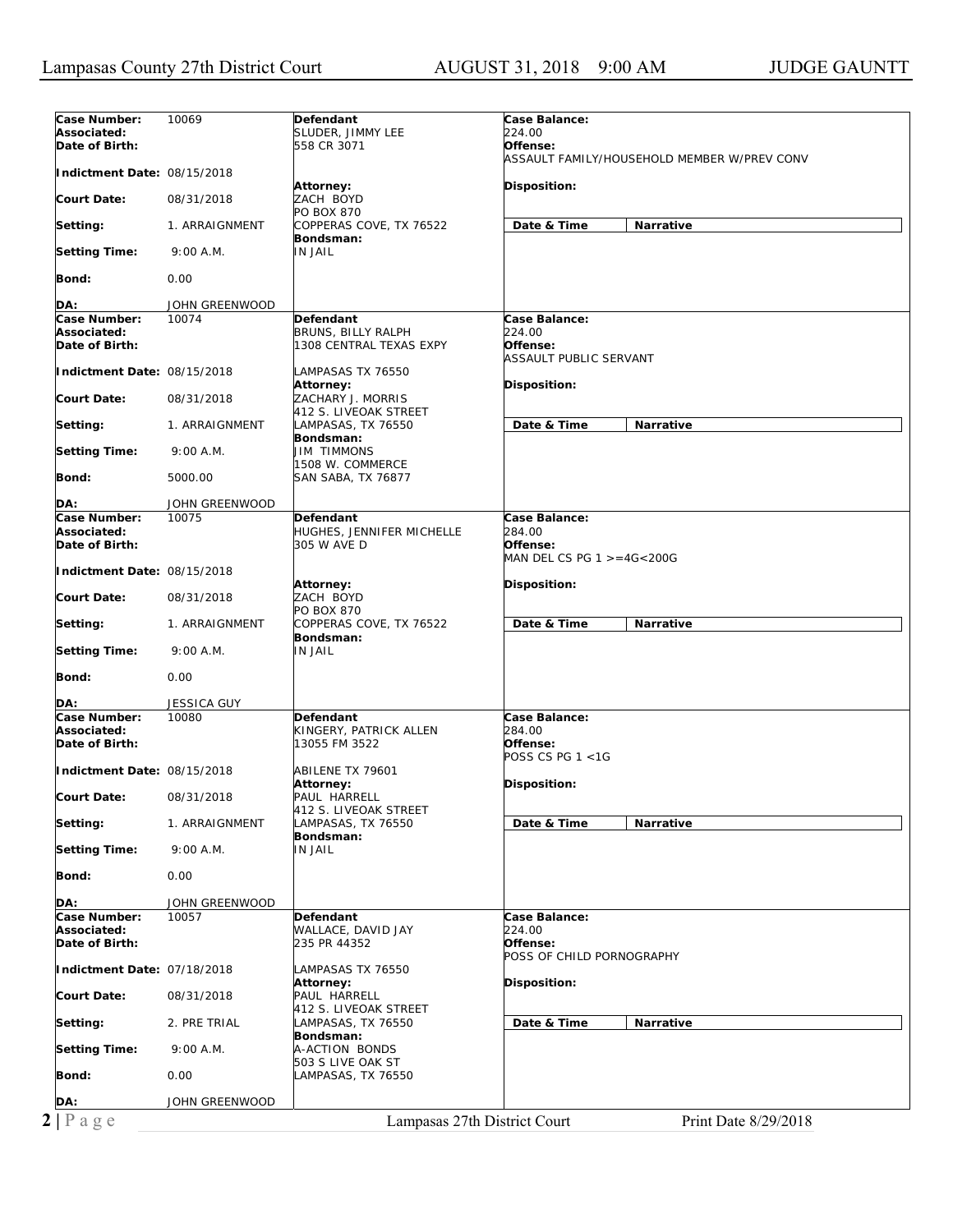| Case Number:                | 10069          | Defendant                    | Case Balance:                               |
|-----------------------------|----------------|------------------------------|---------------------------------------------|
| Associated:                 |                | SLUDER, JIMMY LEE            | 224.00                                      |
| Date of Birth:              |                | 558 CR 3071                  | Offense:                                    |
|                             |                |                              | ASSAULT FAMILY/HOUSEHOLD MEMBER W/PREV CONV |
|                             |                |                              |                                             |
| Indictment Date: 08/15/2018 |                |                              |                                             |
|                             |                | Attorney:                    | Disposition:                                |
| Court Date:                 | 08/31/2018     | ZACH BOYD                    |                                             |
|                             |                | PO BOX 870                   |                                             |
| Setting:                    | 1. ARRAIGNMENT | COPPERAS COVE, TX 76522      | Date & Time<br>Narrative                    |
|                             |                | Bondsman:                    |                                             |
| <b>Setting Time:</b>        | 9:00 A.M.      | <b>IN JAIL</b>               |                                             |
|                             |                |                              |                                             |
| Bond:                       | 0.00           |                              |                                             |
|                             |                |                              |                                             |
| DA:                         | JOHN GREENWOOD |                              |                                             |
| Case Number:                | 10074          | Defendant                    | Case Balance:                               |
| Associated:                 |                | BRUNS, BILLY RALPH           | 224.00                                      |
| Date of Birth:              |                | 1308 CENTRAL TEXAS EXPY      | Offense:                                    |
|                             |                |                              | ASSAULT PUBLIC SERVANT                      |
|                             |                |                              |                                             |
| Indictment Date: 08/15/2018 |                | LAMPASAS TX 76550            |                                             |
|                             |                | Attorney:                    | <b>Disposition:</b>                         |
| Court Date:                 | 08/31/2018     | ZACHARY J. MORRIS            |                                             |
|                             |                | 412 S. LIVEOAK STREET        |                                             |
| Setting:                    | 1. ARRAIGNMENT | LAMPASAS, TX 76550           | Date & Time<br><b>Narrative</b>             |
|                             |                | Bondsman:                    |                                             |
| <b>Setting Time:</b>        | 9:00 A.M.      | JIM TIMMONS                  |                                             |
|                             |                | 1508 W. COMMERCE             |                                             |
| <b>Bond:</b>                | 5000.00        | SAN SABA, TX 76877           |                                             |
|                             |                |                              |                                             |
| DA:                         | JOHN GREENWOOD |                              |                                             |
|                             |                |                              |                                             |
| Case Number:                | 10075          | Defendant                    | Case Balance:                               |
| Associated:                 |                | HUGHES, JENNIFER MICHELLE    | 284.00                                      |
| Date of Birth:              |                | 305 W AVE D                  | Offense:                                    |
|                             |                |                              | MAN DEL CS PG 1 >=4G<200G                   |
| Indictment Date: 08/15/2018 |                |                              |                                             |
|                             |                | Attorney:                    | <b>Disposition:</b>                         |
| Court Date:                 | 08/31/2018     | ZACH BOYD                    |                                             |
|                             |                | PO BOX 870                   |                                             |
| Setting:                    | 1. ARRAIGNMENT | COPPERAS COVE, TX 76522      | Date & Time<br>Narrative                    |
|                             |                | Bondsman:                    |                                             |
| <b>Setting Time:</b>        | 9:00 A.M.      | IN JAIL                      |                                             |
|                             |                |                              |                                             |
| Bond:                       | 0.00           |                              |                                             |
|                             |                |                              |                                             |
|                             |                |                              |                                             |
| DA:                         | JESSICA GUY    |                              |                                             |
| Case Number:                | 10080          | <b>Defendant</b>             | Case Balance:                               |
| Associated:                 |                | KINGERY, PATRICK ALLEN       | 284.00                                      |
| Date of Birth:              |                | 13055 FM 3522                | Offense:                                    |
|                             |                |                              | POSS CS PG 1 <1G                            |
| Indictment Date: 08/15/2018 |                | ABILENE TX 79601             |                                             |
|                             |                | Attorney:                    | Disposition:                                |
| Court Date:                 | 08/31/2018     | PAUL HARRELL                 |                                             |
|                             |                | 412 S. LIVEOAK STREET        |                                             |
| Setting:                    | 1. ARRAIGNMENT | LAMPASAS, TX 76550           | Date & Time<br>Narrative                    |
|                             |                | Bondsman:                    |                                             |
| <b>Setting Time:</b>        | 9:00 A.M.      | IN JAIL                      |                                             |
|                             |                |                              |                                             |
| Bond:                       |                |                              |                                             |
|                             | 0.00           |                              |                                             |
|                             |                |                              |                                             |
| DA:                         | JOHN GREENWOOD |                              |                                             |
| Case Number:                | 10057          | Defendant                    | Case Balance:                               |
| Associated:                 |                | WALLACE, DAVID JAY           | 224.00                                      |
| Date of Birth:              |                | 235 PR 44352                 | Offense:                                    |
|                             |                |                              | POSS OF CHILD PORNOGRAPHY                   |
| Indictment Date: 07/18/2018 |                | LAMPASAS TX 76550            |                                             |
|                             |                | Attorney:                    | <b>Disposition:</b>                         |
| <b>Court Date:</b>          | 08/31/2018     | PAUL HARRELL                 |                                             |
|                             |                | 412 S. LIVEOAK STREET        |                                             |
| Setting:                    | 2. PRE TRIAL   | LAMPASAS, TX 76550           | Date & Time<br>Narrative                    |
|                             |                | Bondsman:                    |                                             |
|                             |                |                              |                                             |
|                             |                |                              |                                             |
| <b>Setting Time:</b>        | 9:00 A.M.      | A-ACTION BONDS               |                                             |
|                             |                | 503 S LIVE OAK ST            |                                             |
| Bond:                       | 0.00           | LAMPASAS, TX 76550           |                                             |
|                             |                |                              |                                             |
| DA:                         | JOHN GREENWOOD |                              |                                             |
| $2 P \text{ age}$           |                | Lampasas 27th District Court | Print Date 8/29/2018                        |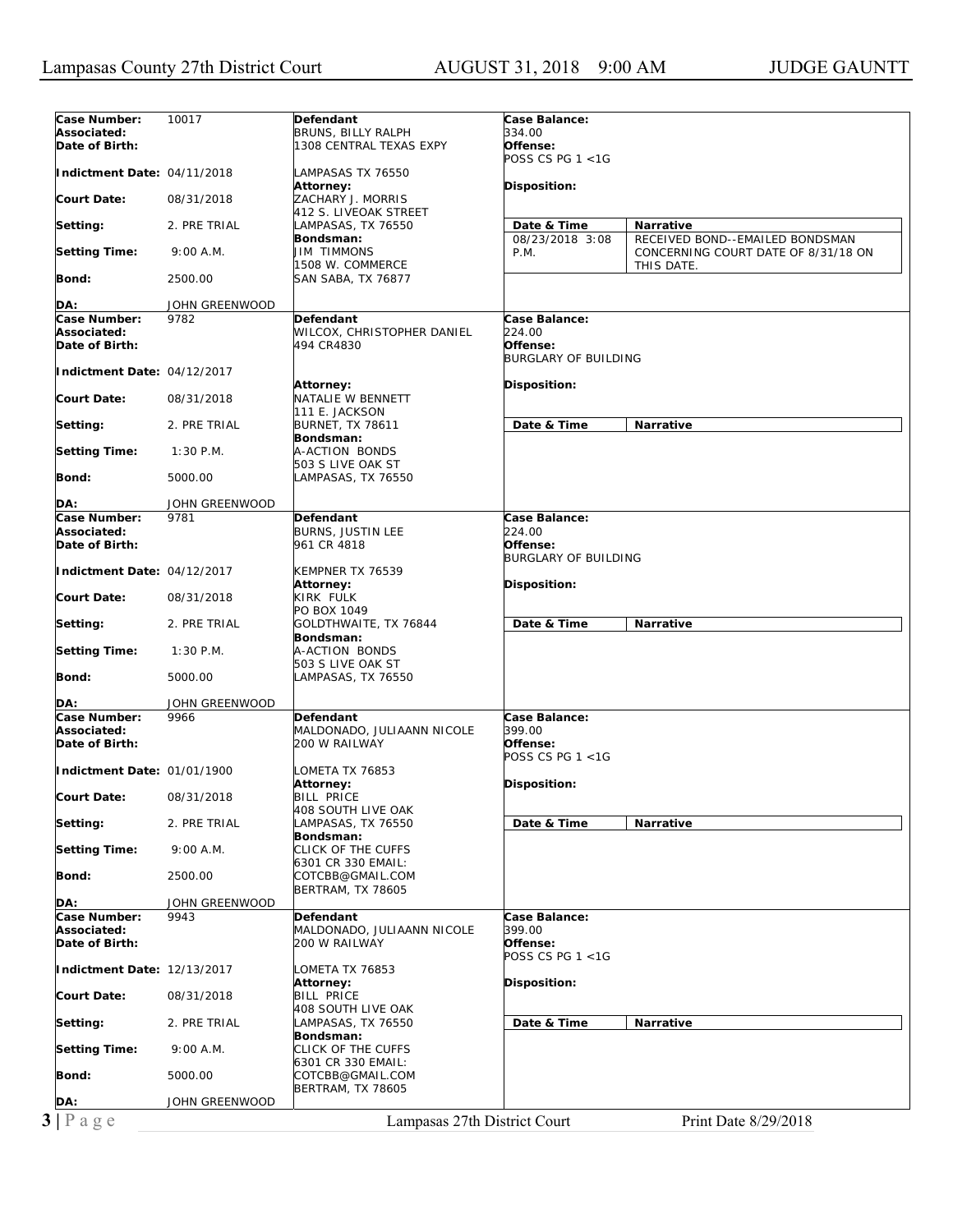| Associated:<br>BRUNS, BILLY RALPH<br>334.00<br>Date of Birth:<br>1308 CENTRAL TEXAS EXPY<br>Offense:<br>POSS CS PG 1 <1G<br>Indictment Date: 04/11/2018<br>LAMPASAS TX 76550<br><b>Disposition:</b><br>Attorney:<br><b>Court Date:</b><br>08/31/2018<br>ZACHARY J. MORRIS<br>412 S. LIVEOAK STREET<br>2. PRE TRIAL<br>Date & Time<br>Setting:<br>LAMPASAS, TX 76550<br>Narrative<br>Bondsman:<br>08/23/2018 3:08<br>RECEIVED BOND--EMAILED BONDSMAN<br><b>JIM TIMMONS</b><br><b>Setting Time:</b><br>9:00 A.M.<br>P.M.<br>CONCERNING COURT DATE OF 8/31/18 ON<br>1508 W. COMMERCE<br>THIS DATE.<br>Bond:<br>2500.00<br>SAN SABA, TX 76877<br>JOHN GREENWOOD<br>DA:<br>Case Number:<br>9782<br>Case Balance:<br>Defendant<br>Associated:<br>WILCOX, CHRISTOPHER DANIEL<br><i>224.00</i><br>Date of Birth:<br>Offense:<br>494 CR4830<br><b>BURGLARY OF BUILDING</b><br>Indictment Date: 04/12/2017<br>Disposition:<br>Attorney:<br>NATALIE W BENNETT<br><b>Court Date:</b><br>08/31/2018<br>111 E. JACKSON<br>Date & Time<br>Setting:<br>2. PRE TRIAL<br><b>BURNET, TX 78611</b><br><b>Narrative</b><br>Bondsman:<br>A-ACTION BONDS<br><b>Setting Time:</b><br>$1:30$ P.M.<br>503 S LIVE OAK ST<br>Bond:<br>5000.00<br>LAMPASAS, TX 76550<br>JOHN GREENWOOD<br>DA:<br>Case Number:<br>9781<br>Defendant<br>Case Balance:<br>Associated:<br>BURNS, JUSTIN LEE<br>224.00<br>Date of Birth:<br>Offense:<br>961 CR 4818<br><b>BURGLARY OF BUILDING</b><br>Indictment Date: 04/12/2017<br>KEMPNER TX 76539<br>Disposition:<br>Attorney:<br>KIRK FULK<br><b>Court Date:</b><br>08/31/2018<br>PO BOX 1049<br>Date & Time<br>Narrative<br>2. PRE TRIAL<br>GOLDTHWAITE, TX 76844<br>Setting:<br>Bondsman:<br><b>Setting Time:</b><br>$1:30$ P.M.<br>A-ACTION BONDS<br>503 S LIVE OAK ST<br>Bond:<br>5000.00<br>LAMPASAS, TX 76550<br>DA:<br>JOHN GREENWOOD<br>Case Number:<br>9966<br><b>Defendant</b><br>Case Balance:<br>Associated:<br>MALDONADO, JULIAANN NICOLE<br>399.00<br>Date of Birth:<br>200 W RAILWAY<br>Offense:<br>POSS CS PG 1 <1G<br>Indictment Date: 01/01/1900<br>LOMETA TX 76853<br>Attorney:<br>Disposition:<br><b>BILL PRICE</b><br><b>Court Date:</b><br>08/31/2018<br>408 SOUTH LIVE OAK<br>Date & Time<br>Setting:<br>2. PRE TRIAL<br>LAMPASAS, TX 76550<br>Narrative<br>Bondsman:<br>CLICK OF THE CUFFS<br><b>Setting Time:</b><br>9:00 A.M.<br>6301 CR 330 EMAIL:<br>Bond:<br>2500.00<br>COTCBB@GMAIL.COM<br><b>BERTRAM, TX 78605</b><br>DA:<br>JOHN GREENWOOD<br>Case Number:<br>9943<br>Defendant<br><b>Case Balance:</b><br>MALDONADO, JULIAANN NICOLE<br>399.00<br>Associated:<br>Date of Birth:<br>200 W RAILWAY<br>Offense:<br>POSS CS PG 1 <1G<br>Indictment Date: 12/13/2017<br>LOMETA TX 76853<br><b>Attorney:</b><br>Disposition:<br><b>Court Date:</b><br>08/31/2018<br><b>BILL PRICE</b><br>408 SOUTH LIVE OAK<br>Date & Time<br>2. PRE TRIAL<br>LAMPASAS, TX 76550<br>Narrative<br>Setting:<br>Bondsman:<br>CLICK OF THE CUFFS<br><b>Setting Time:</b><br>9:00 A.M.<br>6301 CR 330 EMAIL:<br>Bond:<br>5000.00<br>COTCBB@GMAIL.COM<br><b>BERTRAM, TX 78605</b><br>JOHN GREENWOOD<br>DA:<br>$3 P \text{ a } g e$<br>Lampasas 27th District Court<br>Print Date 8/29/2018 | Case Number: | 10017 | Defendant | Case Balance: |  |
|----------------------------------------------------------------------------------------------------------------------------------------------------------------------------------------------------------------------------------------------------------------------------------------------------------------------------------------------------------------------------------------------------------------------------------------------------------------------------------------------------------------------------------------------------------------------------------------------------------------------------------------------------------------------------------------------------------------------------------------------------------------------------------------------------------------------------------------------------------------------------------------------------------------------------------------------------------------------------------------------------------------------------------------------------------------------------------------------------------------------------------------------------------------------------------------------------------------------------------------------------------------------------------------------------------------------------------------------------------------------------------------------------------------------------------------------------------------------------------------------------------------------------------------------------------------------------------------------------------------------------------------------------------------------------------------------------------------------------------------------------------------------------------------------------------------------------------------------------------------------------------------------------------------------------------------------------------------------------------------------------------------------------------------------------------------------------------------------------------------------------------------------------------------------------------------------------------------------------------------------------------------------------------------------------------------------------------------------------------------------------------------------------------------------------------------------------------------------------------------------------------------------------------------------------------------------------------------------------------------------------------------------------------------------------------------------------------------------------------------------------------------------------------------------------------------------------------------------------------------------------------------------------------------------------------------------------------------------------------------------------------------------------------------------------------------------------------------------------------------------------------------------------------------------------------------------------|--------------|-------|-----------|---------------|--|
|                                                                                                                                                                                                                                                                                                                                                                                                                                                                                                                                                                                                                                                                                                                                                                                                                                                                                                                                                                                                                                                                                                                                                                                                                                                                                                                                                                                                                                                                                                                                                                                                                                                                                                                                                                                                                                                                                                                                                                                                                                                                                                                                                                                                                                                                                                                                                                                                                                                                                                                                                                                                                                                                                                                                                                                                                                                                                                                                                                                                                                                                                                                                                                                                    |              |       |           |               |  |
|                                                                                                                                                                                                                                                                                                                                                                                                                                                                                                                                                                                                                                                                                                                                                                                                                                                                                                                                                                                                                                                                                                                                                                                                                                                                                                                                                                                                                                                                                                                                                                                                                                                                                                                                                                                                                                                                                                                                                                                                                                                                                                                                                                                                                                                                                                                                                                                                                                                                                                                                                                                                                                                                                                                                                                                                                                                                                                                                                                                                                                                                                                                                                                                                    |              |       |           |               |  |
|                                                                                                                                                                                                                                                                                                                                                                                                                                                                                                                                                                                                                                                                                                                                                                                                                                                                                                                                                                                                                                                                                                                                                                                                                                                                                                                                                                                                                                                                                                                                                                                                                                                                                                                                                                                                                                                                                                                                                                                                                                                                                                                                                                                                                                                                                                                                                                                                                                                                                                                                                                                                                                                                                                                                                                                                                                                                                                                                                                                                                                                                                                                                                                                                    |              |       |           |               |  |
|                                                                                                                                                                                                                                                                                                                                                                                                                                                                                                                                                                                                                                                                                                                                                                                                                                                                                                                                                                                                                                                                                                                                                                                                                                                                                                                                                                                                                                                                                                                                                                                                                                                                                                                                                                                                                                                                                                                                                                                                                                                                                                                                                                                                                                                                                                                                                                                                                                                                                                                                                                                                                                                                                                                                                                                                                                                                                                                                                                                                                                                                                                                                                                                                    |              |       |           |               |  |
|                                                                                                                                                                                                                                                                                                                                                                                                                                                                                                                                                                                                                                                                                                                                                                                                                                                                                                                                                                                                                                                                                                                                                                                                                                                                                                                                                                                                                                                                                                                                                                                                                                                                                                                                                                                                                                                                                                                                                                                                                                                                                                                                                                                                                                                                                                                                                                                                                                                                                                                                                                                                                                                                                                                                                                                                                                                                                                                                                                                                                                                                                                                                                                                                    |              |       |           |               |  |
|                                                                                                                                                                                                                                                                                                                                                                                                                                                                                                                                                                                                                                                                                                                                                                                                                                                                                                                                                                                                                                                                                                                                                                                                                                                                                                                                                                                                                                                                                                                                                                                                                                                                                                                                                                                                                                                                                                                                                                                                                                                                                                                                                                                                                                                                                                                                                                                                                                                                                                                                                                                                                                                                                                                                                                                                                                                                                                                                                                                                                                                                                                                                                                                                    |              |       |           |               |  |
|                                                                                                                                                                                                                                                                                                                                                                                                                                                                                                                                                                                                                                                                                                                                                                                                                                                                                                                                                                                                                                                                                                                                                                                                                                                                                                                                                                                                                                                                                                                                                                                                                                                                                                                                                                                                                                                                                                                                                                                                                                                                                                                                                                                                                                                                                                                                                                                                                                                                                                                                                                                                                                                                                                                                                                                                                                                                                                                                                                                                                                                                                                                                                                                                    |              |       |           |               |  |
|                                                                                                                                                                                                                                                                                                                                                                                                                                                                                                                                                                                                                                                                                                                                                                                                                                                                                                                                                                                                                                                                                                                                                                                                                                                                                                                                                                                                                                                                                                                                                                                                                                                                                                                                                                                                                                                                                                                                                                                                                                                                                                                                                                                                                                                                                                                                                                                                                                                                                                                                                                                                                                                                                                                                                                                                                                                                                                                                                                                                                                                                                                                                                                                                    |              |       |           |               |  |
|                                                                                                                                                                                                                                                                                                                                                                                                                                                                                                                                                                                                                                                                                                                                                                                                                                                                                                                                                                                                                                                                                                                                                                                                                                                                                                                                                                                                                                                                                                                                                                                                                                                                                                                                                                                                                                                                                                                                                                                                                                                                                                                                                                                                                                                                                                                                                                                                                                                                                                                                                                                                                                                                                                                                                                                                                                                                                                                                                                                                                                                                                                                                                                                                    |              |       |           |               |  |
|                                                                                                                                                                                                                                                                                                                                                                                                                                                                                                                                                                                                                                                                                                                                                                                                                                                                                                                                                                                                                                                                                                                                                                                                                                                                                                                                                                                                                                                                                                                                                                                                                                                                                                                                                                                                                                                                                                                                                                                                                                                                                                                                                                                                                                                                                                                                                                                                                                                                                                                                                                                                                                                                                                                                                                                                                                                                                                                                                                                                                                                                                                                                                                                                    |              |       |           |               |  |
|                                                                                                                                                                                                                                                                                                                                                                                                                                                                                                                                                                                                                                                                                                                                                                                                                                                                                                                                                                                                                                                                                                                                                                                                                                                                                                                                                                                                                                                                                                                                                                                                                                                                                                                                                                                                                                                                                                                                                                                                                                                                                                                                                                                                                                                                                                                                                                                                                                                                                                                                                                                                                                                                                                                                                                                                                                                                                                                                                                                                                                                                                                                                                                                                    |              |       |           |               |  |
|                                                                                                                                                                                                                                                                                                                                                                                                                                                                                                                                                                                                                                                                                                                                                                                                                                                                                                                                                                                                                                                                                                                                                                                                                                                                                                                                                                                                                                                                                                                                                                                                                                                                                                                                                                                                                                                                                                                                                                                                                                                                                                                                                                                                                                                                                                                                                                                                                                                                                                                                                                                                                                                                                                                                                                                                                                                                                                                                                                                                                                                                                                                                                                                                    |              |       |           |               |  |
|                                                                                                                                                                                                                                                                                                                                                                                                                                                                                                                                                                                                                                                                                                                                                                                                                                                                                                                                                                                                                                                                                                                                                                                                                                                                                                                                                                                                                                                                                                                                                                                                                                                                                                                                                                                                                                                                                                                                                                                                                                                                                                                                                                                                                                                                                                                                                                                                                                                                                                                                                                                                                                                                                                                                                                                                                                                                                                                                                                                                                                                                                                                                                                                                    |              |       |           |               |  |
|                                                                                                                                                                                                                                                                                                                                                                                                                                                                                                                                                                                                                                                                                                                                                                                                                                                                                                                                                                                                                                                                                                                                                                                                                                                                                                                                                                                                                                                                                                                                                                                                                                                                                                                                                                                                                                                                                                                                                                                                                                                                                                                                                                                                                                                                                                                                                                                                                                                                                                                                                                                                                                                                                                                                                                                                                                                                                                                                                                                                                                                                                                                                                                                                    |              |       |           |               |  |
|                                                                                                                                                                                                                                                                                                                                                                                                                                                                                                                                                                                                                                                                                                                                                                                                                                                                                                                                                                                                                                                                                                                                                                                                                                                                                                                                                                                                                                                                                                                                                                                                                                                                                                                                                                                                                                                                                                                                                                                                                                                                                                                                                                                                                                                                                                                                                                                                                                                                                                                                                                                                                                                                                                                                                                                                                                                                                                                                                                                                                                                                                                                                                                                                    |              |       |           |               |  |
|                                                                                                                                                                                                                                                                                                                                                                                                                                                                                                                                                                                                                                                                                                                                                                                                                                                                                                                                                                                                                                                                                                                                                                                                                                                                                                                                                                                                                                                                                                                                                                                                                                                                                                                                                                                                                                                                                                                                                                                                                                                                                                                                                                                                                                                                                                                                                                                                                                                                                                                                                                                                                                                                                                                                                                                                                                                                                                                                                                                                                                                                                                                                                                                                    |              |       |           |               |  |
|                                                                                                                                                                                                                                                                                                                                                                                                                                                                                                                                                                                                                                                                                                                                                                                                                                                                                                                                                                                                                                                                                                                                                                                                                                                                                                                                                                                                                                                                                                                                                                                                                                                                                                                                                                                                                                                                                                                                                                                                                                                                                                                                                                                                                                                                                                                                                                                                                                                                                                                                                                                                                                                                                                                                                                                                                                                                                                                                                                                                                                                                                                                                                                                                    |              |       |           |               |  |
|                                                                                                                                                                                                                                                                                                                                                                                                                                                                                                                                                                                                                                                                                                                                                                                                                                                                                                                                                                                                                                                                                                                                                                                                                                                                                                                                                                                                                                                                                                                                                                                                                                                                                                                                                                                                                                                                                                                                                                                                                                                                                                                                                                                                                                                                                                                                                                                                                                                                                                                                                                                                                                                                                                                                                                                                                                                                                                                                                                                                                                                                                                                                                                                                    |              |       |           |               |  |
|                                                                                                                                                                                                                                                                                                                                                                                                                                                                                                                                                                                                                                                                                                                                                                                                                                                                                                                                                                                                                                                                                                                                                                                                                                                                                                                                                                                                                                                                                                                                                                                                                                                                                                                                                                                                                                                                                                                                                                                                                                                                                                                                                                                                                                                                                                                                                                                                                                                                                                                                                                                                                                                                                                                                                                                                                                                                                                                                                                                                                                                                                                                                                                                                    |              |       |           |               |  |
|                                                                                                                                                                                                                                                                                                                                                                                                                                                                                                                                                                                                                                                                                                                                                                                                                                                                                                                                                                                                                                                                                                                                                                                                                                                                                                                                                                                                                                                                                                                                                                                                                                                                                                                                                                                                                                                                                                                                                                                                                                                                                                                                                                                                                                                                                                                                                                                                                                                                                                                                                                                                                                                                                                                                                                                                                                                                                                                                                                                                                                                                                                                                                                                                    |              |       |           |               |  |
|                                                                                                                                                                                                                                                                                                                                                                                                                                                                                                                                                                                                                                                                                                                                                                                                                                                                                                                                                                                                                                                                                                                                                                                                                                                                                                                                                                                                                                                                                                                                                                                                                                                                                                                                                                                                                                                                                                                                                                                                                                                                                                                                                                                                                                                                                                                                                                                                                                                                                                                                                                                                                                                                                                                                                                                                                                                                                                                                                                                                                                                                                                                                                                                                    |              |       |           |               |  |
|                                                                                                                                                                                                                                                                                                                                                                                                                                                                                                                                                                                                                                                                                                                                                                                                                                                                                                                                                                                                                                                                                                                                                                                                                                                                                                                                                                                                                                                                                                                                                                                                                                                                                                                                                                                                                                                                                                                                                                                                                                                                                                                                                                                                                                                                                                                                                                                                                                                                                                                                                                                                                                                                                                                                                                                                                                                                                                                                                                                                                                                                                                                                                                                                    |              |       |           |               |  |
|                                                                                                                                                                                                                                                                                                                                                                                                                                                                                                                                                                                                                                                                                                                                                                                                                                                                                                                                                                                                                                                                                                                                                                                                                                                                                                                                                                                                                                                                                                                                                                                                                                                                                                                                                                                                                                                                                                                                                                                                                                                                                                                                                                                                                                                                                                                                                                                                                                                                                                                                                                                                                                                                                                                                                                                                                                                                                                                                                                                                                                                                                                                                                                                                    |              |       |           |               |  |
|                                                                                                                                                                                                                                                                                                                                                                                                                                                                                                                                                                                                                                                                                                                                                                                                                                                                                                                                                                                                                                                                                                                                                                                                                                                                                                                                                                                                                                                                                                                                                                                                                                                                                                                                                                                                                                                                                                                                                                                                                                                                                                                                                                                                                                                                                                                                                                                                                                                                                                                                                                                                                                                                                                                                                                                                                                                                                                                                                                                                                                                                                                                                                                                                    |              |       |           |               |  |
|                                                                                                                                                                                                                                                                                                                                                                                                                                                                                                                                                                                                                                                                                                                                                                                                                                                                                                                                                                                                                                                                                                                                                                                                                                                                                                                                                                                                                                                                                                                                                                                                                                                                                                                                                                                                                                                                                                                                                                                                                                                                                                                                                                                                                                                                                                                                                                                                                                                                                                                                                                                                                                                                                                                                                                                                                                                                                                                                                                                                                                                                                                                                                                                                    |              |       |           |               |  |
|                                                                                                                                                                                                                                                                                                                                                                                                                                                                                                                                                                                                                                                                                                                                                                                                                                                                                                                                                                                                                                                                                                                                                                                                                                                                                                                                                                                                                                                                                                                                                                                                                                                                                                                                                                                                                                                                                                                                                                                                                                                                                                                                                                                                                                                                                                                                                                                                                                                                                                                                                                                                                                                                                                                                                                                                                                                                                                                                                                                                                                                                                                                                                                                                    |              |       |           |               |  |
|                                                                                                                                                                                                                                                                                                                                                                                                                                                                                                                                                                                                                                                                                                                                                                                                                                                                                                                                                                                                                                                                                                                                                                                                                                                                                                                                                                                                                                                                                                                                                                                                                                                                                                                                                                                                                                                                                                                                                                                                                                                                                                                                                                                                                                                                                                                                                                                                                                                                                                                                                                                                                                                                                                                                                                                                                                                                                                                                                                                                                                                                                                                                                                                                    |              |       |           |               |  |
|                                                                                                                                                                                                                                                                                                                                                                                                                                                                                                                                                                                                                                                                                                                                                                                                                                                                                                                                                                                                                                                                                                                                                                                                                                                                                                                                                                                                                                                                                                                                                                                                                                                                                                                                                                                                                                                                                                                                                                                                                                                                                                                                                                                                                                                                                                                                                                                                                                                                                                                                                                                                                                                                                                                                                                                                                                                                                                                                                                                                                                                                                                                                                                                                    |              |       |           |               |  |
|                                                                                                                                                                                                                                                                                                                                                                                                                                                                                                                                                                                                                                                                                                                                                                                                                                                                                                                                                                                                                                                                                                                                                                                                                                                                                                                                                                                                                                                                                                                                                                                                                                                                                                                                                                                                                                                                                                                                                                                                                                                                                                                                                                                                                                                                                                                                                                                                                                                                                                                                                                                                                                                                                                                                                                                                                                                                                                                                                                                                                                                                                                                                                                                                    |              |       |           |               |  |
|                                                                                                                                                                                                                                                                                                                                                                                                                                                                                                                                                                                                                                                                                                                                                                                                                                                                                                                                                                                                                                                                                                                                                                                                                                                                                                                                                                                                                                                                                                                                                                                                                                                                                                                                                                                                                                                                                                                                                                                                                                                                                                                                                                                                                                                                                                                                                                                                                                                                                                                                                                                                                                                                                                                                                                                                                                                                                                                                                                                                                                                                                                                                                                                                    |              |       |           |               |  |
|                                                                                                                                                                                                                                                                                                                                                                                                                                                                                                                                                                                                                                                                                                                                                                                                                                                                                                                                                                                                                                                                                                                                                                                                                                                                                                                                                                                                                                                                                                                                                                                                                                                                                                                                                                                                                                                                                                                                                                                                                                                                                                                                                                                                                                                                                                                                                                                                                                                                                                                                                                                                                                                                                                                                                                                                                                                                                                                                                                                                                                                                                                                                                                                                    |              |       |           |               |  |
|                                                                                                                                                                                                                                                                                                                                                                                                                                                                                                                                                                                                                                                                                                                                                                                                                                                                                                                                                                                                                                                                                                                                                                                                                                                                                                                                                                                                                                                                                                                                                                                                                                                                                                                                                                                                                                                                                                                                                                                                                                                                                                                                                                                                                                                                                                                                                                                                                                                                                                                                                                                                                                                                                                                                                                                                                                                                                                                                                                                                                                                                                                                                                                                                    |              |       |           |               |  |
|                                                                                                                                                                                                                                                                                                                                                                                                                                                                                                                                                                                                                                                                                                                                                                                                                                                                                                                                                                                                                                                                                                                                                                                                                                                                                                                                                                                                                                                                                                                                                                                                                                                                                                                                                                                                                                                                                                                                                                                                                                                                                                                                                                                                                                                                                                                                                                                                                                                                                                                                                                                                                                                                                                                                                                                                                                                                                                                                                                                                                                                                                                                                                                                                    |              |       |           |               |  |
|                                                                                                                                                                                                                                                                                                                                                                                                                                                                                                                                                                                                                                                                                                                                                                                                                                                                                                                                                                                                                                                                                                                                                                                                                                                                                                                                                                                                                                                                                                                                                                                                                                                                                                                                                                                                                                                                                                                                                                                                                                                                                                                                                                                                                                                                                                                                                                                                                                                                                                                                                                                                                                                                                                                                                                                                                                                                                                                                                                                                                                                                                                                                                                                                    |              |       |           |               |  |
|                                                                                                                                                                                                                                                                                                                                                                                                                                                                                                                                                                                                                                                                                                                                                                                                                                                                                                                                                                                                                                                                                                                                                                                                                                                                                                                                                                                                                                                                                                                                                                                                                                                                                                                                                                                                                                                                                                                                                                                                                                                                                                                                                                                                                                                                                                                                                                                                                                                                                                                                                                                                                                                                                                                                                                                                                                                                                                                                                                                                                                                                                                                                                                                                    |              |       |           |               |  |
|                                                                                                                                                                                                                                                                                                                                                                                                                                                                                                                                                                                                                                                                                                                                                                                                                                                                                                                                                                                                                                                                                                                                                                                                                                                                                                                                                                                                                                                                                                                                                                                                                                                                                                                                                                                                                                                                                                                                                                                                                                                                                                                                                                                                                                                                                                                                                                                                                                                                                                                                                                                                                                                                                                                                                                                                                                                                                                                                                                                                                                                                                                                                                                                                    |              |       |           |               |  |
|                                                                                                                                                                                                                                                                                                                                                                                                                                                                                                                                                                                                                                                                                                                                                                                                                                                                                                                                                                                                                                                                                                                                                                                                                                                                                                                                                                                                                                                                                                                                                                                                                                                                                                                                                                                                                                                                                                                                                                                                                                                                                                                                                                                                                                                                                                                                                                                                                                                                                                                                                                                                                                                                                                                                                                                                                                                                                                                                                                                                                                                                                                                                                                                                    |              |       |           |               |  |
|                                                                                                                                                                                                                                                                                                                                                                                                                                                                                                                                                                                                                                                                                                                                                                                                                                                                                                                                                                                                                                                                                                                                                                                                                                                                                                                                                                                                                                                                                                                                                                                                                                                                                                                                                                                                                                                                                                                                                                                                                                                                                                                                                                                                                                                                                                                                                                                                                                                                                                                                                                                                                                                                                                                                                                                                                                                                                                                                                                                                                                                                                                                                                                                                    |              |       |           |               |  |
|                                                                                                                                                                                                                                                                                                                                                                                                                                                                                                                                                                                                                                                                                                                                                                                                                                                                                                                                                                                                                                                                                                                                                                                                                                                                                                                                                                                                                                                                                                                                                                                                                                                                                                                                                                                                                                                                                                                                                                                                                                                                                                                                                                                                                                                                                                                                                                                                                                                                                                                                                                                                                                                                                                                                                                                                                                                                                                                                                                                                                                                                                                                                                                                                    |              |       |           |               |  |
|                                                                                                                                                                                                                                                                                                                                                                                                                                                                                                                                                                                                                                                                                                                                                                                                                                                                                                                                                                                                                                                                                                                                                                                                                                                                                                                                                                                                                                                                                                                                                                                                                                                                                                                                                                                                                                                                                                                                                                                                                                                                                                                                                                                                                                                                                                                                                                                                                                                                                                                                                                                                                                                                                                                                                                                                                                                                                                                                                                                                                                                                                                                                                                                                    |              |       |           |               |  |
|                                                                                                                                                                                                                                                                                                                                                                                                                                                                                                                                                                                                                                                                                                                                                                                                                                                                                                                                                                                                                                                                                                                                                                                                                                                                                                                                                                                                                                                                                                                                                                                                                                                                                                                                                                                                                                                                                                                                                                                                                                                                                                                                                                                                                                                                                                                                                                                                                                                                                                                                                                                                                                                                                                                                                                                                                                                                                                                                                                                                                                                                                                                                                                                                    |              |       |           |               |  |
|                                                                                                                                                                                                                                                                                                                                                                                                                                                                                                                                                                                                                                                                                                                                                                                                                                                                                                                                                                                                                                                                                                                                                                                                                                                                                                                                                                                                                                                                                                                                                                                                                                                                                                                                                                                                                                                                                                                                                                                                                                                                                                                                                                                                                                                                                                                                                                                                                                                                                                                                                                                                                                                                                                                                                                                                                                                                                                                                                                                                                                                                                                                                                                                                    |              |       |           |               |  |
|                                                                                                                                                                                                                                                                                                                                                                                                                                                                                                                                                                                                                                                                                                                                                                                                                                                                                                                                                                                                                                                                                                                                                                                                                                                                                                                                                                                                                                                                                                                                                                                                                                                                                                                                                                                                                                                                                                                                                                                                                                                                                                                                                                                                                                                                                                                                                                                                                                                                                                                                                                                                                                                                                                                                                                                                                                                                                                                                                                                                                                                                                                                                                                                                    |              |       |           |               |  |
|                                                                                                                                                                                                                                                                                                                                                                                                                                                                                                                                                                                                                                                                                                                                                                                                                                                                                                                                                                                                                                                                                                                                                                                                                                                                                                                                                                                                                                                                                                                                                                                                                                                                                                                                                                                                                                                                                                                                                                                                                                                                                                                                                                                                                                                                                                                                                                                                                                                                                                                                                                                                                                                                                                                                                                                                                                                                                                                                                                                                                                                                                                                                                                                                    |              |       |           |               |  |
|                                                                                                                                                                                                                                                                                                                                                                                                                                                                                                                                                                                                                                                                                                                                                                                                                                                                                                                                                                                                                                                                                                                                                                                                                                                                                                                                                                                                                                                                                                                                                                                                                                                                                                                                                                                                                                                                                                                                                                                                                                                                                                                                                                                                                                                                                                                                                                                                                                                                                                                                                                                                                                                                                                                                                                                                                                                                                                                                                                                                                                                                                                                                                                                                    |              |       |           |               |  |
|                                                                                                                                                                                                                                                                                                                                                                                                                                                                                                                                                                                                                                                                                                                                                                                                                                                                                                                                                                                                                                                                                                                                                                                                                                                                                                                                                                                                                                                                                                                                                                                                                                                                                                                                                                                                                                                                                                                                                                                                                                                                                                                                                                                                                                                                                                                                                                                                                                                                                                                                                                                                                                                                                                                                                                                                                                                                                                                                                                                                                                                                                                                                                                                                    |              |       |           |               |  |
|                                                                                                                                                                                                                                                                                                                                                                                                                                                                                                                                                                                                                                                                                                                                                                                                                                                                                                                                                                                                                                                                                                                                                                                                                                                                                                                                                                                                                                                                                                                                                                                                                                                                                                                                                                                                                                                                                                                                                                                                                                                                                                                                                                                                                                                                                                                                                                                                                                                                                                                                                                                                                                                                                                                                                                                                                                                                                                                                                                                                                                                                                                                                                                                                    |              |       |           |               |  |
|                                                                                                                                                                                                                                                                                                                                                                                                                                                                                                                                                                                                                                                                                                                                                                                                                                                                                                                                                                                                                                                                                                                                                                                                                                                                                                                                                                                                                                                                                                                                                                                                                                                                                                                                                                                                                                                                                                                                                                                                                                                                                                                                                                                                                                                                                                                                                                                                                                                                                                                                                                                                                                                                                                                                                                                                                                                                                                                                                                                                                                                                                                                                                                                                    |              |       |           |               |  |
|                                                                                                                                                                                                                                                                                                                                                                                                                                                                                                                                                                                                                                                                                                                                                                                                                                                                                                                                                                                                                                                                                                                                                                                                                                                                                                                                                                                                                                                                                                                                                                                                                                                                                                                                                                                                                                                                                                                                                                                                                                                                                                                                                                                                                                                                                                                                                                                                                                                                                                                                                                                                                                                                                                                                                                                                                                                                                                                                                                                                                                                                                                                                                                                                    |              |       |           |               |  |
|                                                                                                                                                                                                                                                                                                                                                                                                                                                                                                                                                                                                                                                                                                                                                                                                                                                                                                                                                                                                                                                                                                                                                                                                                                                                                                                                                                                                                                                                                                                                                                                                                                                                                                                                                                                                                                                                                                                                                                                                                                                                                                                                                                                                                                                                                                                                                                                                                                                                                                                                                                                                                                                                                                                                                                                                                                                                                                                                                                                                                                                                                                                                                                                                    |              |       |           |               |  |
|                                                                                                                                                                                                                                                                                                                                                                                                                                                                                                                                                                                                                                                                                                                                                                                                                                                                                                                                                                                                                                                                                                                                                                                                                                                                                                                                                                                                                                                                                                                                                                                                                                                                                                                                                                                                                                                                                                                                                                                                                                                                                                                                                                                                                                                                                                                                                                                                                                                                                                                                                                                                                                                                                                                                                                                                                                                                                                                                                                                                                                                                                                                                                                                                    |              |       |           |               |  |
|                                                                                                                                                                                                                                                                                                                                                                                                                                                                                                                                                                                                                                                                                                                                                                                                                                                                                                                                                                                                                                                                                                                                                                                                                                                                                                                                                                                                                                                                                                                                                                                                                                                                                                                                                                                                                                                                                                                                                                                                                                                                                                                                                                                                                                                                                                                                                                                                                                                                                                                                                                                                                                                                                                                                                                                                                                                                                                                                                                                                                                                                                                                                                                                                    |              |       |           |               |  |
|                                                                                                                                                                                                                                                                                                                                                                                                                                                                                                                                                                                                                                                                                                                                                                                                                                                                                                                                                                                                                                                                                                                                                                                                                                                                                                                                                                                                                                                                                                                                                                                                                                                                                                                                                                                                                                                                                                                                                                                                                                                                                                                                                                                                                                                                                                                                                                                                                                                                                                                                                                                                                                                                                                                                                                                                                                                                                                                                                                                                                                                                                                                                                                                                    |              |       |           |               |  |
|                                                                                                                                                                                                                                                                                                                                                                                                                                                                                                                                                                                                                                                                                                                                                                                                                                                                                                                                                                                                                                                                                                                                                                                                                                                                                                                                                                                                                                                                                                                                                                                                                                                                                                                                                                                                                                                                                                                                                                                                                                                                                                                                                                                                                                                                                                                                                                                                                                                                                                                                                                                                                                                                                                                                                                                                                                                                                                                                                                                                                                                                                                                                                                                                    |              |       |           |               |  |
|                                                                                                                                                                                                                                                                                                                                                                                                                                                                                                                                                                                                                                                                                                                                                                                                                                                                                                                                                                                                                                                                                                                                                                                                                                                                                                                                                                                                                                                                                                                                                                                                                                                                                                                                                                                                                                                                                                                                                                                                                                                                                                                                                                                                                                                                                                                                                                                                                                                                                                                                                                                                                                                                                                                                                                                                                                                                                                                                                                                                                                                                                                                                                                                                    |              |       |           |               |  |
|                                                                                                                                                                                                                                                                                                                                                                                                                                                                                                                                                                                                                                                                                                                                                                                                                                                                                                                                                                                                                                                                                                                                                                                                                                                                                                                                                                                                                                                                                                                                                                                                                                                                                                                                                                                                                                                                                                                                                                                                                                                                                                                                                                                                                                                                                                                                                                                                                                                                                                                                                                                                                                                                                                                                                                                                                                                                                                                                                                                                                                                                                                                                                                                                    |              |       |           |               |  |
|                                                                                                                                                                                                                                                                                                                                                                                                                                                                                                                                                                                                                                                                                                                                                                                                                                                                                                                                                                                                                                                                                                                                                                                                                                                                                                                                                                                                                                                                                                                                                                                                                                                                                                                                                                                                                                                                                                                                                                                                                                                                                                                                                                                                                                                                                                                                                                                                                                                                                                                                                                                                                                                                                                                                                                                                                                                                                                                                                                                                                                                                                                                                                                                                    |              |       |           |               |  |
|                                                                                                                                                                                                                                                                                                                                                                                                                                                                                                                                                                                                                                                                                                                                                                                                                                                                                                                                                                                                                                                                                                                                                                                                                                                                                                                                                                                                                                                                                                                                                                                                                                                                                                                                                                                                                                                                                                                                                                                                                                                                                                                                                                                                                                                                                                                                                                                                                                                                                                                                                                                                                                                                                                                                                                                                                                                                                                                                                                                                                                                                                                                                                                                                    |              |       |           |               |  |
|                                                                                                                                                                                                                                                                                                                                                                                                                                                                                                                                                                                                                                                                                                                                                                                                                                                                                                                                                                                                                                                                                                                                                                                                                                                                                                                                                                                                                                                                                                                                                                                                                                                                                                                                                                                                                                                                                                                                                                                                                                                                                                                                                                                                                                                                                                                                                                                                                                                                                                                                                                                                                                                                                                                                                                                                                                                                                                                                                                                                                                                                                                                                                                                                    |              |       |           |               |  |
|                                                                                                                                                                                                                                                                                                                                                                                                                                                                                                                                                                                                                                                                                                                                                                                                                                                                                                                                                                                                                                                                                                                                                                                                                                                                                                                                                                                                                                                                                                                                                                                                                                                                                                                                                                                                                                                                                                                                                                                                                                                                                                                                                                                                                                                                                                                                                                                                                                                                                                                                                                                                                                                                                                                                                                                                                                                                                                                                                                                                                                                                                                                                                                                                    |              |       |           |               |  |
|                                                                                                                                                                                                                                                                                                                                                                                                                                                                                                                                                                                                                                                                                                                                                                                                                                                                                                                                                                                                                                                                                                                                                                                                                                                                                                                                                                                                                                                                                                                                                                                                                                                                                                                                                                                                                                                                                                                                                                                                                                                                                                                                                                                                                                                                                                                                                                                                                                                                                                                                                                                                                                                                                                                                                                                                                                                                                                                                                                                                                                                                                                                                                                                                    |              |       |           |               |  |
|                                                                                                                                                                                                                                                                                                                                                                                                                                                                                                                                                                                                                                                                                                                                                                                                                                                                                                                                                                                                                                                                                                                                                                                                                                                                                                                                                                                                                                                                                                                                                                                                                                                                                                                                                                                                                                                                                                                                                                                                                                                                                                                                                                                                                                                                                                                                                                                                                                                                                                                                                                                                                                                                                                                                                                                                                                                                                                                                                                                                                                                                                                                                                                                                    |              |       |           |               |  |
|                                                                                                                                                                                                                                                                                                                                                                                                                                                                                                                                                                                                                                                                                                                                                                                                                                                                                                                                                                                                                                                                                                                                                                                                                                                                                                                                                                                                                                                                                                                                                                                                                                                                                                                                                                                                                                                                                                                                                                                                                                                                                                                                                                                                                                                                                                                                                                                                                                                                                                                                                                                                                                                                                                                                                                                                                                                                                                                                                                                                                                                                                                                                                                                                    |              |       |           |               |  |
|                                                                                                                                                                                                                                                                                                                                                                                                                                                                                                                                                                                                                                                                                                                                                                                                                                                                                                                                                                                                                                                                                                                                                                                                                                                                                                                                                                                                                                                                                                                                                                                                                                                                                                                                                                                                                                                                                                                                                                                                                                                                                                                                                                                                                                                                                                                                                                                                                                                                                                                                                                                                                                                                                                                                                                                                                                                                                                                                                                                                                                                                                                                                                                                                    |              |       |           |               |  |
|                                                                                                                                                                                                                                                                                                                                                                                                                                                                                                                                                                                                                                                                                                                                                                                                                                                                                                                                                                                                                                                                                                                                                                                                                                                                                                                                                                                                                                                                                                                                                                                                                                                                                                                                                                                                                                                                                                                                                                                                                                                                                                                                                                                                                                                                                                                                                                                                                                                                                                                                                                                                                                                                                                                                                                                                                                                                                                                                                                                                                                                                                                                                                                                                    |              |       |           |               |  |
|                                                                                                                                                                                                                                                                                                                                                                                                                                                                                                                                                                                                                                                                                                                                                                                                                                                                                                                                                                                                                                                                                                                                                                                                                                                                                                                                                                                                                                                                                                                                                                                                                                                                                                                                                                                                                                                                                                                                                                                                                                                                                                                                                                                                                                                                                                                                                                                                                                                                                                                                                                                                                                                                                                                                                                                                                                                                                                                                                                                                                                                                                                                                                                                                    |              |       |           |               |  |
|                                                                                                                                                                                                                                                                                                                                                                                                                                                                                                                                                                                                                                                                                                                                                                                                                                                                                                                                                                                                                                                                                                                                                                                                                                                                                                                                                                                                                                                                                                                                                                                                                                                                                                                                                                                                                                                                                                                                                                                                                                                                                                                                                                                                                                                                                                                                                                                                                                                                                                                                                                                                                                                                                                                                                                                                                                                                                                                                                                                                                                                                                                                                                                                                    |              |       |           |               |  |
|                                                                                                                                                                                                                                                                                                                                                                                                                                                                                                                                                                                                                                                                                                                                                                                                                                                                                                                                                                                                                                                                                                                                                                                                                                                                                                                                                                                                                                                                                                                                                                                                                                                                                                                                                                                                                                                                                                                                                                                                                                                                                                                                                                                                                                                                                                                                                                                                                                                                                                                                                                                                                                                                                                                                                                                                                                                                                                                                                                                                                                                                                                                                                                                                    |              |       |           |               |  |
|                                                                                                                                                                                                                                                                                                                                                                                                                                                                                                                                                                                                                                                                                                                                                                                                                                                                                                                                                                                                                                                                                                                                                                                                                                                                                                                                                                                                                                                                                                                                                                                                                                                                                                                                                                                                                                                                                                                                                                                                                                                                                                                                                                                                                                                                                                                                                                                                                                                                                                                                                                                                                                                                                                                                                                                                                                                                                                                                                                                                                                                                                                                                                                                                    |              |       |           |               |  |
|                                                                                                                                                                                                                                                                                                                                                                                                                                                                                                                                                                                                                                                                                                                                                                                                                                                                                                                                                                                                                                                                                                                                                                                                                                                                                                                                                                                                                                                                                                                                                                                                                                                                                                                                                                                                                                                                                                                                                                                                                                                                                                                                                                                                                                                                                                                                                                                                                                                                                                                                                                                                                                                                                                                                                                                                                                                                                                                                                                                                                                                                                                                                                                                                    |              |       |           |               |  |
|                                                                                                                                                                                                                                                                                                                                                                                                                                                                                                                                                                                                                                                                                                                                                                                                                                                                                                                                                                                                                                                                                                                                                                                                                                                                                                                                                                                                                                                                                                                                                                                                                                                                                                                                                                                                                                                                                                                                                                                                                                                                                                                                                                                                                                                                                                                                                                                                                                                                                                                                                                                                                                                                                                                                                                                                                                                                                                                                                                                                                                                                                                                                                                                                    |              |       |           |               |  |
|                                                                                                                                                                                                                                                                                                                                                                                                                                                                                                                                                                                                                                                                                                                                                                                                                                                                                                                                                                                                                                                                                                                                                                                                                                                                                                                                                                                                                                                                                                                                                                                                                                                                                                                                                                                                                                                                                                                                                                                                                                                                                                                                                                                                                                                                                                                                                                                                                                                                                                                                                                                                                                                                                                                                                                                                                                                                                                                                                                                                                                                                                                                                                                                                    |              |       |           |               |  |
|                                                                                                                                                                                                                                                                                                                                                                                                                                                                                                                                                                                                                                                                                                                                                                                                                                                                                                                                                                                                                                                                                                                                                                                                                                                                                                                                                                                                                                                                                                                                                                                                                                                                                                                                                                                                                                                                                                                                                                                                                                                                                                                                                                                                                                                                                                                                                                                                                                                                                                                                                                                                                                                                                                                                                                                                                                                                                                                                                                                                                                                                                                                                                                                                    |              |       |           |               |  |
|                                                                                                                                                                                                                                                                                                                                                                                                                                                                                                                                                                                                                                                                                                                                                                                                                                                                                                                                                                                                                                                                                                                                                                                                                                                                                                                                                                                                                                                                                                                                                                                                                                                                                                                                                                                                                                                                                                                                                                                                                                                                                                                                                                                                                                                                                                                                                                                                                                                                                                                                                                                                                                                                                                                                                                                                                                                                                                                                                                                                                                                                                                                                                                                                    |              |       |           |               |  |
|                                                                                                                                                                                                                                                                                                                                                                                                                                                                                                                                                                                                                                                                                                                                                                                                                                                                                                                                                                                                                                                                                                                                                                                                                                                                                                                                                                                                                                                                                                                                                                                                                                                                                                                                                                                                                                                                                                                                                                                                                                                                                                                                                                                                                                                                                                                                                                                                                                                                                                                                                                                                                                                                                                                                                                                                                                                                                                                                                                                                                                                                                                                                                                                                    |              |       |           |               |  |
|                                                                                                                                                                                                                                                                                                                                                                                                                                                                                                                                                                                                                                                                                                                                                                                                                                                                                                                                                                                                                                                                                                                                                                                                                                                                                                                                                                                                                                                                                                                                                                                                                                                                                                                                                                                                                                                                                                                                                                                                                                                                                                                                                                                                                                                                                                                                                                                                                                                                                                                                                                                                                                                                                                                                                                                                                                                                                                                                                                                                                                                                                                                                                                                                    |              |       |           |               |  |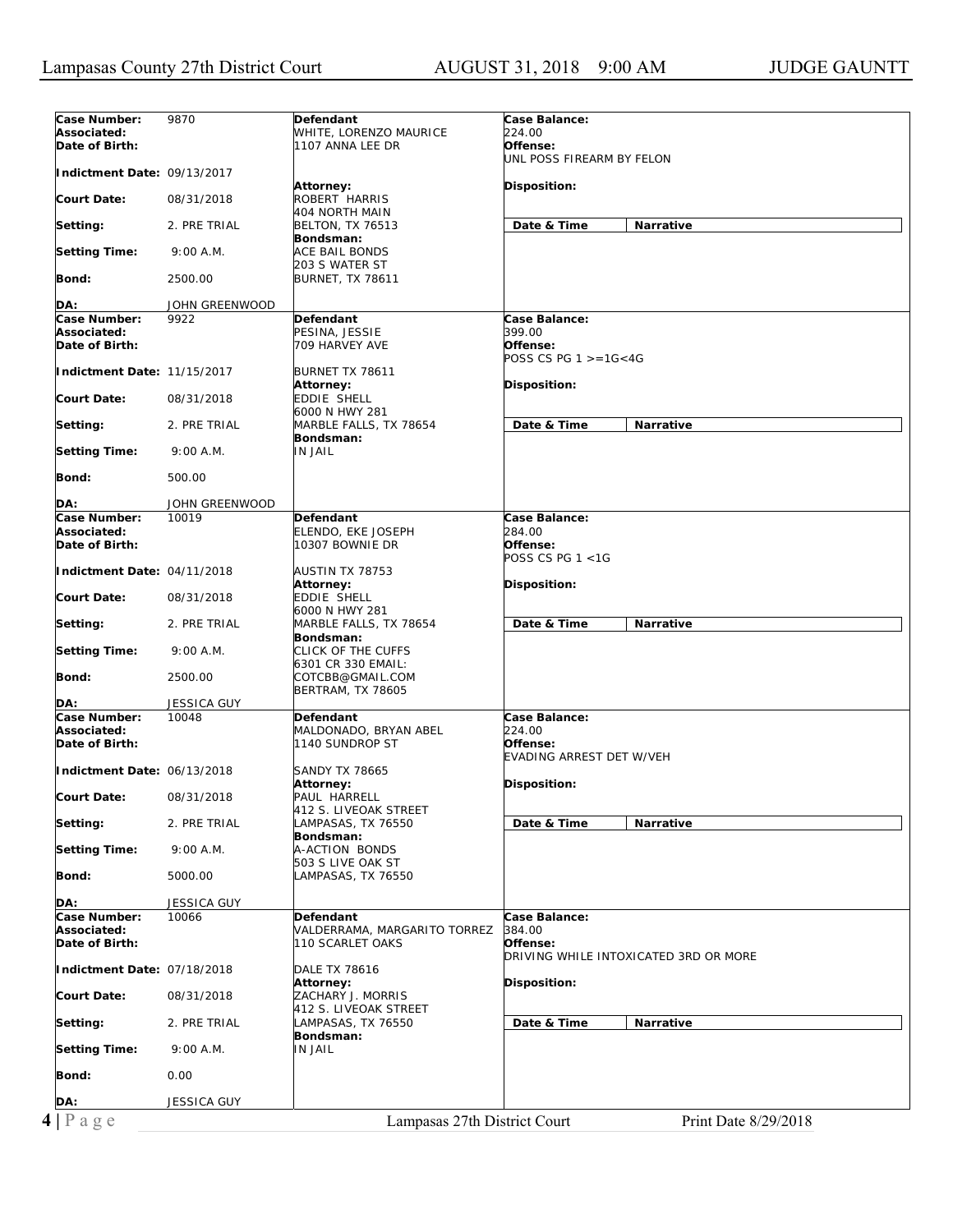| Case Number:                | 9870                    | Defendant                    | Case Balance:                         |
|-----------------------------|-------------------------|------------------------------|---------------------------------------|
| Associated:                 |                         | WHITE, LORENZO MAURICE       | 224.00                                |
| Date of Birth:              |                         | 1107 ANNA LEE DR             | Offense:                              |
|                             |                         |                              | UNL POSS FIREARM BY FELON             |
| Indictment Date: 09/13/2017 |                         |                              |                                       |
|                             |                         | Attorney:                    | <b>Disposition:</b>                   |
| <b>Court Date:</b>          | 08/31/2018              | ROBERT HARRIS                |                                       |
|                             |                         | 404 NORTH MAIN               |                                       |
| Setting:                    | 2. PRE TRIAL            | <b>BELTON, TX 76513</b>      | Date & Time<br>Narrative              |
|                             |                         | Bondsman:                    |                                       |
| <b>Setting Time:</b>        | 9:00 A.M.               | ACE BAIL BONDS               |                                       |
|                             |                         | 203 S WATER ST               |                                       |
| Bond:                       | 2500.00                 | <b>BURNET, TX 78611</b>      |                                       |
| DA:                         | JOHN GREENWOOD          |                              |                                       |
| Case Number:                | 9922                    | Defendant                    | Case Balance:                         |
| Associated:                 |                         | PESINA, JESSIE               | 399.00                                |
| Date of Birth:              |                         | 709 HARVEY AVE               | Offense:                              |
|                             |                         |                              | POSS CS PG $1 > = 16 < 4G$            |
| Indictment Date: 11/15/2017 |                         | BURNET TX 78611              |                                       |
|                             |                         | Attorney:                    | Disposition:                          |
| <b>Court Date:</b>          | 08/31/2018              | EDDIE SHELL                  |                                       |
|                             |                         | 6000 N HWY 281               |                                       |
| Setting:                    | 2. PRE TRIAL            | MARBLE FALLS, TX 78654       | Date & Time<br>Narrative              |
|                             |                         | Bondsman:                    |                                       |
| <b>Setting Time:</b>        | 9:00 A.M.               | <b>IN JAIL</b>               |                                       |
|                             |                         |                              |                                       |
| Bond:                       | 500.00                  |                              |                                       |
|                             |                         |                              |                                       |
| DA:<br>Case Number:         | JOHN GREENWOOD<br>10019 | Defendant                    | Case Balance:                         |
| Associated:                 |                         | ELENDO, EKE JOSEPH           | 284.00                                |
| Date of Birth:              |                         | 10307 BOWNIE DR              | Offense:                              |
|                             |                         |                              | POSS CS PG 1 <1G                      |
| Indictment Date: 04/11/2018 |                         | AUSTIN TX 78753              |                                       |
|                             |                         | Attorney:                    | Disposition:                          |
| <b>Court Date:</b>          | 08/31/2018              | EDDIE SHELL                  |                                       |
|                             |                         | 6000 N HWY 281               |                                       |
| Setting:                    | 2. PRE TRIAL            | MARBLE FALLS, TX 78654       | Date & Time<br>Narrative              |
|                             |                         | Bondsman:                    |                                       |
| <b>Setting Time:</b>        | 9:00 A.M.               | CLICK OF THE CUFFS           |                                       |
|                             |                         | 6301 CR 330 EMAIL:           |                                       |
| Bond:                       | 2500.00                 | COTCBB@GMAIL.COM             |                                       |
| DA:                         | <b>JESSICA GUY</b>      | <b>BERTRAM, TX 78605</b>     |                                       |
| Case Number:                | 10048                   | Defendant                    | Case Balance:                         |
| Associated:                 |                         | MALDONADO, BRYAN ABEL        | 224.00                                |
| Date of Birth:              |                         | 1140 SUNDROP ST              | Offense:                              |
|                             |                         |                              | EVADING ARREST DET W/VEH              |
| Indictment Date: 06/13/2018 |                         | <b>SANDY TX 78665</b>        |                                       |
|                             |                         | Attorney:                    | Disposition:                          |
| <b>Court Date:</b>          | 08/31/2018              | PAUL HARRELL                 |                                       |
|                             |                         | 412 S. LIVEOAK STREET        |                                       |
| Setting:                    | 2. PRE TRIAL            | LAMPASAS, TX 76550           | Date & Time<br>Narrative              |
|                             |                         | Bondsman:                    |                                       |
| <b>Setting Time:</b>        | 9:00 A.M.               | A-ACTION BONDS               |                                       |
|                             |                         | 503 S LIVE OAK ST            |                                       |
| Bond:                       | 5000.00                 | LAMPASAS, TX 76550           |                                       |
|                             |                         |                              |                                       |
| DA:<br>Case Number:         | JESSICA GUY             | Defendant                    |                                       |
| Associated:                 | 10066                   | VALDERRAMA, MARGARITO TORREZ | Case Balance:<br>384.00               |
| Date of Birth:              |                         | 110 SCARLET OAKS             | Offense:                              |
|                             |                         |                              | DRIVING WHILE INTOXICATED 3RD OR MORE |
| Indictment Date: 07/18/2018 |                         | <b>DALE TX 78616</b>         |                                       |
|                             |                         | <b>Attorney:</b>             | Disposition:                          |
| <b>Court Date:</b>          | 08/31/2018              | ZACHARY J. MORRIS            |                                       |
|                             |                         | 412 S. LIVEOAK STREET        |                                       |
|                             |                         |                              |                                       |
| Setting:                    | 2. PRE TRIAL            | LAMPASAS, TX 76550           | Date & Time<br>Narrative              |
|                             |                         | Bondsman:                    |                                       |
| <b>Setting Time:</b>        | 9:00 A.M.               | <b>IN JAIL</b>               |                                       |
|                             |                         |                              |                                       |
| Bond:                       | 0.00                    |                              |                                       |
|                             |                         |                              |                                       |
| DA:<br>$4$   P a g e        | <b>JESSICA GUY</b>      | Lampasas 27th District Court | Print Date 8/29/2018                  |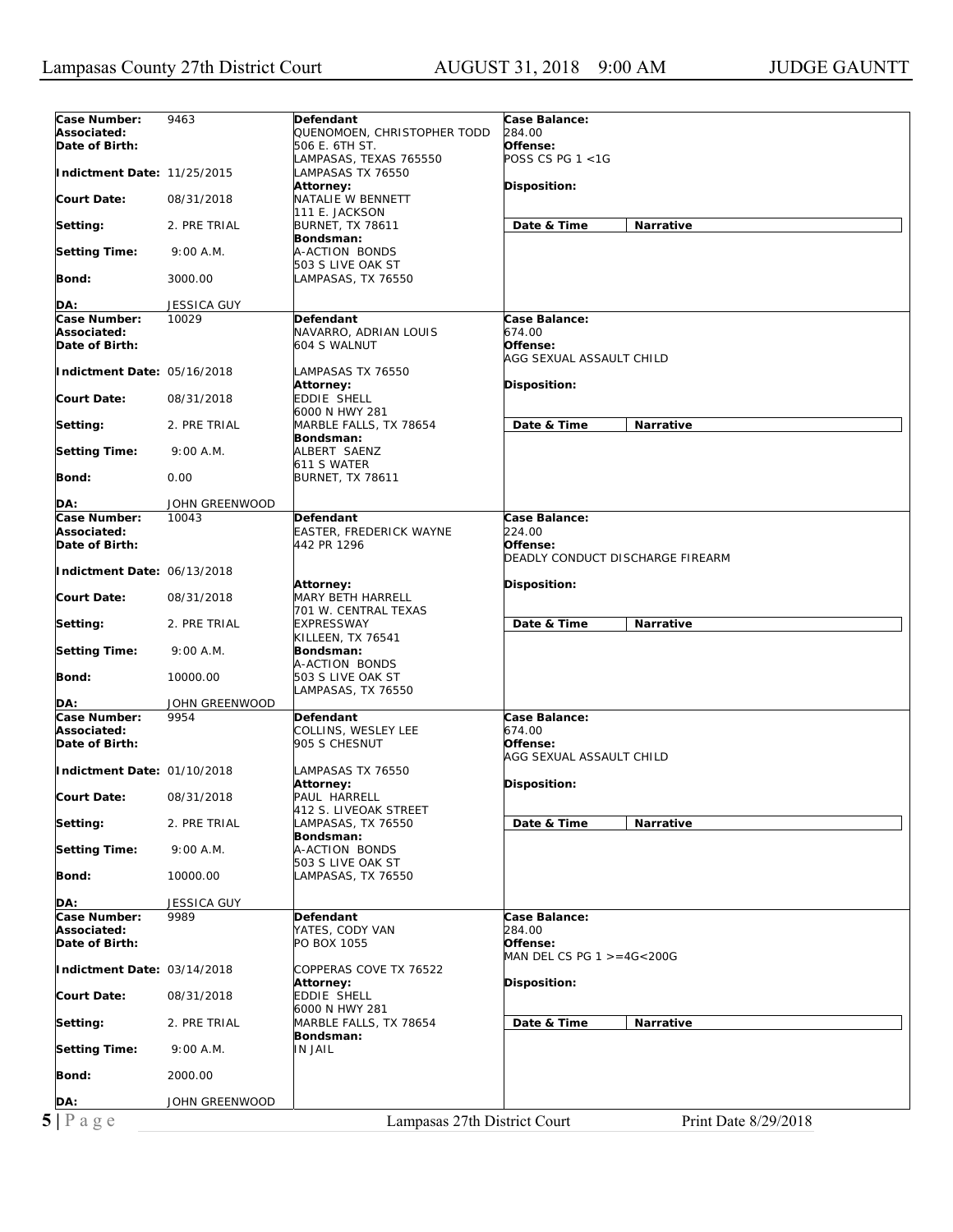| Case Number:<br>Associated:<br>Date of Birth:<br>Indictment Date: 11/25/2015<br><b>Court Date:</b><br>Setting:<br><b>Setting Time:</b><br>Bond:<br>DA:<br>Case Number:<br>Associated:<br>Date of Birth:<br>Indictment Date: 05/16/2018<br><b>Court Date:</b><br>Setting:<br><b>Setting Time:</b><br>Bond:<br>DA:<br>Case Number:<br>Associated:<br>Date of Birth:<br>Indictment Date: 06/13/2018<br><b>Court Date:</b><br>Setting:<br><b>Setting Time:</b><br>Bond:<br>DA:<br>Case Number:<br>9954<br>Associated:<br>Date of Birth:<br>Indictment Date: 01/10/2018<br><b>Court Date:</b><br>Setting:<br><b>Setting Time:</b><br>Bond:<br>DA:<br>Case Number:<br>Associated: | 9463<br>08/31/2018<br>2. PRE TRIAL<br>9:00 A.M.<br>3000.00<br>JESSICA GUY<br>10029<br>08/31/2018<br>2. PRE TRIAL<br>9:00 A.M.<br>0.00<br>JOHN GREENWOOD<br>10043 | Defendant<br>QUENOMOEN, CHRISTOPHER TODD<br>506 E. 6TH ST.<br>LAMPASAS, TEXAS 765550<br>LAMPASAS TX 76550<br><b>Attorney:</b><br>NATALIE W BENNETT<br>111 E. JACKSON<br><b>BURNET, TX 78611</b><br>Bondsman:<br>A-ACTION BONDS<br>503 S LIVE OAK ST<br>LAMPASAS, TX 76550<br>Defendant<br>NAVARRO, ADRIAN LOUIS<br>604 S WALNUT<br>LAMPASAS TX 76550<br>Attorney:<br>EDDIE SHELL<br>6000 N HWY 281<br>MARBLE FALLS, TX 78654<br>Bondsman:<br>ALBERT SAENZ<br>611 S WATER<br><b>BURNET, TX 78611</b><br>Defendant<br><b>EASTER, FREDERICK WAYNE</b><br>442 PR 1296 | <b>Case Balance:</b><br>284.00<br>Offense:<br>POSS CS PG $1 < 1$ G<br>Disposition:<br>Date & Time<br>Narrative<br>Case Balance:<br>674.00<br>Offense:<br>AGG SEXUAL ASSAULT CHILD<br>Disposition:<br>Date & Time<br>Narrative<br><b>Case Balance:</b> |
|-----------------------------------------------------------------------------------------------------------------------------------------------------------------------------------------------------------------------------------------------------------------------------------------------------------------------------------------------------------------------------------------------------------------------------------------------------------------------------------------------------------------------------------------------------------------------------------------------------------------------------------------------------------------------------|------------------------------------------------------------------------------------------------------------------------------------------------------------------|-------------------------------------------------------------------------------------------------------------------------------------------------------------------------------------------------------------------------------------------------------------------------------------------------------------------------------------------------------------------------------------------------------------------------------------------------------------------------------------------------------------------------------------------------------------------|-------------------------------------------------------------------------------------------------------------------------------------------------------------------------------------------------------------------------------------------------------|
|                                                                                                                                                                                                                                                                                                                                                                                                                                                                                                                                                                                                                                                                             |                                                                                                                                                                  |                                                                                                                                                                                                                                                                                                                                                                                                                                                                                                                                                                   |                                                                                                                                                                                                                                                       |
|                                                                                                                                                                                                                                                                                                                                                                                                                                                                                                                                                                                                                                                                             |                                                                                                                                                                  |                                                                                                                                                                                                                                                                                                                                                                                                                                                                                                                                                                   |                                                                                                                                                                                                                                                       |
|                                                                                                                                                                                                                                                                                                                                                                                                                                                                                                                                                                                                                                                                             |                                                                                                                                                                  |                                                                                                                                                                                                                                                                                                                                                                                                                                                                                                                                                                   |                                                                                                                                                                                                                                                       |
|                                                                                                                                                                                                                                                                                                                                                                                                                                                                                                                                                                                                                                                                             |                                                                                                                                                                  |                                                                                                                                                                                                                                                                                                                                                                                                                                                                                                                                                                   |                                                                                                                                                                                                                                                       |
|                                                                                                                                                                                                                                                                                                                                                                                                                                                                                                                                                                                                                                                                             |                                                                                                                                                                  |                                                                                                                                                                                                                                                                                                                                                                                                                                                                                                                                                                   |                                                                                                                                                                                                                                                       |
|                                                                                                                                                                                                                                                                                                                                                                                                                                                                                                                                                                                                                                                                             |                                                                                                                                                                  |                                                                                                                                                                                                                                                                                                                                                                                                                                                                                                                                                                   |                                                                                                                                                                                                                                                       |
|                                                                                                                                                                                                                                                                                                                                                                                                                                                                                                                                                                                                                                                                             |                                                                                                                                                                  |                                                                                                                                                                                                                                                                                                                                                                                                                                                                                                                                                                   |                                                                                                                                                                                                                                                       |
|                                                                                                                                                                                                                                                                                                                                                                                                                                                                                                                                                                                                                                                                             |                                                                                                                                                                  |                                                                                                                                                                                                                                                                                                                                                                                                                                                                                                                                                                   |                                                                                                                                                                                                                                                       |
|                                                                                                                                                                                                                                                                                                                                                                                                                                                                                                                                                                                                                                                                             |                                                                                                                                                                  |                                                                                                                                                                                                                                                                                                                                                                                                                                                                                                                                                                   |                                                                                                                                                                                                                                                       |
|                                                                                                                                                                                                                                                                                                                                                                                                                                                                                                                                                                                                                                                                             |                                                                                                                                                                  |                                                                                                                                                                                                                                                                                                                                                                                                                                                                                                                                                                   |                                                                                                                                                                                                                                                       |
|                                                                                                                                                                                                                                                                                                                                                                                                                                                                                                                                                                                                                                                                             |                                                                                                                                                                  |                                                                                                                                                                                                                                                                                                                                                                                                                                                                                                                                                                   |                                                                                                                                                                                                                                                       |
|                                                                                                                                                                                                                                                                                                                                                                                                                                                                                                                                                                                                                                                                             |                                                                                                                                                                  |                                                                                                                                                                                                                                                                                                                                                                                                                                                                                                                                                                   |                                                                                                                                                                                                                                                       |
|                                                                                                                                                                                                                                                                                                                                                                                                                                                                                                                                                                                                                                                                             |                                                                                                                                                                  |                                                                                                                                                                                                                                                                                                                                                                                                                                                                                                                                                                   |                                                                                                                                                                                                                                                       |
|                                                                                                                                                                                                                                                                                                                                                                                                                                                                                                                                                                                                                                                                             |                                                                                                                                                                  |                                                                                                                                                                                                                                                                                                                                                                                                                                                                                                                                                                   |                                                                                                                                                                                                                                                       |
|                                                                                                                                                                                                                                                                                                                                                                                                                                                                                                                                                                                                                                                                             |                                                                                                                                                                  |                                                                                                                                                                                                                                                                                                                                                                                                                                                                                                                                                                   |                                                                                                                                                                                                                                                       |
|                                                                                                                                                                                                                                                                                                                                                                                                                                                                                                                                                                                                                                                                             |                                                                                                                                                                  |                                                                                                                                                                                                                                                                                                                                                                                                                                                                                                                                                                   |                                                                                                                                                                                                                                                       |
|                                                                                                                                                                                                                                                                                                                                                                                                                                                                                                                                                                                                                                                                             |                                                                                                                                                                  |                                                                                                                                                                                                                                                                                                                                                                                                                                                                                                                                                                   |                                                                                                                                                                                                                                                       |
|                                                                                                                                                                                                                                                                                                                                                                                                                                                                                                                                                                                                                                                                             |                                                                                                                                                                  |                                                                                                                                                                                                                                                                                                                                                                                                                                                                                                                                                                   |                                                                                                                                                                                                                                                       |
|                                                                                                                                                                                                                                                                                                                                                                                                                                                                                                                                                                                                                                                                             |                                                                                                                                                                  |                                                                                                                                                                                                                                                                                                                                                                                                                                                                                                                                                                   |                                                                                                                                                                                                                                                       |
|                                                                                                                                                                                                                                                                                                                                                                                                                                                                                                                                                                                                                                                                             |                                                                                                                                                                  |                                                                                                                                                                                                                                                                                                                                                                                                                                                                                                                                                                   |                                                                                                                                                                                                                                                       |
|                                                                                                                                                                                                                                                                                                                                                                                                                                                                                                                                                                                                                                                                             |                                                                                                                                                                  |                                                                                                                                                                                                                                                                                                                                                                                                                                                                                                                                                                   |                                                                                                                                                                                                                                                       |
|                                                                                                                                                                                                                                                                                                                                                                                                                                                                                                                                                                                                                                                                             |                                                                                                                                                                  |                                                                                                                                                                                                                                                                                                                                                                                                                                                                                                                                                                   |                                                                                                                                                                                                                                                       |
|                                                                                                                                                                                                                                                                                                                                                                                                                                                                                                                                                                                                                                                                             |                                                                                                                                                                  |                                                                                                                                                                                                                                                                                                                                                                                                                                                                                                                                                                   |                                                                                                                                                                                                                                                       |
|                                                                                                                                                                                                                                                                                                                                                                                                                                                                                                                                                                                                                                                                             |                                                                                                                                                                  |                                                                                                                                                                                                                                                                                                                                                                                                                                                                                                                                                                   |                                                                                                                                                                                                                                                       |
|                                                                                                                                                                                                                                                                                                                                                                                                                                                                                                                                                                                                                                                                             |                                                                                                                                                                  |                                                                                                                                                                                                                                                                                                                                                                                                                                                                                                                                                                   |                                                                                                                                                                                                                                                       |
|                                                                                                                                                                                                                                                                                                                                                                                                                                                                                                                                                                                                                                                                             |                                                                                                                                                                  |                                                                                                                                                                                                                                                                                                                                                                                                                                                                                                                                                                   |                                                                                                                                                                                                                                                       |
|                                                                                                                                                                                                                                                                                                                                                                                                                                                                                                                                                                                                                                                                             |                                                                                                                                                                  |                                                                                                                                                                                                                                                                                                                                                                                                                                                                                                                                                                   |                                                                                                                                                                                                                                                       |
|                                                                                                                                                                                                                                                                                                                                                                                                                                                                                                                                                                                                                                                                             |                                                                                                                                                                  |                                                                                                                                                                                                                                                                                                                                                                                                                                                                                                                                                                   |                                                                                                                                                                                                                                                       |
|                                                                                                                                                                                                                                                                                                                                                                                                                                                                                                                                                                                                                                                                             |                                                                                                                                                                  |                                                                                                                                                                                                                                                                                                                                                                                                                                                                                                                                                                   |                                                                                                                                                                                                                                                       |
|                                                                                                                                                                                                                                                                                                                                                                                                                                                                                                                                                                                                                                                                             |                                                                                                                                                                  |                                                                                                                                                                                                                                                                                                                                                                                                                                                                                                                                                                   |                                                                                                                                                                                                                                                       |
|                                                                                                                                                                                                                                                                                                                                                                                                                                                                                                                                                                                                                                                                             |                                                                                                                                                                  |                                                                                                                                                                                                                                                                                                                                                                                                                                                                                                                                                                   |                                                                                                                                                                                                                                                       |
|                                                                                                                                                                                                                                                                                                                                                                                                                                                                                                                                                                                                                                                                             |                                                                                                                                                                  |                                                                                                                                                                                                                                                                                                                                                                                                                                                                                                                                                                   | 224.00                                                                                                                                                                                                                                                |
|                                                                                                                                                                                                                                                                                                                                                                                                                                                                                                                                                                                                                                                                             |                                                                                                                                                                  |                                                                                                                                                                                                                                                                                                                                                                                                                                                                                                                                                                   | Offense:                                                                                                                                                                                                                                              |
|                                                                                                                                                                                                                                                                                                                                                                                                                                                                                                                                                                                                                                                                             |                                                                                                                                                                  |                                                                                                                                                                                                                                                                                                                                                                                                                                                                                                                                                                   | DEADLY CONDUCT DISCHARGE FIREARM                                                                                                                                                                                                                      |
|                                                                                                                                                                                                                                                                                                                                                                                                                                                                                                                                                                                                                                                                             |                                                                                                                                                                  |                                                                                                                                                                                                                                                                                                                                                                                                                                                                                                                                                                   |                                                                                                                                                                                                                                                       |
|                                                                                                                                                                                                                                                                                                                                                                                                                                                                                                                                                                                                                                                                             |                                                                                                                                                                  |                                                                                                                                                                                                                                                                                                                                                                                                                                                                                                                                                                   |                                                                                                                                                                                                                                                       |
|                                                                                                                                                                                                                                                                                                                                                                                                                                                                                                                                                                                                                                                                             |                                                                                                                                                                  | Attorney:                                                                                                                                                                                                                                                                                                                                                                                                                                                                                                                                                         | Disposition:                                                                                                                                                                                                                                          |
|                                                                                                                                                                                                                                                                                                                                                                                                                                                                                                                                                                                                                                                                             | 08/31/2018                                                                                                                                                       | <b>MARY BETH HARRELL</b>                                                                                                                                                                                                                                                                                                                                                                                                                                                                                                                                          |                                                                                                                                                                                                                                                       |
|                                                                                                                                                                                                                                                                                                                                                                                                                                                                                                                                                                                                                                                                             |                                                                                                                                                                  | 701 W. CENTRAL TEXAS                                                                                                                                                                                                                                                                                                                                                                                                                                                                                                                                              |                                                                                                                                                                                                                                                       |
|                                                                                                                                                                                                                                                                                                                                                                                                                                                                                                                                                                                                                                                                             | 2. PRE TRIAL                                                                                                                                                     | <b>EXPRESSWAY</b>                                                                                                                                                                                                                                                                                                                                                                                                                                                                                                                                                 | Date & Time<br>Narrative                                                                                                                                                                                                                              |
|                                                                                                                                                                                                                                                                                                                                                                                                                                                                                                                                                                                                                                                                             |                                                                                                                                                                  | KILLEEN, TX 76541                                                                                                                                                                                                                                                                                                                                                                                                                                                                                                                                                 |                                                                                                                                                                                                                                                       |
|                                                                                                                                                                                                                                                                                                                                                                                                                                                                                                                                                                                                                                                                             | 9:00 A.M.                                                                                                                                                        | Bondsman:                                                                                                                                                                                                                                                                                                                                                                                                                                                                                                                                                         |                                                                                                                                                                                                                                                       |
|                                                                                                                                                                                                                                                                                                                                                                                                                                                                                                                                                                                                                                                                             |                                                                                                                                                                  | A-ACTION BONDS                                                                                                                                                                                                                                                                                                                                                                                                                                                                                                                                                    |                                                                                                                                                                                                                                                       |
|                                                                                                                                                                                                                                                                                                                                                                                                                                                                                                                                                                                                                                                                             | 10000.00                                                                                                                                                         | 503 S LIVE OAK ST                                                                                                                                                                                                                                                                                                                                                                                                                                                                                                                                                 |                                                                                                                                                                                                                                                       |
|                                                                                                                                                                                                                                                                                                                                                                                                                                                                                                                                                                                                                                                                             |                                                                                                                                                                  | LAMPASAS, TX 76550                                                                                                                                                                                                                                                                                                                                                                                                                                                                                                                                                |                                                                                                                                                                                                                                                       |
|                                                                                                                                                                                                                                                                                                                                                                                                                                                                                                                                                                                                                                                                             | JOHN GREENWOOD                                                                                                                                                   |                                                                                                                                                                                                                                                                                                                                                                                                                                                                                                                                                                   |                                                                                                                                                                                                                                                       |
|                                                                                                                                                                                                                                                                                                                                                                                                                                                                                                                                                                                                                                                                             |                                                                                                                                                                  | Defendant                                                                                                                                                                                                                                                                                                                                                                                                                                                                                                                                                         | Case Balance:<br>674.00                                                                                                                                                                                                                               |
|                                                                                                                                                                                                                                                                                                                                                                                                                                                                                                                                                                                                                                                                             |                                                                                                                                                                  | COLLINS, WESLEY LEE                                                                                                                                                                                                                                                                                                                                                                                                                                                                                                                                               |                                                                                                                                                                                                                                                       |
|                                                                                                                                                                                                                                                                                                                                                                                                                                                                                                                                                                                                                                                                             |                                                                                                                                                                  | 905 S CHESNUT                                                                                                                                                                                                                                                                                                                                                                                                                                                                                                                                                     | Offense:                                                                                                                                                                                                                                              |
|                                                                                                                                                                                                                                                                                                                                                                                                                                                                                                                                                                                                                                                                             |                                                                                                                                                                  |                                                                                                                                                                                                                                                                                                                                                                                                                                                                                                                                                                   | AGG SEXUAL ASSAULT CHILD                                                                                                                                                                                                                              |
|                                                                                                                                                                                                                                                                                                                                                                                                                                                                                                                                                                                                                                                                             |                                                                                                                                                                  | LAMPASAS TX 76550                                                                                                                                                                                                                                                                                                                                                                                                                                                                                                                                                 |                                                                                                                                                                                                                                                       |
|                                                                                                                                                                                                                                                                                                                                                                                                                                                                                                                                                                                                                                                                             |                                                                                                                                                                  | <b>Attorney:</b>                                                                                                                                                                                                                                                                                                                                                                                                                                                                                                                                                  | Disposition:                                                                                                                                                                                                                                          |
|                                                                                                                                                                                                                                                                                                                                                                                                                                                                                                                                                                                                                                                                             | 08/31/2018                                                                                                                                                       | PAUL HARRELL                                                                                                                                                                                                                                                                                                                                                                                                                                                                                                                                                      |                                                                                                                                                                                                                                                       |
|                                                                                                                                                                                                                                                                                                                                                                                                                                                                                                                                                                                                                                                                             |                                                                                                                                                                  | 412 S. LIVEOAK STREET                                                                                                                                                                                                                                                                                                                                                                                                                                                                                                                                             |                                                                                                                                                                                                                                                       |
|                                                                                                                                                                                                                                                                                                                                                                                                                                                                                                                                                                                                                                                                             | 2. PRE TRIAL                                                                                                                                                     | AMPASAS, TX 76550                                                                                                                                                                                                                                                                                                                                                                                                                                                                                                                                                 | Date & Time<br>Narrative                                                                                                                                                                                                                              |
|                                                                                                                                                                                                                                                                                                                                                                                                                                                                                                                                                                                                                                                                             |                                                                                                                                                                  | Bondsman:                                                                                                                                                                                                                                                                                                                                                                                                                                                                                                                                                         |                                                                                                                                                                                                                                                       |
|                                                                                                                                                                                                                                                                                                                                                                                                                                                                                                                                                                                                                                                                             | 9:00 A.M.                                                                                                                                                        | A-ACTION BONDS                                                                                                                                                                                                                                                                                                                                                                                                                                                                                                                                                    |                                                                                                                                                                                                                                                       |
|                                                                                                                                                                                                                                                                                                                                                                                                                                                                                                                                                                                                                                                                             |                                                                                                                                                                  | 503 S LIVE OAK ST                                                                                                                                                                                                                                                                                                                                                                                                                                                                                                                                                 |                                                                                                                                                                                                                                                       |
|                                                                                                                                                                                                                                                                                                                                                                                                                                                                                                                                                                                                                                                                             | 10000.00                                                                                                                                                         | LAMPASAS, TX 76550                                                                                                                                                                                                                                                                                                                                                                                                                                                                                                                                                |                                                                                                                                                                                                                                                       |
|                                                                                                                                                                                                                                                                                                                                                                                                                                                                                                                                                                                                                                                                             |                                                                                                                                                                  |                                                                                                                                                                                                                                                                                                                                                                                                                                                                                                                                                                   |                                                                                                                                                                                                                                                       |
|                                                                                                                                                                                                                                                                                                                                                                                                                                                                                                                                                                                                                                                                             | JESSICA GUY                                                                                                                                                      |                                                                                                                                                                                                                                                                                                                                                                                                                                                                                                                                                                   |                                                                                                                                                                                                                                                       |
|                                                                                                                                                                                                                                                                                                                                                                                                                                                                                                                                                                                                                                                                             | 9989                                                                                                                                                             | Defendant                                                                                                                                                                                                                                                                                                                                                                                                                                                                                                                                                         | Case Balance:                                                                                                                                                                                                                                         |
|                                                                                                                                                                                                                                                                                                                                                                                                                                                                                                                                                                                                                                                                             |                                                                                                                                                                  | YATES, CODY VAN                                                                                                                                                                                                                                                                                                                                                                                                                                                                                                                                                   | 284.00                                                                                                                                                                                                                                                |
| Date of Birth:                                                                                                                                                                                                                                                                                                                                                                                                                                                                                                                                                                                                                                                              |                                                                                                                                                                  | PO BOX 1055                                                                                                                                                                                                                                                                                                                                                                                                                                                                                                                                                       | Offense:                                                                                                                                                                                                                                              |
|                                                                                                                                                                                                                                                                                                                                                                                                                                                                                                                                                                                                                                                                             |                                                                                                                                                                  |                                                                                                                                                                                                                                                                                                                                                                                                                                                                                                                                                                   | MAN DEL CS PG $1 > = 4G < 200G$                                                                                                                                                                                                                       |
| Indictment Date: 03/14/2018                                                                                                                                                                                                                                                                                                                                                                                                                                                                                                                                                                                                                                                 |                                                                                                                                                                  | COPPERAS COVE TX 76522                                                                                                                                                                                                                                                                                                                                                                                                                                                                                                                                            |                                                                                                                                                                                                                                                       |
|                                                                                                                                                                                                                                                                                                                                                                                                                                                                                                                                                                                                                                                                             |                                                                                                                                                                  | <b>Attorney:</b>                                                                                                                                                                                                                                                                                                                                                                                                                                                                                                                                                  | <b>Disposition:</b>                                                                                                                                                                                                                                   |
| <b>Court Date:</b>                                                                                                                                                                                                                                                                                                                                                                                                                                                                                                                                                                                                                                                          |                                                                                                                                                                  | EDDIE SHELL                                                                                                                                                                                                                                                                                                                                                                                                                                                                                                                                                       |                                                                                                                                                                                                                                                       |
|                                                                                                                                                                                                                                                                                                                                                                                                                                                                                                                                                                                                                                                                             | 08/31/2018                                                                                                                                                       | 6000 N HWY 281                                                                                                                                                                                                                                                                                                                                                                                                                                                                                                                                                    |                                                                                                                                                                                                                                                       |
| Setting:                                                                                                                                                                                                                                                                                                                                                                                                                                                                                                                                                                                                                                                                    |                                                                                                                                                                  | MARBLE FALLS, TX 78654                                                                                                                                                                                                                                                                                                                                                                                                                                                                                                                                            | Date & Time<br>Narrative                                                                                                                                                                                                                              |
|                                                                                                                                                                                                                                                                                                                                                                                                                                                                                                                                                                                                                                                                             | 2. PRE TRIAL                                                                                                                                                     | Bondsman:                                                                                                                                                                                                                                                                                                                                                                                                                                                                                                                                                         |                                                                                                                                                                                                                                                       |
| <b>Setting Time:</b>                                                                                                                                                                                                                                                                                                                                                                                                                                                                                                                                                                                                                                                        |                                                                                                                                                                  | <b>IN JAIL</b>                                                                                                                                                                                                                                                                                                                                                                                                                                                                                                                                                    |                                                                                                                                                                                                                                                       |
|                                                                                                                                                                                                                                                                                                                                                                                                                                                                                                                                                                                                                                                                             | 9:00 A.M.                                                                                                                                                        |                                                                                                                                                                                                                                                                                                                                                                                                                                                                                                                                                                   |                                                                                                                                                                                                                                                       |
| Bond:                                                                                                                                                                                                                                                                                                                                                                                                                                                                                                                                                                                                                                                                       |                                                                                                                                                                  |                                                                                                                                                                                                                                                                                                                                                                                                                                                                                                                                                                   |                                                                                                                                                                                                                                                       |
|                                                                                                                                                                                                                                                                                                                                                                                                                                                                                                                                                                                                                                                                             | 2000.00                                                                                                                                                          |                                                                                                                                                                                                                                                                                                                                                                                                                                                                                                                                                                   |                                                                                                                                                                                                                                                       |
| DA:                                                                                                                                                                                                                                                                                                                                                                                                                                                                                                                                                                                                                                                                         |                                                                                                                                                                  |                                                                                                                                                                                                                                                                                                                                                                                                                                                                                                                                                                   |                                                                                                                                                                                                                                                       |
| 5 Page                                                                                                                                                                                                                                                                                                                                                                                                                                                                                                                                                                                                                                                                      | JOHN GREENWOOD                                                                                                                                                   |                                                                                                                                                                                                                                                                                                                                                                                                                                                                                                                                                                   |                                                                                                                                                                                                                                                       |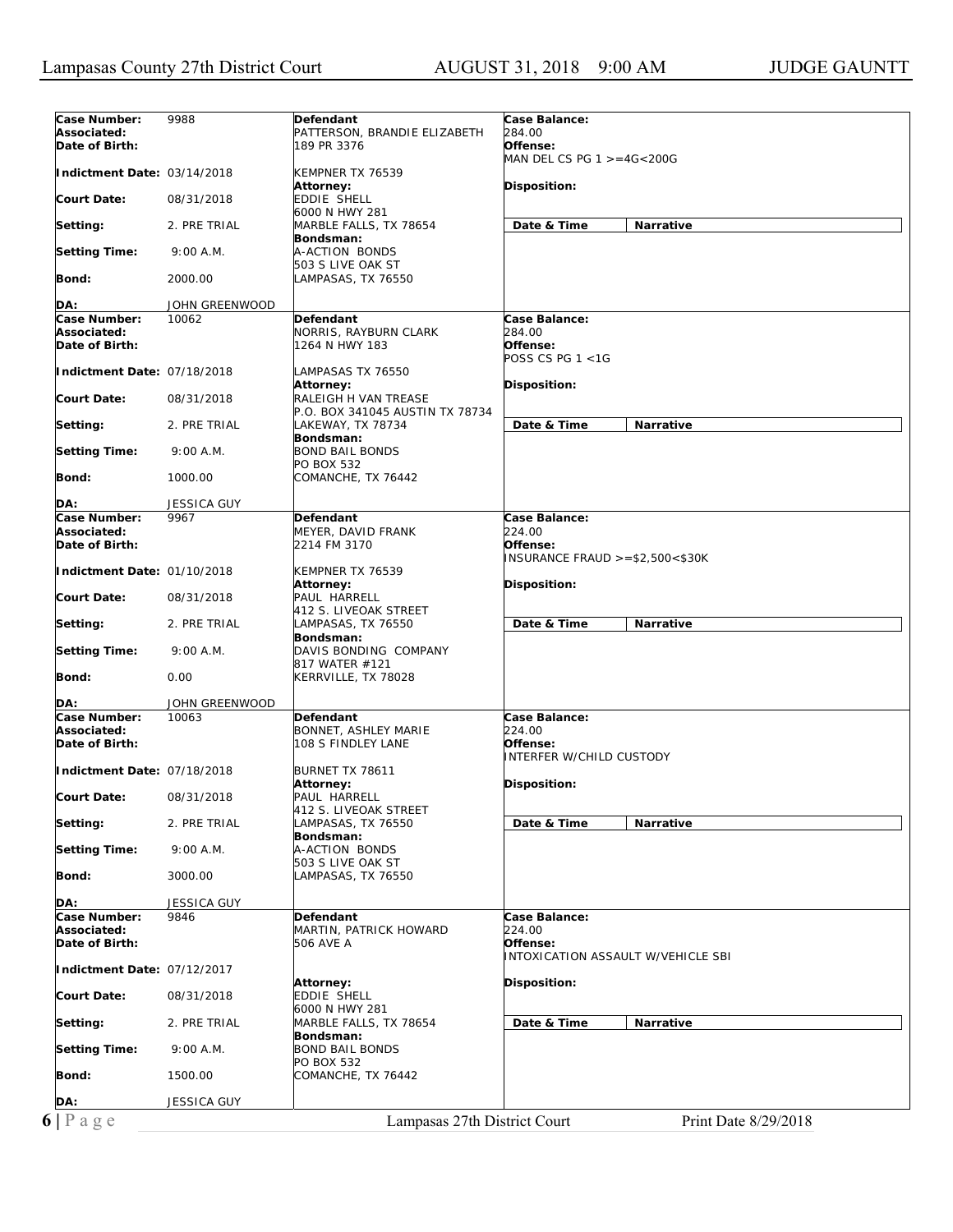| Associated:<br>PATTERSON, BRANDIE ELIZABETH<br><i>284.00</i><br>Date of Birth:<br>189 PR 3376<br>Offense:<br>MAN DEL CS PG $1 > = 4G < 200G$<br>Indictment Date: 03/14/2018<br>KEMPNER TX 76539<br><b>Attorney:</b><br><b>Disposition:</b><br><b>Court Date:</b><br>EDDIE SHELL<br>08/31/2018<br>6000 N HWY 281<br>Date & Time<br>Narrative<br>2. PRE TRIAL<br>MARBLE FALLS, TX 78654<br>Setting:<br>Bondsman:<br>A-ACTION BONDS<br><b>Setting Time:</b><br>9:00 A.M.<br>503 S LIVE OAK ST<br>Bond:<br>2000.00<br>LAMPASAS, TX 76550<br>DA:<br>JOHN GREENWOOD<br>Case Number:<br>Case Balance:<br>10062<br>Defendant<br>Associated:<br>NORRIS, RAYBURN CLARK<br>284.00<br>Date of Birth:<br>Offense:<br>1264 N HWY 183<br>POSS CS PG 1 <1G<br>Indictment Date: 07/18/2018<br>LAMPASAS TX 76550<br><b>Attorney:</b><br>Disposition:<br><b>Court Date:</b><br>08/31/2018<br>RALEIGH H VAN TREASE<br>P.O. BOX 341045 AUSTIN TX 78734<br>Date & Time<br><b>Narrative</b><br>Setting:<br>2. PRE TRIAL<br>LAKEWAY, TX 78734<br>Bondsman:<br><b>Setting Time:</b><br><b>BOND BAIL BONDS</b><br>9:00 A.M.<br><b>PO BOX 532</b><br>Bond:<br>1000.00<br>COMANCHE, TX 76442<br>DA:<br><b>JESSICA GUY</b><br>Case Number:<br>Case Balance:<br>9967<br>Defendant<br>224.00<br>Associated:<br>MEYER, DAVID FRANK<br>Date of Birth:<br>2214 FM 3170<br>Offense:<br>$INSURANCE FRAUD > = $2,500 < $30K$<br>Indictment Date: 01/10/2018<br>KEMPNER TX 76539<br>Disposition:<br><b>Attorney:</b><br>PAUL HARRELL<br><b>Court Date:</b><br>08/31/2018<br>412 S. LIVEOAK STREET<br>Date & Time<br>Setting:<br>2. PRE TRIAL<br>LAMPASAS, TX 76550<br><b>Narrative</b><br>Bondsman:<br><b>Setting Time:</b><br>9:00 A.M.<br>DAVIS BONDING COMPANY<br>817 WATER #121<br>Bond:<br>0.00<br>KERRVILLE, TX 78028<br>JOHN GREENWOOD<br>DA:<br>Case Number:<br>10063<br>Defendant<br>Case Balance:<br><i>224.00</i><br>Associated:<br>BONNET, ASHLEY MARIE<br>Offense:<br>Date of Birth:<br>108 S FINDLEY LANE<br><b>INTERFER W/CHILD CUSTODY</b><br>Indictment Date: 07/18/2018<br>BURNET TX 78611<br><b>Attorney:</b><br>Disposition:<br>PAUL HARRELL<br><b>Court Date:</b><br>08/31/2018<br>412 S. LIVEOAK STREET<br>LAMPASAS, TX 76550<br>Date & Time<br>Setting:<br>2. PRE TRIAL<br>Narrative<br>Bondsman:<br><b>Setting Time:</b><br>A-ACTION BONDS<br>9:00 A.M.<br>503 S LIVE OAK ST<br>Bond:<br>3000.00<br>LAMPASAS, TX 76550<br>DA:<br>JESSICA GUY<br>Case Number:<br>Case Balance:<br>9846<br>Defendant<br>Associated:<br>MARTIN, PATRICK HOWARD<br>224.00<br>Date of Birth:<br>Offense:<br>506 AVE A<br>INTOXICATION ASSAULT W/VEHICLE SBI<br>Indictment Date: 07/12/2017<br>Disposition:<br><b>Attorney:</b><br><b>Court Date:</b><br>EDDIE SHELL<br>08/31/2018<br>6000 N HWY 281<br>Date & Time<br><b>Narrative</b><br>Setting:<br>2. PRE TRIAL<br>MARBLE FALLS, TX 78654<br>Bondsman:<br><b>BOND BAIL BONDS</b><br><b>Setting Time:</b><br>9:00 A.M.<br>PO BOX 532<br>COMANCHE, TX 76442<br>Bond:<br>1500.00<br><b>JESSICA GUY</b><br>DA:<br>$6 P \text{ a } g e$<br>Lampasas 27th District Court<br>Print Date 8/29/2018 |              |      |           |               |
|------------------------------------------------------------------------------------------------------------------------------------------------------------------------------------------------------------------------------------------------------------------------------------------------------------------------------------------------------------------------------------------------------------------------------------------------------------------------------------------------------------------------------------------------------------------------------------------------------------------------------------------------------------------------------------------------------------------------------------------------------------------------------------------------------------------------------------------------------------------------------------------------------------------------------------------------------------------------------------------------------------------------------------------------------------------------------------------------------------------------------------------------------------------------------------------------------------------------------------------------------------------------------------------------------------------------------------------------------------------------------------------------------------------------------------------------------------------------------------------------------------------------------------------------------------------------------------------------------------------------------------------------------------------------------------------------------------------------------------------------------------------------------------------------------------------------------------------------------------------------------------------------------------------------------------------------------------------------------------------------------------------------------------------------------------------------------------------------------------------------------------------------------------------------------------------------------------------------------------------------------------------------------------------------------------------------------------------------------------------------------------------------------------------------------------------------------------------------------------------------------------------------------------------------------------------------------------------------------------------------------------------------------------------------------------------------------------------------------------------------------------------------------------------------------------------------------------------------------------------------------------------------------------------------------------------------------------------------------------------------------------------------------------------------------------------------------------------------------------|--------------|------|-----------|---------------|
|                                                                                                                                                                                                                                                                                                                                                                                                                                                                                                                                                                                                                                                                                                                                                                                                                                                                                                                                                                                                                                                                                                                                                                                                                                                                                                                                                                                                                                                                                                                                                                                                                                                                                                                                                                                                                                                                                                                                                                                                                                                                                                                                                                                                                                                                                                                                                                                                                                                                                                                                                                                                                                                                                                                                                                                                                                                                                                                                                                                                                                                                                                            | Case Number: | 9988 | Defendant | Case Balance: |
|                                                                                                                                                                                                                                                                                                                                                                                                                                                                                                                                                                                                                                                                                                                                                                                                                                                                                                                                                                                                                                                                                                                                                                                                                                                                                                                                                                                                                                                                                                                                                                                                                                                                                                                                                                                                                                                                                                                                                                                                                                                                                                                                                                                                                                                                                                                                                                                                                                                                                                                                                                                                                                                                                                                                                                                                                                                                                                                                                                                                                                                                                                            |              |      |           |               |
|                                                                                                                                                                                                                                                                                                                                                                                                                                                                                                                                                                                                                                                                                                                                                                                                                                                                                                                                                                                                                                                                                                                                                                                                                                                                                                                                                                                                                                                                                                                                                                                                                                                                                                                                                                                                                                                                                                                                                                                                                                                                                                                                                                                                                                                                                                                                                                                                                                                                                                                                                                                                                                                                                                                                                                                                                                                                                                                                                                                                                                                                                                            |              |      |           |               |
|                                                                                                                                                                                                                                                                                                                                                                                                                                                                                                                                                                                                                                                                                                                                                                                                                                                                                                                                                                                                                                                                                                                                                                                                                                                                                                                                                                                                                                                                                                                                                                                                                                                                                                                                                                                                                                                                                                                                                                                                                                                                                                                                                                                                                                                                                                                                                                                                                                                                                                                                                                                                                                                                                                                                                                                                                                                                                                                                                                                                                                                                                                            |              |      |           |               |
|                                                                                                                                                                                                                                                                                                                                                                                                                                                                                                                                                                                                                                                                                                                                                                                                                                                                                                                                                                                                                                                                                                                                                                                                                                                                                                                                                                                                                                                                                                                                                                                                                                                                                                                                                                                                                                                                                                                                                                                                                                                                                                                                                                                                                                                                                                                                                                                                                                                                                                                                                                                                                                                                                                                                                                                                                                                                                                                                                                                                                                                                                                            |              |      |           |               |
|                                                                                                                                                                                                                                                                                                                                                                                                                                                                                                                                                                                                                                                                                                                                                                                                                                                                                                                                                                                                                                                                                                                                                                                                                                                                                                                                                                                                                                                                                                                                                                                                                                                                                                                                                                                                                                                                                                                                                                                                                                                                                                                                                                                                                                                                                                                                                                                                                                                                                                                                                                                                                                                                                                                                                                                                                                                                                                                                                                                                                                                                                                            |              |      |           |               |
|                                                                                                                                                                                                                                                                                                                                                                                                                                                                                                                                                                                                                                                                                                                                                                                                                                                                                                                                                                                                                                                                                                                                                                                                                                                                                                                                                                                                                                                                                                                                                                                                                                                                                                                                                                                                                                                                                                                                                                                                                                                                                                                                                                                                                                                                                                                                                                                                                                                                                                                                                                                                                                                                                                                                                                                                                                                                                                                                                                                                                                                                                                            |              |      |           |               |
|                                                                                                                                                                                                                                                                                                                                                                                                                                                                                                                                                                                                                                                                                                                                                                                                                                                                                                                                                                                                                                                                                                                                                                                                                                                                                                                                                                                                                                                                                                                                                                                                                                                                                                                                                                                                                                                                                                                                                                                                                                                                                                                                                                                                                                                                                                                                                                                                                                                                                                                                                                                                                                                                                                                                                                                                                                                                                                                                                                                                                                                                                                            |              |      |           |               |
|                                                                                                                                                                                                                                                                                                                                                                                                                                                                                                                                                                                                                                                                                                                                                                                                                                                                                                                                                                                                                                                                                                                                                                                                                                                                                                                                                                                                                                                                                                                                                                                                                                                                                                                                                                                                                                                                                                                                                                                                                                                                                                                                                                                                                                                                                                                                                                                                                                                                                                                                                                                                                                                                                                                                                                                                                                                                                                                                                                                                                                                                                                            |              |      |           |               |
|                                                                                                                                                                                                                                                                                                                                                                                                                                                                                                                                                                                                                                                                                                                                                                                                                                                                                                                                                                                                                                                                                                                                                                                                                                                                                                                                                                                                                                                                                                                                                                                                                                                                                                                                                                                                                                                                                                                                                                                                                                                                                                                                                                                                                                                                                                                                                                                                                                                                                                                                                                                                                                                                                                                                                                                                                                                                                                                                                                                                                                                                                                            |              |      |           |               |
|                                                                                                                                                                                                                                                                                                                                                                                                                                                                                                                                                                                                                                                                                                                                                                                                                                                                                                                                                                                                                                                                                                                                                                                                                                                                                                                                                                                                                                                                                                                                                                                                                                                                                                                                                                                                                                                                                                                                                                                                                                                                                                                                                                                                                                                                                                                                                                                                                                                                                                                                                                                                                                                                                                                                                                                                                                                                                                                                                                                                                                                                                                            |              |      |           |               |
|                                                                                                                                                                                                                                                                                                                                                                                                                                                                                                                                                                                                                                                                                                                                                                                                                                                                                                                                                                                                                                                                                                                                                                                                                                                                                                                                                                                                                                                                                                                                                                                                                                                                                                                                                                                                                                                                                                                                                                                                                                                                                                                                                                                                                                                                                                                                                                                                                                                                                                                                                                                                                                                                                                                                                                                                                                                                                                                                                                                                                                                                                                            |              |      |           |               |
|                                                                                                                                                                                                                                                                                                                                                                                                                                                                                                                                                                                                                                                                                                                                                                                                                                                                                                                                                                                                                                                                                                                                                                                                                                                                                                                                                                                                                                                                                                                                                                                                                                                                                                                                                                                                                                                                                                                                                                                                                                                                                                                                                                                                                                                                                                                                                                                                                                                                                                                                                                                                                                                                                                                                                                                                                                                                                                                                                                                                                                                                                                            |              |      |           |               |
|                                                                                                                                                                                                                                                                                                                                                                                                                                                                                                                                                                                                                                                                                                                                                                                                                                                                                                                                                                                                                                                                                                                                                                                                                                                                                                                                                                                                                                                                                                                                                                                                                                                                                                                                                                                                                                                                                                                                                                                                                                                                                                                                                                                                                                                                                                                                                                                                                                                                                                                                                                                                                                                                                                                                                                                                                                                                                                                                                                                                                                                                                                            |              |      |           |               |
|                                                                                                                                                                                                                                                                                                                                                                                                                                                                                                                                                                                                                                                                                                                                                                                                                                                                                                                                                                                                                                                                                                                                                                                                                                                                                                                                                                                                                                                                                                                                                                                                                                                                                                                                                                                                                                                                                                                                                                                                                                                                                                                                                                                                                                                                                                                                                                                                                                                                                                                                                                                                                                                                                                                                                                                                                                                                                                                                                                                                                                                                                                            |              |      |           |               |
|                                                                                                                                                                                                                                                                                                                                                                                                                                                                                                                                                                                                                                                                                                                                                                                                                                                                                                                                                                                                                                                                                                                                                                                                                                                                                                                                                                                                                                                                                                                                                                                                                                                                                                                                                                                                                                                                                                                                                                                                                                                                                                                                                                                                                                                                                                                                                                                                                                                                                                                                                                                                                                                                                                                                                                                                                                                                                                                                                                                                                                                                                                            |              |      |           |               |
|                                                                                                                                                                                                                                                                                                                                                                                                                                                                                                                                                                                                                                                                                                                                                                                                                                                                                                                                                                                                                                                                                                                                                                                                                                                                                                                                                                                                                                                                                                                                                                                                                                                                                                                                                                                                                                                                                                                                                                                                                                                                                                                                                                                                                                                                                                                                                                                                                                                                                                                                                                                                                                                                                                                                                                                                                                                                                                                                                                                                                                                                                                            |              |      |           |               |
|                                                                                                                                                                                                                                                                                                                                                                                                                                                                                                                                                                                                                                                                                                                                                                                                                                                                                                                                                                                                                                                                                                                                                                                                                                                                                                                                                                                                                                                                                                                                                                                                                                                                                                                                                                                                                                                                                                                                                                                                                                                                                                                                                                                                                                                                                                                                                                                                                                                                                                                                                                                                                                                                                                                                                                                                                                                                                                                                                                                                                                                                                                            |              |      |           |               |
|                                                                                                                                                                                                                                                                                                                                                                                                                                                                                                                                                                                                                                                                                                                                                                                                                                                                                                                                                                                                                                                                                                                                                                                                                                                                                                                                                                                                                                                                                                                                                                                                                                                                                                                                                                                                                                                                                                                                                                                                                                                                                                                                                                                                                                                                                                                                                                                                                                                                                                                                                                                                                                                                                                                                                                                                                                                                                                                                                                                                                                                                                                            |              |      |           |               |
|                                                                                                                                                                                                                                                                                                                                                                                                                                                                                                                                                                                                                                                                                                                                                                                                                                                                                                                                                                                                                                                                                                                                                                                                                                                                                                                                                                                                                                                                                                                                                                                                                                                                                                                                                                                                                                                                                                                                                                                                                                                                                                                                                                                                                                                                                                                                                                                                                                                                                                                                                                                                                                                                                                                                                                                                                                                                                                                                                                                                                                                                                                            |              |      |           |               |
|                                                                                                                                                                                                                                                                                                                                                                                                                                                                                                                                                                                                                                                                                                                                                                                                                                                                                                                                                                                                                                                                                                                                                                                                                                                                                                                                                                                                                                                                                                                                                                                                                                                                                                                                                                                                                                                                                                                                                                                                                                                                                                                                                                                                                                                                                                                                                                                                                                                                                                                                                                                                                                                                                                                                                                                                                                                                                                                                                                                                                                                                                                            |              |      |           |               |
|                                                                                                                                                                                                                                                                                                                                                                                                                                                                                                                                                                                                                                                                                                                                                                                                                                                                                                                                                                                                                                                                                                                                                                                                                                                                                                                                                                                                                                                                                                                                                                                                                                                                                                                                                                                                                                                                                                                                                                                                                                                                                                                                                                                                                                                                                                                                                                                                                                                                                                                                                                                                                                                                                                                                                                                                                                                                                                                                                                                                                                                                                                            |              |      |           |               |
|                                                                                                                                                                                                                                                                                                                                                                                                                                                                                                                                                                                                                                                                                                                                                                                                                                                                                                                                                                                                                                                                                                                                                                                                                                                                                                                                                                                                                                                                                                                                                                                                                                                                                                                                                                                                                                                                                                                                                                                                                                                                                                                                                                                                                                                                                                                                                                                                                                                                                                                                                                                                                                                                                                                                                                                                                                                                                                                                                                                                                                                                                                            |              |      |           |               |
|                                                                                                                                                                                                                                                                                                                                                                                                                                                                                                                                                                                                                                                                                                                                                                                                                                                                                                                                                                                                                                                                                                                                                                                                                                                                                                                                                                                                                                                                                                                                                                                                                                                                                                                                                                                                                                                                                                                                                                                                                                                                                                                                                                                                                                                                                                                                                                                                                                                                                                                                                                                                                                                                                                                                                                                                                                                                                                                                                                                                                                                                                                            |              |      |           |               |
|                                                                                                                                                                                                                                                                                                                                                                                                                                                                                                                                                                                                                                                                                                                                                                                                                                                                                                                                                                                                                                                                                                                                                                                                                                                                                                                                                                                                                                                                                                                                                                                                                                                                                                                                                                                                                                                                                                                                                                                                                                                                                                                                                                                                                                                                                                                                                                                                                                                                                                                                                                                                                                                                                                                                                                                                                                                                                                                                                                                                                                                                                                            |              |      |           |               |
|                                                                                                                                                                                                                                                                                                                                                                                                                                                                                                                                                                                                                                                                                                                                                                                                                                                                                                                                                                                                                                                                                                                                                                                                                                                                                                                                                                                                                                                                                                                                                                                                                                                                                                                                                                                                                                                                                                                                                                                                                                                                                                                                                                                                                                                                                                                                                                                                                                                                                                                                                                                                                                                                                                                                                                                                                                                                                                                                                                                                                                                                                                            |              |      |           |               |
|                                                                                                                                                                                                                                                                                                                                                                                                                                                                                                                                                                                                                                                                                                                                                                                                                                                                                                                                                                                                                                                                                                                                                                                                                                                                                                                                                                                                                                                                                                                                                                                                                                                                                                                                                                                                                                                                                                                                                                                                                                                                                                                                                                                                                                                                                                                                                                                                                                                                                                                                                                                                                                                                                                                                                                                                                                                                                                                                                                                                                                                                                                            |              |      |           |               |
|                                                                                                                                                                                                                                                                                                                                                                                                                                                                                                                                                                                                                                                                                                                                                                                                                                                                                                                                                                                                                                                                                                                                                                                                                                                                                                                                                                                                                                                                                                                                                                                                                                                                                                                                                                                                                                                                                                                                                                                                                                                                                                                                                                                                                                                                                                                                                                                                                                                                                                                                                                                                                                                                                                                                                                                                                                                                                                                                                                                                                                                                                                            |              |      |           |               |
|                                                                                                                                                                                                                                                                                                                                                                                                                                                                                                                                                                                                                                                                                                                                                                                                                                                                                                                                                                                                                                                                                                                                                                                                                                                                                                                                                                                                                                                                                                                                                                                                                                                                                                                                                                                                                                                                                                                                                                                                                                                                                                                                                                                                                                                                                                                                                                                                                                                                                                                                                                                                                                                                                                                                                                                                                                                                                                                                                                                                                                                                                                            |              |      |           |               |
|                                                                                                                                                                                                                                                                                                                                                                                                                                                                                                                                                                                                                                                                                                                                                                                                                                                                                                                                                                                                                                                                                                                                                                                                                                                                                                                                                                                                                                                                                                                                                                                                                                                                                                                                                                                                                                                                                                                                                                                                                                                                                                                                                                                                                                                                                                                                                                                                                                                                                                                                                                                                                                                                                                                                                                                                                                                                                                                                                                                                                                                                                                            |              |      |           |               |
|                                                                                                                                                                                                                                                                                                                                                                                                                                                                                                                                                                                                                                                                                                                                                                                                                                                                                                                                                                                                                                                                                                                                                                                                                                                                                                                                                                                                                                                                                                                                                                                                                                                                                                                                                                                                                                                                                                                                                                                                                                                                                                                                                                                                                                                                                                                                                                                                                                                                                                                                                                                                                                                                                                                                                                                                                                                                                                                                                                                                                                                                                                            |              |      |           |               |
|                                                                                                                                                                                                                                                                                                                                                                                                                                                                                                                                                                                                                                                                                                                                                                                                                                                                                                                                                                                                                                                                                                                                                                                                                                                                                                                                                                                                                                                                                                                                                                                                                                                                                                                                                                                                                                                                                                                                                                                                                                                                                                                                                                                                                                                                                                                                                                                                                                                                                                                                                                                                                                                                                                                                                                                                                                                                                                                                                                                                                                                                                                            |              |      |           |               |
|                                                                                                                                                                                                                                                                                                                                                                                                                                                                                                                                                                                                                                                                                                                                                                                                                                                                                                                                                                                                                                                                                                                                                                                                                                                                                                                                                                                                                                                                                                                                                                                                                                                                                                                                                                                                                                                                                                                                                                                                                                                                                                                                                                                                                                                                                                                                                                                                                                                                                                                                                                                                                                                                                                                                                                                                                                                                                                                                                                                                                                                                                                            |              |      |           |               |
|                                                                                                                                                                                                                                                                                                                                                                                                                                                                                                                                                                                                                                                                                                                                                                                                                                                                                                                                                                                                                                                                                                                                                                                                                                                                                                                                                                                                                                                                                                                                                                                                                                                                                                                                                                                                                                                                                                                                                                                                                                                                                                                                                                                                                                                                                                                                                                                                                                                                                                                                                                                                                                                                                                                                                                                                                                                                                                                                                                                                                                                                                                            |              |      |           |               |
|                                                                                                                                                                                                                                                                                                                                                                                                                                                                                                                                                                                                                                                                                                                                                                                                                                                                                                                                                                                                                                                                                                                                                                                                                                                                                                                                                                                                                                                                                                                                                                                                                                                                                                                                                                                                                                                                                                                                                                                                                                                                                                                                                                                                                                                                                                                                                                                                                                                                                                                                                                                                                                                                                                                                                                                                                                                                                                                                                                                                                                                                                                            |              |      |           |               |
|                                                                                                                                                                                                                                                                                                                                                                                                                                                                                                                                                                                                                                                                                                                                                                                                                                                                                                                                                                                                                                                                                                                                                                                                                                                                                                                                                                                                                                                                                                                                                                                                                                                                                                                                                                                                                                                                                                                                                                                                                                                                                                                                                                                                                                                                                                                                                                                                                                                                                                                                                                                                                                                                                                                                                                                                                                                                                                                                                                                                                                                                                                            |              |      |           |               |
|                                                                                                                                                                                                                                                                                                                                                                                                                                                                                                                                                                                                                                                                                                                                                                                                                                                                                                                                                                                                                                                                                                                                                                                                                                                                                                                                                                                                                                                                                                                                                                                                                                                                                                                                                                                                                                                                                                                                                                                                                                                                                                                                                                                                                                                                                                                                                                                                                                                                                                                                                                                                                                                                                                                                                                                                                                                                                                                                                                                                                                                                                                            |              |      |           |               |
|                                                                                                                                                                                                                                                                                                                                                                                                                                                                                                                                                                                                                                                                                                                                                                                                                                                                                                                                                                                                                                                                                                                                                                                                                                                                                                                                                                                                                                                                                                                                                                                                                                                                                                                                                                                                                                                                                                                                                                                                                                                                                                                                                                                                                                                                                                                                                                                                                                                                                                                                                                                                                                                                                                                                                                                                                                                                                                                                                                                                                                                                                                            |              |      |           |               |
|                                                                                                                                                                                                                                                                                                                                                                                                                                                                                                                                                                                                                                                                                                                                                                                                                                                                                                                                                                                                                                                                                                                                                                                                                                                                                                                                                                                                                                                                                                                                                                                                                                                                                                                                                                                                                                                                                                                                                                                                                                                                                                                                                                                                                                                                                                                                                                                                                                                                                                                                                                                                                                                                                                                                                                                                                                                                                                                                                                                                                                                                                                            |              |      |           |               |
|                                                                                                                                                                                                                                                                                                                                                                                                                                                                                                                                                                                                                                                                                                                                                                                                                                                                                                                                                                                                                                                                                                                                                                                                                                                                                                                                                                                                                                                                                                                                                                                                                                                                                                                                                                                                                                                                                                                                                                                                                                                                                                                                                                                                                                                                                                                                                                                                                                                                                                                                                                                                                                                                                                                                                                                                                                                                                                                                                                                                                                                                                                            |              |      |           |               |
|                                                                                                                                                                                                                                                                                                                                                                                                                                                                                                                                                                                                                                                                                                                                                                                                                                                                                                                                                                                                                                                                                                                                                                                                                                                                                                                                                                                                                                                                                                                                                                                                                                                                                                                                                                                                                                                                                                                                                                                                                                                                                                                                                                                                                                                                                                                                                                                                                                                                                                                                                                                                                                                                                                                                                                                                                                                                                                                                                                                                                                                                                                            |              |      |           |               |
|                                                                                                                                                                                                                                                                                                                                                                                                                                                                                                                                                                                                                                                                                                                                                                                                                                                                                                                                                                                                                                                                                                                                                                                                                                                                                                                                                                                                                                                                                                                                                                                                                                                                                                                                                                                                                                                                                                                                                                                                                                                                                                                                                                                                                                                                                                                                                                                                                                                                                                                                                                                                                                                                                                                                                                                                                                                                                                                                                                                                                                                                                                            |              |      |           |               |
|                                                                                                                                                                                                                                                                                                                                                                                                                                                                                                                                                                                                                                                                                                                                                                                                                                                                                                                                                                                                                                                                                                                                                                                                                                                                                                                                                                                                                                                                                                                                                                                                                                                                                                                                                                                                                                                                                                                                                                                                                                                                                                                                                                                                                                                                                                                                                                                                                                                                                                                                                                                                                                                                                                                                                                                                                                                                                                                                                                                                                                                                                                            |              |      |           |               |
|                                                                                                                                                                                                                                                                                                                                                                                                                                                                                                                                                                                                                                                                                                                                                                                                                                                                                                                                                                                                                                                                                                                                                                                                                                                                                                                                                                                                                                                                                                                                                                                                                                                                                                                                                                                                                                                                                                                                                                                                                                                                                                                                                                                                                                                                                                                                                                                                                                                                                                                                                                                                                                                                                                                                                                                                                                                                                                                                                                                                                                                                                                            |              |      |           |               |
|                                                                                                                                                                                                                                                                                                                                                                                                                                                                                                                                                                                                                                                                                                                                                                                                                                                                                                                                                                                                                                                                                                                                                                                                                                                                                                                                                                                                                                                                                                                                                                                                                                                                                                                                                                                                                                                                                                                                                                                                                                                                                                                                                                                                                                                                                                                                                                                                                                                                                                                                                                                                                                                                                                                                                                                                                                                                                                                                                                                                                                                                                                            |              |      |           |               |
|                                                                                                                                                                                                                                                                                                                                                                                                                                                                                                                                                                                                                                                                                                                                                                                                                                                                                                                                                                                                                                                                                                                                                                                                                                                                                                                                                                                                                                                                                                                                                                                                                                                                                                                                                                                                                                                                                                                                                                                                                                                                                                                                                                                                                                                                                                                                                                                                                                                                                                                                                                                                                                                                                                                                                                                                                                                                                                                                                                                                                                                                                                            |              |      |           |               |
|                                                                                                                                                                                                                                                                                                                                                                                                                                                                                                                                                                                                                                                                                                                                                                                                                                                                                                                                                                                                                                                                                                                                                                                                                                                                                                                                                                                                                                                                                                                                                                                                                                                                                                                                                                                                                                                                                                                                                                                                                                                                                                                                                                                                                                                                                                                                                                                                                                                                                                                                                                                                                                                                                                                                                                                                                                                                                                                                                                                                                                                                                                            |              |      |           |               |
|                                                                                                                                                                                                                                                                                                                                                                                                                                                                                                                                                                                                                                                                                                                                                                                                                                                                                                                                                                                                                                                                                                                                                                                                                                                                                                                                                                                                                                                                                                                                                                                                                                                                                                                                                                                                                                                                                                                                                                                                                                                                                                                                                                                                                                                                                                                                                                                                                                                                                                                                                                                                                                                                                                                                                                                                                                                                                                                                                                                                                                                                                                            |              |      |           |               |
|                                                                                                                                                                                                                                                                                                                                                                                                                                                                                                                                                                                                                                                                                                                                                                                                                                                                                                                                                                                                                                                                                                                                                                                                                                                                                                                                                                                                                                                                                                                                                                                                                                                                                                                                                                                                                                                                                                                                                                                                                                                                                                                                                                                                                                                                                                                                                                                                                                                                                                                                                                                                                                                                                                                                                                                                                                                                                                                                                                                                                                                                                                            |              |      |           |               |
|                                                                                                                                                                                                                                                                                                                                                                                                                                                                                                                                                                                                                                                                                                                                                                                                                                                                                                                                                                                                                                                                                                                                                                                                                                                                                                                                                                                                                                                                                                                                                                                                                                                                                                                                                                                                                                                                                                                                                                                                                                                                                                                                                                                                                                                                                                                                                                                                                                                                                                                                                                                                                                                                                                                                                                                                                                                                                                                                                                                                                                                                                                            |              |      |           |               |
|                                                                                                                                                                                                                                                                                                                                                                                                                                                                                                                                                                                                                                                                                                                                                                                                                                                                                                                                                                                                                                                                                                                                                                                                                                                                                                                                                                                                                                                                                                                                                                                                                                                                                                                                                                                                                                                                                                                                                                                                                                                                                                                                                                                                                                                                                                                                                                                                                                                                                                                                                                                                                                                                                                                                                                                                                                                                                                                                                                                                                                                                                                            |              |      |           |               |
|                                                                                                                                                                                                                                                                                                                                                                                                                                                                                                                                                                                                                                                                                                                                                                                                                                                                                                                                                                                                                                                                                                                                                                                                                                                                                                                                                                                                                                                                                                                                                                                                                                                                                                                                                                                                                                                                                                                                                                                                                                                                                                                                                                                                                                                                                                                                                                                                                                                                                                                                                                                                                                                                                                                                                                                                                                                                                                                                                                                                                                                                                                            |              |      |           |               |
|                                                                                                                                                                                                                                                                                                                                                                                                                                                                                                                                                                                                                                                                                                                                                                                                                                                                                                                                                                                                                                                                                                                                                                                                                                                                                                                                                                                                                                                                                                                                                                                                                                                                                                                                                                                                                                                                                                                                                                                                                                                                                                                                                                                                                                                                                                                                                                                                                                                                                                                                                                                                                                                                                                                                                                                                                                                                                                                                                                                                                                                                                                            |              |      |           |               |
|                                                                                                                                                                                                                                                                                                                                                                                                                                                                                                                                                                                                                                                                                                                                                                                                                                                                                                                                                                                                                                                                                                                                                                                                                                                                                                                                                                                                                                                                                                                                                                                                                                                                                                                                                                                                                                                                                                                                                                                                                                                                                                                                                                                                                                                                                                                                                                                                                                                                                                                                                                                                                                                                                                                                                                                                                                                                                                                                                                                                                                                                                                            |              |      |           |               |
|                                                                                                                                                                                                                                                                                                                                                                                                                                                                                                                                                                                                                                                                                                                                                                                                                                                                                                                                                                                                                                                                                                                                                                                                                                                                                                                                                                                                                                                                                                                                                                                                                                                                                                                                                                                                                                                                                                                                                                                                                                                                                                                                                                                                                                                                                                                                                                                                                                                                                                                                                                                                                                                                                                                                                                                                                                                                                                                                                                                                                                                                                                            |              |      |           |               |
|                                                                                                                                                                                                                                                                                                                                                                                                                                                                                                                                                                                                                                                                                                                                                                                                                                                                                                                                                                                                                                                                                                                                                                                                                                                                                                                                                                                                                                                                                                                                                                                                                                                                                                                                                                                                                                                                                                                                                                                                                                                                                                                                                                                                                                                                                                                                                                                                                                                                                                                                                                                                                                                                                                                                                                                                                                                                                                                                                                                                                                                                                                            |              |      |           |               |
|                                                                                                                                                                                                                                                                                                                                                                                                                                                                                                                                                                                                                                                                                                                                                                                                                                                                                                                                                                                                                                                                                                                                                                                                                                                                                                                                                                                                                                                                                                                                                                                                                                                                                                                                                                                                                                                                                                                                                                                                                                                                                                                                                                                                                                                                                                                                                                                                                                                                                                                                                                                                                                                                                                                                                                                                                                                                                                                                                                                                                                                                                                            |              |      |           |               |
|                                                                                                                                                                                                                                                                                                                                                                                                                                                                                                                                                                                                                                                                                                                                                                                                                                                                                                                                                                                                                                                                                                                                                                                                                                                                                                                                                                                                                                                                                                                                                                                                                                                                                                                                                                                                                                                                                                                                                                                                                                                                                                                                                                                                                                                                                                                                                                                                                                                                                                                                                                                                                                                                                                                                                                                                                                                                                                                                                                                                                                                                                                            |              |      |           |               |
|                                                                                                                                                                                                                                                                                                                                                                                                                                                                                                                                                                                                                                                                                                                                                                                                                                                                                                                                                                                                                                                                                                                                                                                                                                                                                                                                                                                                                                                                                                                                                                                                                                                                                                                                                                                                                                                                                                                                                                                                                                                                                                                                                                                                                                                                                                                                                                                                                                                                                                                                                                                                                                                                                                                                                                                                                                                                                                                                                                                                                                                                                                            |              |      |           |               |
|                                                                                                                                                                                                                                                                                                                                                                                                                                                                                                                                                                                                                                                                                                                                                                                                                                                                                                                                                                                                                                                                                                                                                                                                                                                                                                                                                                                                                                                                                                                                                                                                                                                                                                                                                                                                                                                                                                                                                                                                                                                                                                                                                                                                                                                                                                                                                                                                                                                                                                                                                                                                                                                                                                                                                                                                                                                                                                                                                                                                                                                                                                            |              |      |           |               |
|                                                                                                                                                                                                                                                                                                                                                                                                                                                                                                                                                                                                                                                                                                                                                                                                                                                                                                                                                                                                                                                                                                                                                                                                                                                                                                                                                                                                                                                                                                                                                                                                                                                                                                                                                                                                                                                                                                                                                                                                                                                                                                                                                                                                                                                                                                                                                                                                                                                                                                                                                                                                                                                                                                                                                                                                                                                                                                                                                                                                                                                                                                            |              |      |           |               |
|                                                                                                                                                                                                                                                                                                                                                                                                                                                                                                                                                                                                                                                                                                                                                                                                                                                                                                                                                                                                                                                                                                                                                                                                                                                                                                                                                                                                                                                                                                                                                                                                                                                                                                                                                                                                                                                                                                                                                                                                                                                                                                                                                                                                                                                                                                                                                                                                                                                                                                                                                                                                                                                                                                                                                                                                                                                                                                                                                                                                                                                                                                            |              |      |           |               |
|                                                                                                                                                                                                                                                                                                                                                                                                                                                                                                                                                                                                                                                                                                                                                                                                                                                                                                                                                                                                                                                                                                                                                                                                                                                                                                                                                                                                                                                                                                                                                                                                                                                                                                                                                                                                                                                                                                                                                                                                                                                                                                                                                                                                                                                                                                                                                                                                                                                                                                                                                                                                                                                                                                                                                                                                                                                                                                                                                                                                                                                                                                            |              |      |           |               |
|                                                                                                                                                                                                                                                                                                                                                                                                                                                                                                                                                                                                                                                                                                                                                                                                                                                                                                                                                                                                                                                                                                                                                                                                                                                                                                                                                                                                                                                                                                                                                                                                                                                                                                                                                                                                                                                                                                                                                                                                                                                                                                                                                                                                                                                                                                                                                                                                                                                                                                                                                                                                                                                                                                                                                                                                                                                                                                                                                                                                                                                                                                            |              |      |           |               |
|                                                                                                                                                                                                                                                                                                                                                                                                                                                                                                                                                                                                                                                                                                                                                                                                                                                                                                                                                                                                                                                                                                                                                                                                                                                                                                                                                                                                                                                                                                                                                                                                                                                                                                                                                                                                                                                                                                                                                                                                                                                                                                                                                                                                                                                                                                                                                                                                                                                                                                                                                                                                                                                                                                                                                                                                                                                                                                                                                                                                                                                                                                            |              |      |           |               |
|                                                                                                                                                                                                                                                                                                                                                                                                                                                                                                                                                                                                                                                                                                                                                                                                                                                                                                                                                                                                                                                                                                                                                                                                                                                                                                                                                                                                                                                                                                                                                                                                                                                                                                                                                                                                                                                                                                                                                                                                                                                                                                                                                                                                                                                                                                                                                                                                                                                                                                                                                                                                                                                                                                                                                                                                                                                                                                                                                                                                                                                                                                            |              |      |           |               |
|                                                                                                                                                                                                                                                                                                                                                                                                                                                                                                                                                                                                                                                                                                                                                                                                                                                                                                                                                                                                                                                                                                                                                                                                                                                                                                                                                                                                                                                                                                                                                                                                                                                                                                                                                                                                                                                                                                                                                                                                                                                                                                                                                                                                                                                                                                                                                                                                                                                                                                                                                                                                                                                                                                                                                                                                                                                                                                                                                                                                                                                                                                            |              |      |           |               |
|                                                                                                                                                                                                                                                                                                                                                                                                                                                                                                                                                                                                                                                                                                                                                                                                                                                                                                                                                                                                                                                                                                                                                                                                                                                                                                                                                                                                                                                                                                                                                                                                                                                                                                                                                                                                                                                                                                                                                                                                                                                                                                                                                                                                                                                                                                                                                                                                                                                                                                                                                                                                                                                                                                                                                                                                                                                                                                                                                                                                                                                                                                            |              |      |           |               |
|                                                                                                                                                                                                                                                                                                                                                                                                                                                                                                                                                                                                                                                                                                                                                                                                                                                                                                                                                                                                                                                                                                                                                                                                                                                                                                                                                                                                                                                                                                                                                                                                                                                                                                                                                                                                                                                                                                                                                                                                                                                                                                                                                                                                                                                                                                                                                                                                                                                                                                                                                                                                                                                                                                                                                                                                                                                                                                                                                                                                                                                                                                            |              |      |           |               |
|                                                                                                                                                                                                                                                                                                                                                                                                                                                                                                                                                                                                                                                                                                                                                                                                                                                                                                                                                                                                                                                                                                                                                                                                                                                                                                                                                                                                                                                                                                                                                                                                                                                                                                                                                                                                                                                                                                                                                                                                                                                                                                                                                                                                                                                                                                                                                                                                                                                                                                                                                                                                                                                                                                                                                                                                                                                                                                                                                                                                                                                                                                            |              |      |           |               |
|                                                                                                                                                                                                                                                                                                                                                                                                                                                                                                                                                                                                                                                                                                                                                                                                                                                                                                                                                                                                                                                                                                                                                                                                                                                                                                                                                                                                                                                                                                                                                                                                                                                                                                                                                                                                                                                                                                                                                                                                                                                                                                                                                                                                                                                                                                                                                                                                                                                                                                                                                                                                                                                                                                                                                                                                                                                                                                                                                                                                                                                                                                            |              |      |           |               |
|                                                                                                                                                                                                                                                                                                                                                                                                                                                                                                                                                                                                                                                                                                                                                                                                                                                                                                                                                                                                                                                                                                                                                                                                                                                                                                                                                                                                                                                                                                                                                                                                                                                                                                                                                                                                                                                                                                                                                                                                                                                                                                                                                                                                                                                                                                                                                                                                                                                                                                                                                                                                                                                                                                                                                                                                                                                                                                                                                                                                                                                                                                            |              |      |           |               |
|                                                                                                                                                                                                                                                                                                                                                                                                                                                                                                                                                                                                                                                                                                                                                                                                                                                                                                                                                                                                                                                                                                                                                                                                                                                                                                                                                                                                                                                                                                                                                                                                                                                                                                                                                                                                                                                                                                                                                                                                                                                                                                                                                                                                                                                                                                                                                                                                                                                                                                                                                                                                                                                                                                                                                                                                                                                                                                                                                                                                                                                                                                            |              |      |           |               |
|                                                                                                                                                                                                                                                                                                                                                                                                                                                                                                                                                                                                                                                                                                                                                                                                                                                                                                                                                                                                                                                                                                                                                                                                                                                                                                                                                                                                                                                                                                                                                                                                                                                                                                                                                                                                                                                                                                                                                                                                                                                                                                                                                                                                                                                                                                                                                                                                                                                                                                                                                                                                                                                                                                                                                                                                                                                                                                                                                                                                                                                                                                            |              |      |           |               |
|                                                                                                                                                                                                                                                                                                                                                                                                                                                                                                                                                                                                                                                                                                                                                                                                                                                                                                                                                                                                                                                                                                                                                                                                                                                                                                                                                                                                                                                                                                                                                                                                                                                                                                                                                                                                                                                                                                                                                                                                                                                                                                                                                                                                                                                                                                                                                                                                                                                                                                                                                                                                                                                                                                                                                                                                                                                                                                                                                                                                                                                                                                            |              |      |           |               |
|                                                                                                                                                                                                                                                                                                                                                                                                                                                                                                                                                                                                                                                                                                                                                                                                                                                                                                                                                                                                                                                                                                                                                                                                                                                                                                                                                                                                                                                                                                                                                                                                                                                                                                                                                                                                                                                                                                                                                                                                                                                                                                                                                                                                                                                                                                                                                                                                                                                                                                                                                                                                                                                                                                                                                                                                                                                                                                                                                                                                                                                                                                            |              |      |           |               |
|                                                                                                                                                                                                                                                                                                                                                                                                                                                                                                                                                                                                                                                                                                                                                                                                                                                                                                                                                                                                                                                                                                                                                                                                                                                                                                                                                                                                                                                                                                                                                                                                                                                                                                                                                                                                                                                                                                                                                                                                                                                                                                                                                                                                                                                                                                                                                                                                                                                                                                                                                                                                                                                                                                                                                                                                                                                                                                                                                                                                                                                                                                            |              |      |           |               |
|                                                                                                                                                                                                                                                                                                                                                                                                                                                                                                                                                                                                                                                                                                                                                                                                                                                                                                                                                                                                                                                                                                                                                                                                                                                                                                                                                                                                                                                                                                                                                                                                                                                                                                                                                                                                                                                                                                                                                                                                                                                                                                                                                                                                                                                                                                                                                                                                                                                                                                                                                                                                                                                                                                                                                                                                                                                                                                                                                                                                                                                                                                            |              |      |           |               |
|                                                                                                                                                                                                                                                                                                                                                                                                                                                                                                                                                                                                                                                                                                                                                                                                                                                                                                                                                                                                                                                                                                                                                                                                                                                                                                                                                                                                                                                                                                                                                                                                                                                                                                                                                                                                                                                                                                                                                                                                                                                                                                                                                                                                                                                                                                                                                                                                                                                                                                                                                                                                                                                                                                                                                                                                                                                                                                                                                                                                                                                                                                            |              |      |           |               |
|                                                                                                                                                                                                                                                                                                                                                                                                                                                                                                                                                                                                                                                                                                                                                                                                                                                                                                                                                                                                                                                                                                                                                                                                                                                                                                                                                                                                                                                                                                                                                                                                                                                                                                                                                                                                                                                                                                                                                                                                                                                                                                                                                                                                                                                                                                                                                                                                                                                                                                                                                                                                                                                                                                                                                                                                                                                                                                                                                                                                                                                                                                            |              |      |           |               |
|                                                                                                                                                                                                                                                                                                                                                                                                                                                                                                                                                                                                                                                                                                                                                                                                                                                                                                                                                                                                                                                                                                                                                                                                                                                                                                                                                                                                                                                                                                                                                                                                                                                                                                                                                                                                                                                                                                                                                                                                                                                                                                                                                                                                                                                                                                                                                                                                                                                                                                                                                                                                                                                                                                                                                                                                                                                                                                                                                                                                                                                                                                            |              |      |           |               |
|                                                                                                                                                                                                                                                                                                                                                                                                                                                                                                                                                                                                                                                                                                                                                                                                                                                                                                                                                                                                                                                                                                                                                                                                                                                                                                                                                                                                                                                                                                                                                                                                                                                                                                                                                                                                                                                                                                                                                                                                                                                                                                                                                                                                                                                                                                                                                                                                                                                                                                                                                                                                                                                                                                                                                                                                                                                                                                                                                                                                                                                                                                            |              |      |           |               |
|                                                                                                                                                                                                                                                                                                                                                                                                                                                                                                                                                                                                                                                                                                                                                                                                                                                                                                                                                                                                                                                                                                                                                                                                                                                                                                                                                                                                                                                                                                                                                                                                                                                                                                                                                                                                                                                                                                                                                                                                                                                                                                                                                                                                                                                                                                                                                                                                                                                                                                                                                                                                                                                                                                                                                                                                                                                                                                                                                                                                                                                                                                            |              |      |           |               |
|                                                                                                                                                                                                                                                                                                                                                                                                                                                                                                                                                                                                                                                                                                                                                                                                                                                                                                                                                                                                                                                                                                                                                                                                                                                                                                                                                                                                                                                                                                                                                                                                                                                                                                                                                                                                                                                                                                                                                                                                                                                                                                                                                                                                                                                                                                                                                                                                                                                                                                                                                                                                                                                                                                                                                                                                                                                                                                                                                                                                                                                                                                            |              |      |           |               |
|                                                                                                                                                                                                                                                                                                                                                                                                                                                                                                                                                                                                                                                                                                                                                                                                                                                                                                                                                                                                                                                                                                                                                                                                                                                                                                                                                                                                                                                                                                                                                                                                                                                                                                                                                                                                                                                                                                                                                                                                                                                                                                                                                                                                                                                                                                                                                                                                                                                                                                                                                                                                                                                                                                                                                                                                                                                                                                                                                                                                                                                                                                            |              |      |           |               |
|                                                                                                                                                                                                                                                                                                                                                                                                                                                                                                                                                                                                                                                                                                                                                                                                                                                                                                                                                                                                                                                                                                                                                                                                                                                                                                                                                                                                                                                                                                                                                                                                                                                                                                                                                                                                                                                                                                                                                                                                                                                                                                                                                                                                                                                                                                                                                                                                                                                                                                                                                                                                                                                                                                                                                                                                                                                                                                                                                                                                                                                                                                            |              |      |           |               |
|                                                                                                                                                                                                                                                                                                                                                                                                                                                                                                                                                                                                                                                                                                                                                                                                                                                                                                                                                                                                                                                                                                                                                                                                                                                                                                                                                                                                                                                                                                                                                                                                                                                                                                                                                                                                                                                                                                                                                                                                                                                                                                                                                                                                                                                                                                                                                                                                                                                                                                                                                                                                                                                                                                                                                                                                                                                                                                                                                                                                                                                                                                            |              |      |           |               |
|                                                                                                                                                                                                                                                                                                                                                                                                                                                                                                                                                                                                                                                                                                                                                                                                                                                                                                                                                                                                                                                                                                                                                                                                                                                                                                                                                                                                                                                                                                                                                                                                                                                                                                                                                                                                                                                                                                                                                                                                                                                                                                                                                                                                                                                                                                                                                                                                                                                                                                                                                                                                                                                                                                                                                                                                                                                                                                                                                                                                                                                                                                            |              |      |           |               |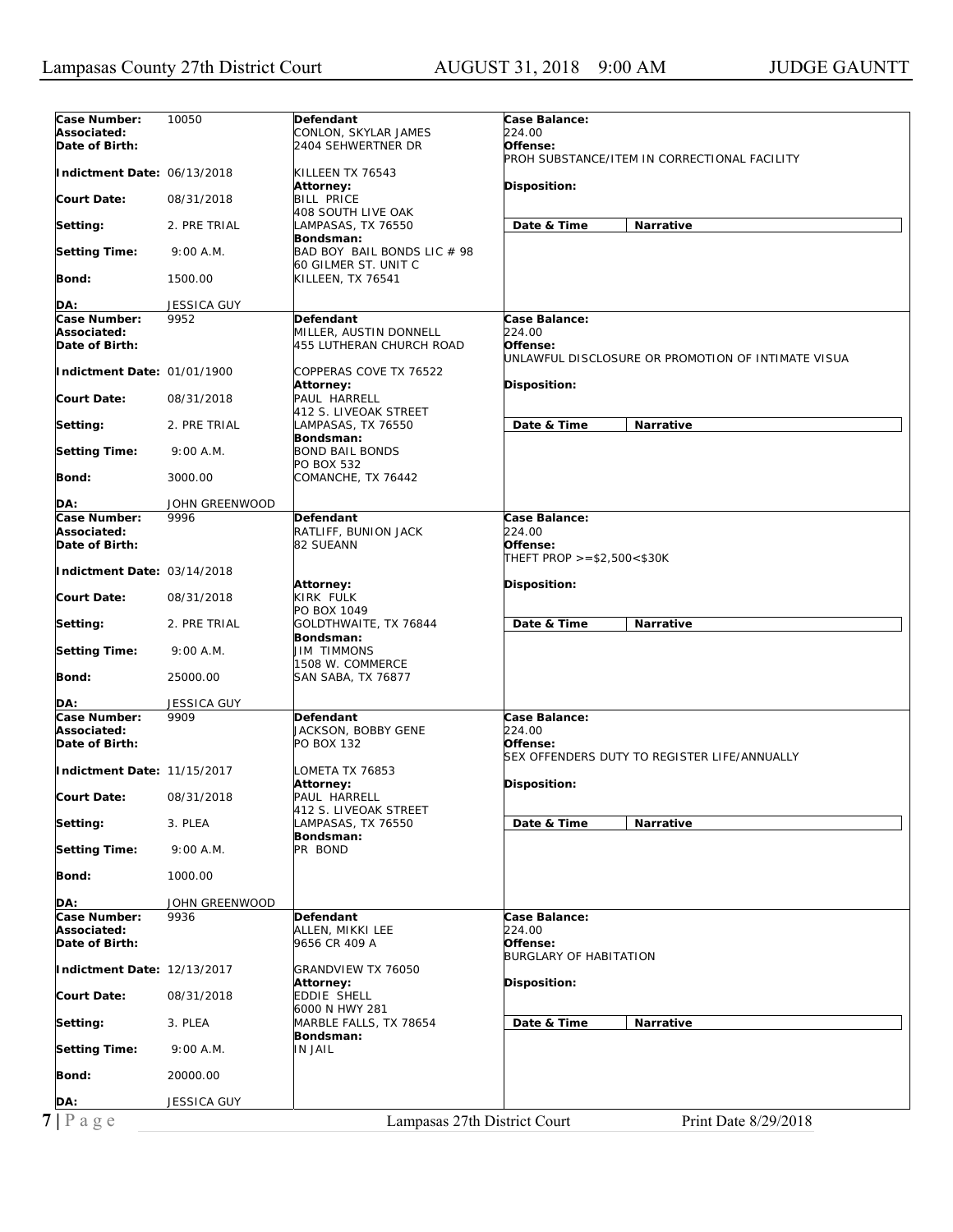| Case Number:<br>Associated:<br>Date of Birth: | 10050              | Defendant<br>CONLON, SKYLAR JAMES<br>2404 SEHWERTNER DR  | Case Balance:<br>224.00<br>Offense:                                                 |
|-----------------------------------------------|--------------------|----------------------------------------------------------|-------------------------------------------------------------------------------------|
| Indictment Date: 06/13/2018                   |                    | KILLEEN TX 76543                                         | PROH SUBSTANCE/ITEM IN CORRECTIONAL FACILITY                                        |
| Court Date:                                   | 08/31/2018         | <b>Attorney:</b><br><b>BILL PRICE</b>                    | <b>Disposition:</b>                                                                 |
| Setting:                                      | 2. PRE TRIAL       | <b>408 SOUTH LIVE OAK</b><br>LAMPASAS, TX 76550          | Date & Time<br>Narrative                                                            |
| <b>Setting Time:</b>                          | 9:00 A.M.          | Bondsman:<br>BAD BOY BAIL BONDS LIC # 98                 |                                                                                     |
| <b>Bond:</b>                                  | 1500.00            | 60 GILMER ST. UNIT C<br>KILLEEN, TX 76541                |                                                                                     |
| DA:                                           | JESSICA GUY        |                                                          |                                                                                     |
| Case Number:                                  | 9952               | Defendant                                                | Case Balance:                                                                       |
| Associated:<br>Date of Birth:                 |                    | MILLER, AUSTIN DONNELL<br>455 LUTHERAN CHURCH ROAD       | 224.00<br>Offense:<br>UNLAWFUL DISCLOSURE OR PROMOTION OF INTIMATE VISUA            |
| Indictment Date: 01/01/1900                   |                    | COPPERAS COVE TX 76522<br><b>Attorney:</b>               | Disposition:                                                                        |
| <b>Court Date:</b>                            | 08/31/2018         | PAUL HARRELL                                             |                                                                                     |
| Setting:                                      | 2. PRE TRIAL       | 412 S. LIVEOAK STREET<br>LAMPASAS, TX 76550              | Date & Time<br>Narrative                                                            |
| Setting Time:                                 | 9:00 A.M.          | Bondsman:<br><b>BOND BAIL BONDS</b>                      |                                                                                     |
| Bond:                                         | 3000.00            | PO BOX 532<br>COMANCHE, TX 76442                         |                                                                                     |
| DA:                                           | JOHN GREENWOOD     |                                                          |                                                                                     |
| Case Number:                                  | 9996               | <b>Defendant</b>                                         | Case Balance:                                                                       |
| Associated:<br>Date of Birth:                 |                    | RATLIFF, BUNION JACK<br>82 SUEANN                        | 224.00<br>Offense:                                                                  |
| Indictment Date: 03/14/2018                   |                    |                                                          | THEFT PROP $>= $2,500 < $30K$                                                       |
| <b>Court Date:</b>                            | 08/31/2018         | Attorney:<br>KIRK FULK<br>PO BOX 1049                    | <b>Disposition:</b>                                                                 |
| Setting:                                      | 2. PRE TRIAL       | GOLDTHWAITE, TX 76844<br>Bondsman:                       | Date & Time<br><b>Narrative</b>                                                     |
| Setting Time:                                 | 9:00 A.M.          | JIM TIMMONS<br>1508 W. COMMERCE                          |                                                                                     |
| Bond:                                         | 25000.00           | SAN SABA, TX 76877                                       |                                                                                     |
| DA:                                           | <b>JESSICA GUY</b> |                                                          |                                                                                     |
| Case Number:<br>Associated:<br>Date of Birth: | 9909               | Defendant<br>JACKSON, BOBBY GENE<br>PO BOX 132           | Case Balance:<br>224.00<br>Offense:<br>SEX OFFENDERS DUTY TO REGISTER LIFE/ANNUALLY |
| Indictment Date: 11/15/2017                   |                    | LOMETA TX 76853                                          |                                                                                     |
| <b>Court Date:</b>                            | 08/31/2018         | Attorney:<br>PAUL HARRELL                                | Disposition:                                                                        |
| Setting:                                      | 3. PLEA            | 412 S. LIVEOAK STREET<br>LAMPASAS, TX 76550<br>Bondsman: | Date & Time<br>Narrative                                                            |
| <b>Setting Time:</b>                          | 9:00 A.M.          | PR BOND                                                  |                                                                                     |
| Bond:                                         | 1000.00            |                                                          |                                                                                     |
| DA:                                           | JOHN GREENWOOD     |                                                          |                                                                                     |
| Case Number:                                  | 9936               | Defendant                                                | Case Balance:<br>224.00                                                             |
| Associated:<br>Date of Birth:                 |                    | ALLEN, MIKKI LEE<br>9656 CR 409 A                        | Offense:<br><b>BURGLARY OF HABITATION</b>                                           |
| Indictment Date: 12/13/2017                   |                    | GRANDVIEW TX 76050<br><b>Attorney:</b>                   | Disposition:                                                                        |
| Court Date:                                   | 08/31/2018         | EDDIE SHELL<br>6000 N HWY 281                            |                                                                                     |
| Setting:                                      | 3. PLEA            | MARBLE FALLS, TX 78654<br>Bondsman:                      | Date & Time<br>Narrative                                                            |
| <b>Setting Time:</b>                          | 9:00 A.M.          | IN JAIL                                                  |                                                                                     |
| <b>Bond:</b>                                  | 20000.00           |                                                          |                                                                                     |
|                                               |                    |                                                          |                                                                                     |
| DA:                                           | <b>JESSICA GUY</b> |                                                          |                                                                                     |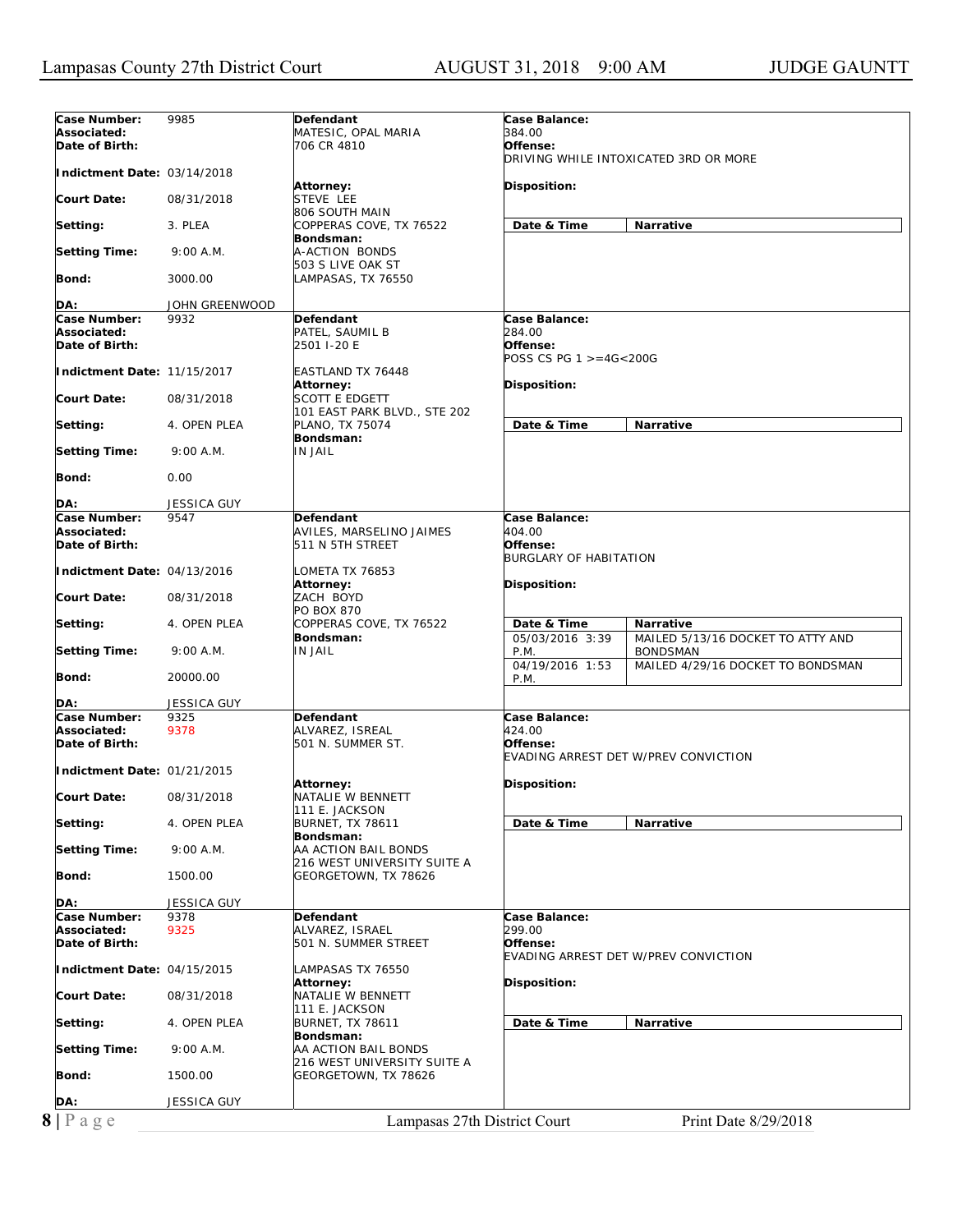| 384.00<br>Associated:<br>MATESIC, OPAL MARIA<br>Date of Birth:<br>706 CR 4810<br>Offense:<br>DRIVING WHILE INTOXICATED 3RD OR MORE<br>Indictment Date: 03/14/2018<br>Disposition:<br>Attorney:<br>STEVE LEE<br>Court Date:<br>08/31/2018<br>806 SOUTH MAIN<br>Date & Time<br>Narrative<br>Setting:<br>3. PLEA<br>COPPERAS COVE, TX 76522<br>Bondsman:<br>A-ACTION BONDS<br><b>Setting Time:</b><br>9:00 A.M.<br>503 S LIVE OAK ST<br>Bond:<br>LAMPASAS, TX 76550<br>3000.00<br>DA:<br>JOHN GREENWOOD<br>Case Number:<br>9932<br><b>Defendant</b><br>Case Balance:<br>284.00<br>Associated:<br>PATEL, SAUMIL B<br>Date of Birth:<br>2501 I-20 E<br>Offense:<br>POSS CS PG $1 > = 4G < 200G$<br>Indictment Date: 11/15/2017<br>EASTLAND TX 76448<br>Disposition:<br>Attorney:<br><b>SCOTT E EDGETT</b><br><b>Court Date:</b><br>08/31/2018<br>101 EAST PARK BLVD., STE 202<br>Date & Time<br>Narrative<br>Setting:<br>PLANO, TX 75074<br>4. OPEN PLEA<br>Bondsman:<br><b>IN JAIL</b><br><b>Setting Time:</b><br>9:00 A.M.<br>Bond:<br>0.00<br>DA:<br>JESSICA GUY<br>Case Number:<br>9547<br>Case Balance:<br>Defendant<br>AVILES, MARSELINO JAIMES<br>404.00<br>Associated:<br>Offense:<br>Date of Birth:<br>511 N 5TH STREET<br><b>BURGLARY OF HABITATION</b><br>Indictment Date: 04/13/2016<br>LOMETA TX 76853<br>Attorney:<br>Disposition:<br>ZACH BOYD<br><b>Court Date:</b><br>08/31/2018<br>PO BOX 870<br>COPPERAS COVE, TX 76522<br>Setting:<br>Date & Time<br>Narrative<br>4. OPEN PLEA<br>05/03/2016 3:39<br>Bondsman:<br>MAILED 5/13/16 DOCKET TO ATTY AND<br><b>IN JAIL</b><br><b>Setting Time:</b><br>9:00 A.M.<br>P.M.<br><b>BONDSMAN</b><br>04/19/2016 1:53<br>MAILED 4/29/16 DOCKET TO BONDSMAN<br>Bond:<br>20000.00<br>P.M.<br>JESSICA GUY<br>DA:<br>Case Number:<br><b>Defendant</b><br>Case Balance:<br>9325<br>424.00<br>Associated:<br>9378<br>ALVAREZ, ISREAL<br>Date of Birth:<br>501 N. SUMMER ST.<br>Offense:<br>EVADING ARREST DET W/PREV CONVICTION<br>Indictment Date: 01/21/2015<br>Disposition:<br>Attorney:<br><b>Court Date:</b><br>08/31/2018<br>NATALIE W BENNETT<br>111 E. JACKSON<br><b>BURNET, TX 78611</b><br>Date & Time<br>Narrative<br>Setting:<br>4. OPEN PLEA<br>Bondsman:<br><b>Setting Time:</b><br>9:00 A.M.<br>AA ACTION BAIL BONDS<br>216 WEST UNIVERSITY SUITE A<br>Bond:<br>1500.00<br>GEORGETOWN, TX 78626<br>DA:<br>JESSICA GUY<br>Case Number:<br><b>Defendant</b><br>Case Balance:<br>9378<br>299.00<br>Associated:<br>9325<br>ALVAREZ, ISRAEL<br>Date of Birth:<br>501 N. SUMMER STREET<br>Offense:<br>EVADING ARREST DET W/PREV CONVICTION<br>Indictment Date: 04/15/2015<br>LAMPASAS TX 76550<br>Disposition:<br>Attorney:<br><b>Court Date:</b><br>NATALIE W BENNETT<br>08/31/2018<br>111 E. JACKSON<br>Date & Time<br>Narrative<br>Setting:<br>4. OPEN PLEA<br><b>BURNET, TX 78611</b><br>Bondsman:<br><b>Setting Time:</b><br>9:00 A.M.<br>AA ACTION BAIL BONDS<br>216 WEST UNIVERSITY SUITE A<br>Bond:<br>1500.00<br>GEORGETOWN, TX 78626<br>DA:<br>JESSICA GUY<br>$8 P \text{ a } g e$<br>Lampasas 27th District Court<br>Print Date 8/29/2018 | Case Number: | 9985 | Defendant | Case Balance: |
|-----------------------------------------------------------------------------------------------------------------------------------------------------------------------------------------------------------------------------------------------------------------------------------------------------------------------------------------------------------------------------------------------------------------------------------------------------------------------------------------------------------------------------------------------------------------------------------------------------------------------------------------------------------------------------------------------------------------------------------------------------------------------------------------------------------------------------------------------------------------------------------------------------------------------------------------------------------------------------------------------------------------------------------------------------------------------------------------------------------------------------------------------------------------------------------------------------------------------------------------------------------------------------------------------------------------------------------------------------------------------------------------------------------------------------------------------------------------------------------------------------------------------------------------------------------------------------------------------------------------------------------------------------------------------------------------------------------------------------------------------------------------------------------------------------------------------------------------------------------------------------------------------------------------------------------------------------------------------------------------------------------------------------------------------------------------------------------------------------------------------------------------------------------------------------------------------------------------------------------------------------------------------------------------------------------------------------------------------------------------------------------------------------------------------------------------------------------------------------------------------------------------------------------------------------------------------------------------------------------------------------------------------------------------------------------------------------------------------------------------------------------------------------------------------------------------------------------------------------------------------------------------------------------------------------------------------------------------------------------------------------------------------------------------------------------------------------------------------------------|--------------|------|-----------|---------------|
|                                                                                                                                                                                                                                                                                                                                                                                                                                                                                                                                                                                                                                                                                                                                                                                                                                                                                                                                                                                                                                                                                                                                                                                                                                                                                                                                                                                                                                                                                                                                                                                                                                                                                                                                                                                                                                                                                                                                                                                                                                                                                                                                                                                                                                                                                                                                                                                                                                                                                                                                                                                                                                                                                                                                                                                                                                                                                                                                                                                                                                                                                                           |              |      |           |               |
|                                                                                                                                                                                                                                                                                                                                                                                                                                                                                                                                                                                                                                                                                                                                                                                                                                                                                                                                                                                                                                                                                                                                                                                                                                                                                                                                                                                                                                                                                                                                                                                                                                                                                                                                                                                                                                                                                                                                                                                                                                                                                                                                                                                                                                                                                                                                                                                                                                                                                                                                                                                                                                                                                                                                                                                                                                                                                                                                                                                                                                                                                                           |              |      |           |               |
|                                                                                                                                                                                                                                                                                                                                                                                                                                                                                                                                                                                                                                                                                                                                                                                                                                                                                                                                                                                                                                                                                                                                                                                                                                                                                                                                                                                                                                                                                                                                                                                                                                                                                                                                                                                                                                                                                                                                                                                                                                                                                                                                                                                                                                                                                                                                                                                                                                                                                                                                                                                                                                                                                                                                                                                                                                                                                                                                                                                                                                                                                                           |              |      |           |               |
|                                                                                                                                                                                                                                                                                                                                                                                                                                                                                                                                                                                                                                                                                                                                                                                                                                                                                                                                                                                                                                                                                                                                                                                                                                                                                                                                                                                                                                                                                                                                                                                                                                                                                                                                                                                                                                                                                                                                                                                                                                                                                                                                                                                                                                                                                                                                                                                                                                                                                                                                                                                                                                                                                                                                                                                                                                                                                                                                                                                                                                                                                                           |              |      |           |               |
|                                                                                                                                                                                                                                                                                                                                                                                                                                                                                                                                                                                                                                                                                                                                                                                                                                                                                                                                                                                                                                                                                                                                                                                                                                                                                                                                                                                                                                                                                                                                                                                                                                                                                                                                                                                                                                                                                                                                                                                                                                                                                                                                                                                                                                                                                                                                                                                                                                                                                                                                                                                                                                                                                                                                                                                                                                                                                                                                                                                                                                                                                                           |              |      |           |               |
|                                                                                                                                                                                                                                                                                                                                                                                                                                                                                                                                                                                                                                                                                                                                                                                                                                                                                                                                                                                                                                                                                                                                                                                                                                                                                                                                                                                                                                                                                                                                                                                                                                                                                                                                                                                                                                                                                                                                                                                                                                                                                                                                                                                                                                                                                                                                                                                                                                                                                                                                                                                                                                                                                                                                                                                                                                                                                                                                                                                                                                                                                                           |              |      |           |               |
|                                                                                                                                                                                                                                                                                                                                                                                                                                                                                                                                                                                                                                                                                                                                                                                                                                                                                                                                                                                                                                                                                                                                                                                                                                                                                                                                                                                                                                                                                                                                                                                                                                                                                                                                                                                                                                                                                                                                                                                                                                                                                                                                                                                                                                                                                                                                                                                                                                                                                                                                                                                                                                                                                                                                                                                                                                                                                                                                                                                                                                                                                                           |              |      |           |               |
|                                                                                                                                                                                                                                                                                                                                                                                                                                                                                                                                                                                                                                                                                                                                                                                                                                                                                                                                                                                                                                                                                                                                                                                                                                                                                                                                                                                                                                                                                                                                                                                                                                                                                                                                                                                                                                                                                                                                                                                                                                                                                                                                                                                                                                                                                                                                                                                                                                                                                                                                                                                                                                                                                                                                                                                                                                                                                                                                                                                                                                                                                                           |              |      |           |               |
|                                                                                                                                                                                                                                                                                                                                                                                                                                                                                                                                                                                                                                                                                                                                                                                                                                                                                                                                                                                                                                                                                                                                                                                                                                                                                                                                                                                                                                                                                                                                                                                                                                                                                                                                                                                                                                                                                                                                                                                                                                                                                                                                                                                                                                                                                                                                                                                                                                                                                                                                                                                                                                                                                                                                                                                                                                                                                                                                                                                                                                                                                                           |              |      |           |               |
|                                                                                                                                                                                                                                                                                                                                                                                                                                                                                                                                                                                                                                                                                                                                                                                                                                                                                                                                                                                                                                                                                                                                                                                                                                                                                                                                                                                                                                                                                                                                                                                                                                                                                                                                                                                                                                                                                                                                                                                                                                                                                                                                                                                                                                                                                                                                                                                                                                                                                                                                                                                                                                                                                                                                                                                                                                                                                                                                                                                                                                                                                                           |              |      |           |               |
|                                                                                                                                                                                                                                                                                                                                                                                                                                                                                                                                                                                                                                                                                                                                                                                                                                                                                                                                                                                                                                                                                                                                                                                                                                                                                                                                                                                                                                                                                                                                                                                                                                                                                                                                                                                                                                                                                                                                                                                                                                                                                                                                                                                                                                                                                                                                                                                                                                                                                                                                                                                                                                                                                                                                                                                                                                                                                                                                                                                                                                                                                                           |              |      |           |               |
|                                                                                                                                                                                                                                                                                                                                                                                                                                                                                                                                                                                                                                                                                                                                                                                                                                                                                                                                                                                                                                                                                                                                                                                                                                                                                                                                                                                                                                                                                                                                                                                                                                                                                                                                                                                                                                                                                                                                                                                                                                                                                                                                                                                                                                                                                                                                                                                                                                                                                                                                                                                                                                                                                                                                                                                                                                                                                                                                                                                                                                                                                                           |              |      |           |               |
|                                                                                                                                                                                                                                                                                                                                                                                                                                                                                                                                                                                                                                                                                                                                                                                                                                                                                                                                                                                                                                                                                                                                                                                                                                                                                                                                                                                                                                                                                                                                                                                                                                                                                                                                                                                                                                                                                                                                                                                                                                                                                                                                                                                                                                                                                                                                                                                                                                                                                                                                                                                                                                                                                                                                                                                                                                                                                                                                                                                                                                                                                                           |              |      |           |               |
|                                                                                                                                                                                                                                                                                                                                                                                                                                                                                                                                                                                                                                                                                                                                                                                                                                                                                                                                                                                                                                                                                                                                                                                                                                                                                                                                                                                                                                                                                                                                                                                                                                                                                                                                                                                                                                                                                                                                                                                                                                                                                                                                                                                                                                                                                                                                                                                                                                                                                                                                                                                                                                                                                                                                                                                                                                                                                                                                                                                                                                                                                                           |              |      |           |               |
|                                                                                                                                                                                                                                                                                                                                                                                                                                                                                                                                                                                                                                                                                                                                                                                                                                                                                                                                                                                                                                                                                                                                                                                                                                                                                                                                                                                                                                                                                                                                                                                                                                                                                                                                                                                                                                                                                                                                                                                                                                                                                                                                                                                                                                                                                                                                                                                                                                                                                                                                                                                                                                                                                                                                                                                                                                                                                                                                                                                                                                                                                                           |              |      |           |               |
|                                                                                                                                                                                                                                                                                                                                                                                                                                                                                                                                                                                                                                                                                                                                                                                                                                                                                                                                                                                                                                                                                                                                                                                                                                                                                                                                                                                                                                                                                                                                                                                                                                                                                                                                                                                                                                                                                                                                                                                                                                                                                                                                                                                                                                                                                                                                                                                                                                                                                                                                                                                                                                                                                                                                                                                                                                                                                                                                                                                                                                                                                                           |              |      |           |               |
|                                                                                                                                                                                                                                                                                                                                                                                                                                                                                                                                                                                                                                                                                                                                                                                                                                                                                                                                                                                                                                                                                                                                                                                                                                                                                                                                                                                                                                                                                                                                                                                                                                                                                                                                                                                                                                                                                                                                                                                                                                                                                                                                                                                                                                                                                                                                                                                                                                                                                                                                                                                                                                                                                                                                                                                                                                                                                                                                                                                                                                                                                                           |              |      |           |               |
|                                                                                                                                                                                                                                                                                                                                                                                                                                                                                                                                                                                                                                                                                                                                                                                                                                                                                                                                                                                                                                                                                                                                                                                                                                                                                                                                                                                                                                                                                                                                                                                                                                                                                                                                                                                                                                                                                                                                                                                                                                                                                                                                                                                                                                                                                                                                                                                                                                                                                                                                                                                                                                                                                                                                                                                                                                                                                                                                                                                                                                                                                                           |              |      |           |               |
|                                                                                                                                                                                                                                                                                                                                                                                                                                                                                                                                                                                                                                                                                                                                                                                                                                                                                                                                                                                                                                                                                                                                                                                                                                                                                                                                                                                                                                                                                                                                                                                                                                                                                                                                                                                                                                                                                                                                                                                                                                                                                                                                                                                                                                                                                                                                                                                                                                                                                                                                                                                                                                                                                                                                                                                                                                                                                                                                                                                                                                                                                                           |              |      |           |               |
|                                                                                                                                                                                                                                                                                                                                                                                                                                                                                                                                                                                                                                                                                                                                                                                                                                                                                                                                                                                                                                                                                                                                                                                                                                                                                                                                                                                                                                                                                                                                                                                                                                                                                                                                                                                                                                                                                                                                                                                                                                                                                                                                                                                                                                                                                                                                                                                                                                                                                                                                                                                                                                                                                                                                                                                                                                                                                                                                                                                                                                                                                                           |              |      |           |               |
|                                                                                                                                                                                                                                                                                                                                                                                                                                                                                                                                                                                                                                                                                                                                                                                                                                                                                                                                                                                                                                                                                                                                                                                                                                                                                                                                                                                                                                                                                                                                                                                                                                                                                                                                                                                                                                                                                                                                                                                                                                                                                                                                                                                                                                                                                                                                                                                                                                                                                                                                                                                                                                                                                                                                                                                                                                                                                                                                                                                                                                                                                                           |              |      |           |               |
|                                                                                                                                                                                                                                                                                                                                                                                                                                                                                                                                                                                                                                                                                                                                                                                                                                                                                                                                                                                                                                                                                                                                                                                                                                                                                                                                                                                                                                                                                                                                                                                                                                                                                                                                                                                                                                                                                                                                                                                                                                                                                                                                                                                                                                                                                                                                                                                                                                                                                                                                                                                                                                                                                                                                                                                                                                                                                                                                                                                                                                                                                                           |              |      |           |               |
|                                                                                                                                                                                                                                                                                                                                                                                                                                                                                                                                                                                                                                                                                                                                                                                                                                                                                                                                                                                                                                                                                                                                                                                                                                                                                                                                                                                                                                                                                                                                                                                                                                                                                                                                                                                                                                                                                                                                                                                                                                                                                                                                                                                                                                                                                                                                                                                                                                                                                                                                                                                                                                                                                                                                                                                                                                                                                                                                                                                                                                                                                                           |              |      |           |               |
|                                                                                                                                                                                                                                                                                                                                                                                                                                                                                                                                                                                                                                                                                                                                                                                                                                                                                                                                                                                                                                                                                                                                                                                                                                                                                                                                                                                                                                                                                                                                                                                                                                                                                                                                                                                                                                                                                                                                                                                                                                                                                                                                                                                                                                                                                                                                                                                                                                                                                                                                                                                                                                                                                                                                                                                                                                                                                                                                                                                                                                                                                                           |              |      |           |               |
|                                                                                                                                                                                                                                                                                                                                                                                                                                                                                                                                                                                                                                                                                                                                                                                                                                                                                                                                                                                                                                                                                                                                                                                                                                                                                                                                                                                                                                                                                                                                                                                                                                                                                                                                                                                                                                                                                                                                                                                                                                                                                                                                                                                                                                                                                                                                                                                                                                                                                                                                                                                                                                                                                                                                                                                                                                                                                                                                                                                                                                                                                                           |              |      |           |               |
|                                                                                                                                                                                                                                                                                                                                                                                                                                                                                                                                                                                                                                                                                                                                                                                                                                                                                                                                                                                                                                                                                                                                                                                                                                                                                                                                                                                                                                                                                                                                                                                                                                                                                                                                                                                                                                                                                                                                                                                                                                                                                                                                                                                                                                                                                                                                                                                                                                                                                                                                                                                                                                                                                                                                                                                                                                                                                                                                                                                                                                                                                                           |              |      |           |               |
|                                                                                                                                                                                                                                                                                                                                                                                                                                                                                                                                                                                                                                                                                                                                                                                                                                                                                                                                                                                                                                                                                                                                                                                                                                                                                                                                                                                                                                                                                                                                                                                                                                                                                                                                                                                                                                                                                                                                                                                                                                                                                                                                                                                                                                                                                                                                                                                                                                                                                                                                                                                                                                                                                                                                                                                                                                                                                                                                                                                                                                                                                                           |              |      |           |               |
|                                                                                                                                                                                                                                                                                                                                                                                                                                                                                                                                                                                                                                                                                                                                                                                                                                                                                                                                                                                                                                                                                                                                                                                                                                                                                                                                                                                                                                                                                                                                                                                                                                                                                                                                                                                                                                                                                                                                                                                                                                                                                                                                                                                                                                                                                                                                                                                                                                                                                                                                                                                                                                                                                                                                                                                                                                                                                                                                                                                                                                                                                                           |              |      |           |               |
|                                                                                                                                                                                                                                                                                                                                                                                                                                                                                                                                                                                                                                                                                                                                                                                                                                                                                                                                                                                                                                                                                                                                                                                                                                                                                                                                                                                                                                                                                                                                                                                                                                                                                                                                                                                                                                                                                                                                                                                                                                                                                                                                                                                                                                                                                                                                                                                                                                                                                                                                                                                                                                                                                                                                                                                                                                                                                                                                                                                                                                                                                                           |              |      |           |               |
|                                                                                                                                                                                                                                                                                                                                                                                                                                                                                                                                                                                                                                                                                                                                                                                                                                                                                                                                                                                                                                                                                                                                                                                                                                                                                                                                                                                                                                                                                                                                                                                                                                                                                                                                                                                                                                                                                                                                                                                                                                                                                                                                                                                                                                                                                                                                                                                                                                                                                                                                                                                                                                                                                                                                                                                                                                                                                                                                                                                                                                                                                                           |              |      |           |               |
|                                                                                                                                                                                                                                                                                                                                                                                                                                                                                                                                                                                                                                                                                                                                                                                                                                                                                                                                                                                                                                                                                                                                                                                                                                                                                                                                                                                                                                                                                                                                                                                                                                                                                                                                                                                                                                                                                                                                                                                                                                                                                                                                                                                                                                                                                                                                                                                                                                                                                                                                                                                                                                                                                                                                                                                                                                                                                                                                                                                                                                                                                                           |              |      |           |               |
|                                                                                                                                                                                                                                                                                                                                                                                                                                                                                                                                                                                                                                                                                                                                                                                                                                                                                                                                                                                                                                                                                                                                                                                                                                                                                                                                                                                                                                                                                                                                                                                                                                                                                                                                                                                                                                                                                                                                                                                                                                                                                                                                                                                                                                                                                                                                                                                                                                                                                                                                                                                                                                                                                                                                                                                                                                                                                                                                                                                                                                                                                                           |              |      |           |               |
|                                                                                                                                                                                                                                                                                                                                                                                                                                                                                                                                                                                                                                                                                                                                                                                                                                                                                                                                                                                                                                                                                                                                                                                                                                                                                                                                                                                                                                                                                                                                                                                                                                                                                                                                                                                                                                                                                                                                                                                                                                                                                                                                                                                                                                                                                                                                                                                                                                                                                                                                                                                                                                                                                                                                                                                                                                                                                                                                                                                                                                                                                                           |              |      |           |               |
|                                                                                                                                                                                                                                                                                                                                                                                                                                                                                                                                                                                                                                                                                                                                                                                                                                                                                                                                                                                                                                                                                                                                                                                                                                                                                                                                                                                                                                                                                                                                                                                                                                                                                                                                                                                                                                                                                                                                                                                                                                                                                                                                                                                                                                                                                                                                                                                                                                                                                                                                                                                                                                                                                                                                                                                                                                                                                                                                                                                                                                                                                                           |              |      |           |               |
|                                                                                                                                                                                                                                                                                                                                                                                                                                                                                                                                                                                                                                                                                                                                                                                                                                                                                                                                                                                                                                                                                                                                                                                                                                                                                                                                                                                                                                                                                                                                                                                                                                                                                                                                                                                                                                                                                                                                                                                                                                                                                                                                                                                                                                                                                                                                                                                                                                                                                                                                                                                                                                                                                                                                                                                                                                                                                                                                                                                                                                                                                                           |              |      |           |               |
|                                                                                                                                                                                                                                                                                                                                                                                                                                                                                                                                                                                                                                                                                                                                                                                                                                                                                                                                                                                                                                                                                                                                                                                                                                                                                                                                                                                                                                                                                                                                                                                                                                                                                                                                                                                                                                                                                                                                                                                                                                                                                                                                                                                                                                                                                                                                                                                                                                                                                                                                                                                                                                                                                                                                                                                                                                                                                                                                                                                                                                                                                                           |              |      |           |               |
|                                                                                                                                                                                                                                                                                                                                                                                                                                                                                                                                                                                                                                                                                                                                                                                                                                                                                                                                                                                                                                                                                                                                                                                                                                                                                                                                                                                                                                                                                                                                                                                                                                                                                                                                                                                                                                                                                                                                                                                                                                                                                                                                                                                                                                                                                                                                                                                                                                                                                                                                                                                                                                                                                                                                                                                                                                                                                                                                                                                                                                                                                                           |              |      |           |               |
|                                                                                                                                                                                                                                                                                                                                                                                                                                                                                                                                                                                                                                                                                                                                                                                                                                                                                                                                                                                                                                                                                                                                                                                                                                                                                                                                                                                                                                                                                                                                                                                                                                                                                                                                                                                                                                                                                                                                                                                                                                                                                                                                                                                                                                                                                                                                                                                                                                                                                                                                                                                                                                                                                                                                                                                                                                                                                                                                                                                                                                                                                                           |              |      |           |               |
|                                                                                                                                                                                                                                                                                                                                                                                                                                                                                                                                                                                                                                                                                                                                                                                                                                                                                                                                                                                                                                                                                                                                                                                                                                                                                                                                                                                                                                                                                                                                                                                                                                                                                                                                                                                                                                                                                                                                                                                                                                                                                                                                                                                                                                                                                                                                                                                                                                                                                                                                                                                                                                                                                                                                                                                                                                                                                                                                                                                                                                                                                                           |              |      |           |               |
|                                                                                                                                                                                                                                                                                                                                                                                                                                                                                                                                                                                                                                                                                                                                                                                                                                                                                                                                                                                                                                                                                                                                                                                                                                                                                                                                                                                                                                                                                                                                                                                                                                                                                                                                                                                                                                                                                                                                                                                                                                                                                                                                                                                                                                                                                                                                                                                                                                                                                                                                                                                                                                                                                                                                                                                                                                                                                                                                                                                                                                                                                                           |              |      |           |               |
|                                                                                                                                                                                                                                                                                                                                                                                                                                                                                                                                                                                                                                                                                                                                                                                                                                                                                                                                                                                                                                                                                                                                                                                                                                                                                                                                                                                                                                                                                                                                                                                                                                                                                                                                                                                                                                                                                                                                                                                                                                                                                                                                                                                                                                                                                                                                                                                                                                                                                                                                                                                                                                                                                                                                                                                                                                                                                                                                                                                                                                                                                                           |              |      |           |               |
|                                                                                                                                                                                                                                                                                                                                                                                                                                                                                                                                                                                                                                                                                                                                                                                                                                                                                                                                                                                                                                                                                                                                                                                                                                                                                                                                                                                                                                                                                                                                                                                                                                                                                                                                                                                                                                                                                                                                                                                                                                                                                                                                                                                                                                                                                                                                                                                                                                                                                                                                                                                                                                                                                                                                                                                                                                                                                                                                                                                                                                                                                                           |              |      |           |               |
|                                                                                                                                                                                                                                                                                                                                                                                                                                                                                                                                                                                                                                                                                                                                                                                                                                                                                                                                                                                                                                                                                                                                                                                                                                                                                                                                                                                                                                                                                                                                                                                                                                                                                                                                                                                                                                                                                                                                                                                                                                                                                                                                                                                                                                                                                                                                                                                                                                                                                                                                                                                                                                                                                                                                                                                                                                                                                                                                                                                                                                                                                                           |              |      |           |               |
|                                                                                                                                                                                                                                                                                                                                                                                                                                                                                                                                                                                                                                                                                                                                                                                                                                                                                                                                                                                                                                                                                                                                                                                                                                                                                                                                                                                                                                                                                                                                                                                                                                                                                                                                                                                                                                                                                                                                                                                                                                                                                                                                                                                                                                                                                                                                                                                                                                                                                                                                                                                                                                                                                                                                                                                                                                                                                                                                                                                                                                                                                                           |              |      |           |               |
|                                                                                                                                                                                                                                                                                                                                                                                                                                                                                                                                                                                                                                                                                                                                                                                                                                                                                                                                                                                                                                                                                                                                                                                                                                                                                                                                                                                                                                                                                                                                                                                                                                                                                                                                                                                                                                                                                                                                                                                                                                                                                                                                                                                                                                                                                                                                                                                                                                                                                                                                                                                                                                                                                                                                                                                                                                                                                                                                                                                                                                                                                                           |              |      |           |               |
|                                                                                                                                                                                                                                                                                                                                                                                                                                                                                                                                                                                                                                                                                                                                                                                                                                                                                                                                                                                                                                                                                                                                                                                                                                                                                                                                                                                                                                                                                                                                                                                                                                                                                                                                                                                                                                                                                                                                                                                                                                                                                                                                                                                                                                                                                                                                                                                                                                                                                                                                                                                                                                                                                                                                                                                                                                                                                                                                                                                                                                                                                                           |              |      |           |               |
|                                                                                                                                                                                                                                                                                                                                                                                                                                                                                                                                                                                                                                                                                                                                                                                                                                                                                                                                                                                                                                                                                                                                                                                                                                                                                                                                                                                                                                                                                                                                                                                                                                                                                                                                                                                                                                                                                                                                                                                                                                                                                                                                                                                                                                                                                                                                                                                                                                                                                                                                                                                                                                                                                                                                                                                                                                                                                                                                                                                                                                                                                                           |              |      |           |               |
|                                                                                                                                                                                                                                                                                                                                                                                                                                                                                                                                                                                                                                                                                                                                                                                                                                                                                                                                                                                                                                                                                                                                                                                                                                                                                                                                                                                                                                                                                                                                                                                                                                                                                                                                                                                                                                                                                                                                                                                                                                                                                                                                                                                                                                                                                                                                                                                                                                                                                                                                                                                                                                                                                                                                                                                                                                                                                                                                                                                                                                                                                                           |              |      |           |               |
|                                                                                                                                                                                                                                                                                                                                                                                                                                                                                                                                                                                                                                                                                                                                                                                                                                                                                                                                                                                                                                                                                                                                                                                                                                                                                                                                                                                                                                                                                                                                                                                                                                                                                                                                                                                                                                                                                                                                                                                                                                                                                                                                                                                                                                                                                                                                                                                                                                                                                                                                                                                                                                                                                                                                                                                                                                                                                                                                                                                                                                                                                                           |              |      |           |               |
|                                                                                                                                                                                                                                                                                                                                                                                                                                                                                                                                                                                                                                                                                                                                                                                                                                                                                                                                                                                                                                                                                                                                                                                                                                                                                                                                                                                                                                                                                                                                                                                                                                                                                                                                                                                                                                                                                                                                                                                                                                                                                                                                                                                                                                                                                                                                                                                                                                                                                                                                                                                                                                                                                                                                                                                                                                                                                                                                                                                                                                                                                                           |              |      |           |               |
|                                                                                                                                                                                                                                                                                                                                                                                                                                                                                                                                                                                                                                                                                                                                                                                                                                                                                                                                                                                                                                                                                                                                                                                                                                                                                                                                                                                                                                                                                                                                                                                                                                                                                                                                                                                                                                                                                                                                                                                                                                                                                                                                                                                                                                                                                                                                                                                                                                                                                                                                                                                                                                                                                                                                                                                                                                                                                                                                                                                                                                                                                                           |              |      |           |               |
|                                                                                                                                                                                                                                                                                                                                                                                                                                                                                                                                                                                                                                                                                                                                                                                                                                                                                                                                                                                                                                                                                                                                                                                                                                                                                                                                                                                                                                                                                                                                                                                                                                                                                                                                                                                                                                                                                                                                                                                                                                                                                                                                                                                                                                                                                                                                                                                                                                                                                                                                                                                                                                                                                                                                                                                                                                                                                                                                                                                                                                                                                                           |              |      |           |               |
|                                                                                                                                                                                                                                                                                                                                                                                                                                                                                                                                                                                                                                                                                                                                                                                                                                                                                                                                                                                                                                                                                                                                                                                                                                                                                                                                                                                                                                                                                                                                                                                                                                                                                                                                                                                                                                                                                                                                                                                                                                                                                                                                                                                                                                                                                                                                                                                                                                                                                                                                                                                                                                                                                                                                                                                                                                                                                                                                                                                                                                                                                                           |              |      |           |               |
|                                                                                                                                                                                                                                                                                                                                                                                                                                                                                                                                                                                                                                                                                                                                                                                                                                                                                                                                                                                                                                                                                                                                                                                                                                                                                                                                                                                                                                                                                                                                                                                                                                                                                                                                                                                                                                                                                                                                                                                                                                                                                                                                                                                                                                                                                                                                                                                                                                                                                                                                                                                                                                                                                                                                                                                                                                                                                                                                                                                                                                                                                                           |              |      |           |               |
|                                                                                                                                                                                                                                                                                                                                                                                                                                                                                                                                                                                                                                                                                                                                                                                                                                                                                                                                                                                                                                                                                                                                                                                                                                                                                                                                                                                                                                                                                                                                                                                                                                                                                                                                                                                                                                                                                                                                                                                                                                                                                                                                                                                                                                                                                                                                                                                                                                                                                                                                                                                                                                                                                                                                                                                                                                                                                                                                                                                                                                                                                                           |              |      |           |               |
|                                                                                                                                                                                                                                                                                                                                                                                                                                                                                                                                                                                                                                                                                                                                                                                                                                                                                                                                                                                                                                                                                                                                                                                                                                                                                                                                                                                                                                                                                                                                                                                                                                                                                                                                                                                                                                                                                                                                                                                                                                                                                                                                                                                                                                                                                                                                                                                                                                                                                                                                                                                                                                                                                                                                                                                                                                                                                                                                                                                                                                                                                                           |              |      |           |               |
|                                                                                                                                                                                                                                                                                                                                                                                                                                                                                                                                                                                                                                                                                                                                                                                                                                                                                                                                                                                                                                                                                                                                                                                                                                                                                                                                                                                                                                                                                                                                                                                                                                                                                                                                                                                                                                                                                                                                                                                                                                                                                                                                                                                                                                                                                                                                                                                                                                                                                                                                                                                                                                                                                                                                                                                                                                                                                                                                                                                                                                                                                                           |              |      |           |               |
|                                                                                                                                                                                                                                                                                                                                                                                                                                                                                                                                                                                                                                                                                                                                                                                                                                                                                                                                                                                                                                                                                                                                                                                                                                                                                                                                                                                                                                                                                                                                                                                                                                                                                                                                                                                                                                                                                                                                                                                                                                                                                                                                                                                                                                                                                                                                                                                                                                                                                                                                                                                                                                                                                                                                                                                                                                                                                                                                                                                                                                                                                                           |              |      |           |               |
|                                                                                                                                                                                                                                                                                                                                                                                                                                                                                                                                                                                                                                                                                                                                                                                                                                                                                                                                                                                                                                                                                                                                                                                                                                                                                                                                                                                                                                                                                                                                                                                                                                                                                                                                                                                                                                                                                                                                                                                                                                                                                                                                                                                                                                                                                                                                                                                                                                                                                                                                                                                                                                                                                                                                                                                                                                                                                                                                                                                                                                                                                                           |              |      |           |               |
|                                                                                                                                                                                                                                                                                                                                                                                                                                                                                                                                                                                                                                                                                                                                                                                                                                                                                                                                                                                                                                                                                                                                                                                                                                                                                                                                                                                                                                                                                                                                                                                                                                                                                                                                                                                                                                                                                                                                                                                                                                                                                                                                                                                                                                                                                                                                                                                                                                                                                                                                                                                                                                                                                                                                                                                                                                                                                                                                                                                                                                                                                                           |              |      |           |               |
|                                                                                                                                                                                                                                                                                                                                                                                                                                                                                                                                                                                                                                                                                                                                                                                                                                                                                                                                                                                                                                                                                                                                                                                                                                                                                                                                                                                                                                                                                                                                                                                                                                                                                                                                                                                                                                                                                                                                                                                                                                                                                                                                                                                                                                                                                                                                                                                                                                                                                                                                                                                                                                                                                                                                                                                                                                                                                                                                                                                                                                                                                                           |              |      |           |               |
|                                                                                                                                                                                                                                                                                                                                                                                                                                                                                                                                                                                                                                                                                                                                                                                                                                                                                                                                                                                                                                                                                                                                                                                                                                                                                                                                                                                                                                                                                                                                                                                                                                                                                                                                                                                                                                                                                                                                                                                                                                                                                                                                                                                                                                                                                                                                                                                                                                                                                                                                                                                                                                                                                                                                                                                                                                                                                                                                                                                                                                                                                                           |              |      |           |               |
|                                                                                                                                                                                                                                                                                                                                                                                                                                                                                                                                                                                                                                                                                                                                                                                                                                                                                                                                                                                                                                                                                                                                                                                                                                                                                                                                                                                                                                                                                                                                                                                                                                                                                                                                                                                                                                                                                                                                                                                                                                                                                                                                                                                                                                                                                                                                                                                                                                                                                                                                                                                                                                                                                                                                                                                                                                                                                                                                                                                                                                                                                                           |              |      |           |               |
|                                                                                                                                                                                                                                                                                                                                                                                                                                                                                                                                                                                                                                                                                                                                                                                                                                                                                                                                                                                                                                                                                                                                                                                                                                                                                                                                                                                                                                                                                                                                                                                                                                                                                                                                                                                                                                                                                                                                                                                                                                                                                                                                                                                                                                                                                                                                                                                                                                                                                                                                                                                                                                                                                                                                                                                                                                                                                                                                                                                                                                                                                                           |              |      |           |               |
|                                                                                                                                                                                                                                                                                                                                                                                                                                                                                                                                                                                                                                                                                                                                                                                                                                                                                                                                                                                                                                                                                                                                                                                                                                                                                                                                                                                                                                                                                                                                                                                                                                                                                                                                                                                                                                                                                                                                                                                                                                                                                                                                                                                                                                                                                                                                                                                                                                                                                                                                                                                                                                                                                                                                                                                                                                                                                                                                                                                                                                                                                                           |              |      |           |               |
|                                                                                                                                                                                                                                                                                                                                                                                                                                                                                                                                                                                                                                                                                                                                                                                                                                                                                                                                                                                                                                                                                                                                                                                                                                                                                                                                                                                                                                                                                                                                                                                                                                                                                                                                                                                                                                                                                                                                                                                                                                                                                                                                                                                                                                                                                                                                                                                                                                                                                                                                                                                                                                                                                                                                                                                                                                                                                                                                                                                                                                                                                                           |              |      |           |               |
|                                                                                                                                                                                                                                                                                                                                                                                                                                                                                                                                                                                                                                                                                                                                                                                                                                                                                                                                                                                                                                                                                                                                                                                                                                                                                                                                                                                                                                                                                                                                                                                                                                                                                                                                                                                                                                                                                                                                                                                                                                                                                                                                                                                                                                                                                                                                                                                                                                                                                                                                                                                                                                                                                                                                                                                                                                                                                                                                                                                                                                                                                                           |              |      |           |               |
|                                                                                                                                                                                                                                                                                                                                                                                                                                                                                                                                                                                                                                                                                                                                                                                                                                                                                                                                                                                                                                                                                                                                                                                                                                                                                                                                                                                                                                                                                                                                                                                                                                                                                                                                                                                                                                                                                                                                                                                                                                                                                                                                                                                                                                                                                                                                                                                                                                                                                                                                                                                                                                                                                                                                                                                                                                                                                                                                                                                                                                                                                                           |              |      |           |               |
|                                                                                                                                                                                                                                                                                                                                                                                                                                                                                                                                                                                                                                                                                                                                                                                                                                                                                                                                                                                                                                                                                                                                                                                                                                                                                                                                                                                                                                                                                                                                                                                                                                                                                                                                                                                                                                                                                                                                                                                                                                                                                                                                                                                                                                                                                                                                                                                                                                                                                                                                                                                                                                                                                                                                                                                                                                                                                                                                                                                                                                                                                                           |              |      |           |               |
|                                                                                                                                                                                                                                                                                                                                                                                                                                                                                                                                                                                                                                                                                                                                                                                                                                                                                                                                                                                                                                                                                                                                                                                                                                                                                                                                                                                                                                                                                                                                                                                                                                                                                                                                                                                                                                                                                                                                                                                                                                                                                                                                                                                                                                                                                                                                                                                                                                                                                                                                                                                                                                                                                                                                                                                                                                                                                                                                                                                                                                                                                                           |              |      |           |               |
|                                                                                                                                                                                                                                                                                                                                                                                                                                                                                                                                                                                                                                                                                                                                                                                                                                                                                                                                                                                                                                                                                                                                                                                                                                                                                                                                                                                                                                                                                                                                                                                                                                                                                                                                                                                                                                                                                                                                                                                                                                                                                                                                                                                                                                                                                                                                                                                                                                                                                                                                                                                                                                                                                                                                                                                                                                                                                                                                                                                                                                                                                                           |              |      |           |               |
|                                                                                                                                                                                                                                                                                                                                                                                                                                                                                                                                                                                                                                                                                                                                                                                                                                                                                                                                                                                                                                                                                                                                                                                                                                                                                                                                                                                                                                                                                                                                                                                                                                                                                                                                                                                                                                                                                                                                                                                                                                                                                                                                                                                                                                                                                                                                                                                                                                                                                                                                                                                                                                                                                                                                                                                                                                                                                                                                                                                                                                                                                                           |              |      |           |               |
|                                                                                                                                                                                                                                                                                                                                                                                                                                                                                                                                                                                                                                                                                                                                                                                                                                                                                                                                                                                                                                                                                                                                                                                                                                                                                                                                                                                                                                                                                                                                                                                                                                                                                                                                                                                                                                                                                                                                                                                                                                                                                                                                                                                                                                                                                                                                                                                                                                                                                                                                                                                                                                                                                                                                                                                                                                                                                                                                                                                                                                                                                                           |              |      |           |               |
|                                                                                                                                                                                                                                                                                                                                                                                                                                                                                                                                                                                                                                                                                                                                                                                                                                                                                                                                                                                                                                                                                                                                                                                                                                                                                                                                                                                                                                                                                                                                                                                                                                                                                                                                                                                                                                                                                                                                                                                                                                                                                                                                                                                                                                                                                                                                                                                                                                                                                                                                                                                                                                                                                                                                                                                                                                                                                                                                                                                                                                                                                                           |              |      |           |               |
|                                                                                                                                                                                                                                                                                                                                                                                                                                                                                                                                                                                                                                                                                                                                                                                                                                                                                                                                                                                                                                                                                                                                                                                                                                                                                                                                                                                                                                                                                                                                                                                                                                                                                                                                                                                                                                                                                                                                                                                                                                                                                                                                                                                                                                                                                                                                                                                                                                                                                                                                                                                                                                                                                                                                                                                                                                                                                                                                                                                                                                                                                                           |              |      |           |               |
|                                                                                                                                                                                                                                                                                                                                                                                                                                                                                                                                                                                                                                                                                                                                                                                                                                                                                                                                                                                                                                                                                                                                                                                                                                                                                                                                                                                                                                                                                                                                                                                                                                                                                                                                                                                                                                                                                                                                                                                                                                                                                                                                                                                                                                                                                                                                                                                                                                                                                                                                                                                                                                                                                                                                                                                                                                                                                                                                                                                                                                                                                                           |              |      |           |               |
|                                                                                                                                                                                                                                                                                                                                                                                                                                                                                                                                                                                                                                                                                                                                                                                                                                                                                                                                                                                                                                                                                                                                                                                                                                                                                                                                                                                                                                                                                                                                                                                                                                                                                                                                                                                                                                                                                                                                                                                                                                                                                                                                                                                                                                                                                                                                                                                                                                                                                                                                                                                                                                                                                                                                                                                                                                                                                                                                                                                                                                                                                                           |              |      |           |               |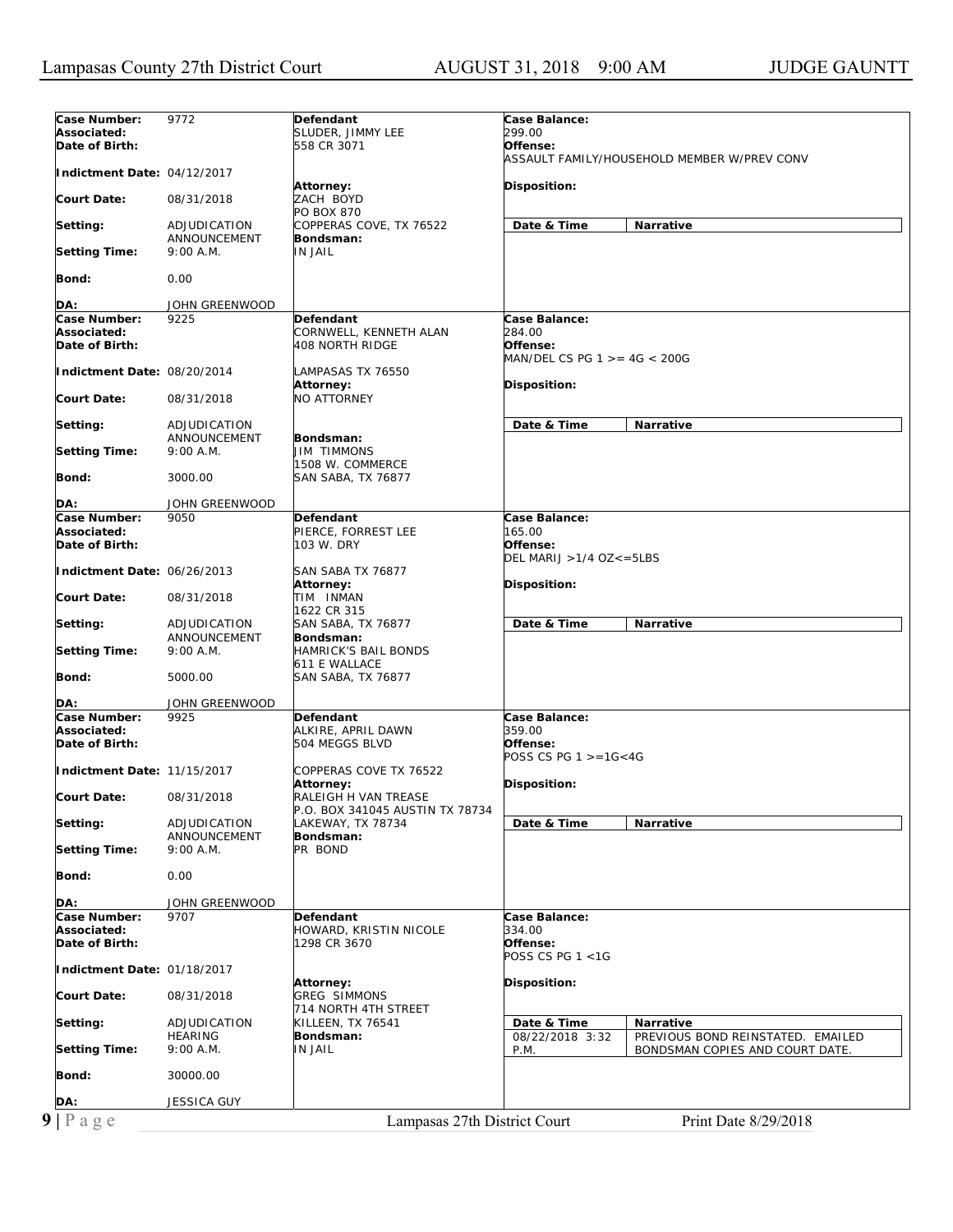| Case Number:<br>Associated:<br>Date of Birth: | 9772                         | Defendant<br>SLUDER, JIMMY LEE<br>558 CR 3071 | Case Balance:<br><i>299.00</i><br>Offense:                                                      |
|-----------------------------------------------|------------------------------|-----------------------------------------------|-------------------------------------------------------------------------------------------------|
| Indictment Date: 04/12/2017                   |                              |                                               | ASSAULT FAMILY/HOUSEHOLD MEMBER W/PREV CONV                                                     |
| <b>Court Date:</b>                            | 08/31/2018                   | Attorney:<br>ZACH BOYD                        | Disposition:                                                                                    |
|                                               |                              | <b>PO BOX 870</b>                             | Narrative                                                                                       |
| Setting:                                      | ADJUDICATION<br>ANNOUNCEMENT | COPPERAS COVE, TX 76522<br>Bondsman:          | Date & Time                                                                                     |
| <b>Setting Time:</b>                          | 9:00 A.M.                    | IN JAIL                                       |                                                                                                 |
| Bond:                                         | 0.00                         |                                               |                                                                                                 |
| DA:                                           | JOHN GREENWOOD               |                                               |                                                                                                 |
| Case Number:                                  | 9225                         | <b>Defendant</b>                              | Case Balance:                                                                                   |
| Associated:<br>Date of Birth:                 |                              | CORNWELL, KENNETH ALAN<br>408 NORTH RIDGE     | 284.00<br>Offense:                                                                              |
|                                               |                              |                                               | MAN/DEL CS PG 1 >= 4G < 200G                                                                    |
| Indictment Date: 08/20/2014                   |                              | LAMPASAS TX 76550                             |                                                                                                 |
|                                               |                              | <b>Attorney:</b>                              | Disposition:                                                                                    |
| <b>Court Date:</b>                            | 08/31/2018                   | NO ATTORNEY                                   |                                                                                                 |
| Setting:                                      | ADJUDICATION                 |                                               | Date & Time<br>Narrative                                                                        |
| <b>Setting Time:</b>                          | ANNOUNCEMENT<br>9:00 A.M.    | Bondsman:<br>JIM TIMMONS                      |                                                                                                 |
| Bond:                                         | 3000.00                      | 1508 W. COMMERCE<br>SAN SABA, TX 76877        |                                                                                                 |
|                                               |                              |                                               |                                                                                                 |
| DA:<br>Case Number:                           | JOHN GREENWOOD<br>9050       | <b>Defendant</b>                              |                                                                                                 |
| Associated:                                   |                              | PIERCE, FORREST LEE                           | <b>Case Balance:</b><br>165.00                                                                  |
| Date of Birth:                                |                              | 103 W. DRY                                    | Offense:<br>DEL MARIJ > 1/4 OZ<=5LBS                                                            |
| Indictment Date: 06/26/2013                   |                              | SAN SABA TX 76877                             |                                                                                                 |
| <b>Court Date:</b>                            | 08/31/2018                   | Attorney:<br>TIM INMAN<br>1622 CR 315         | Disposition:                                                                                    |
| Setting:                                      | ADJUDICATION<br>ANNOUNCEMENT | SAN SABA, TX 76877<br>Bondsman:               | Date & Time<br><b>Narrative</b>                                                                 |
|                                               |                              |                                               |                                                                                                 |
| <b>Setting Time:</b>                          | 9:00 A.M.                    | HAMRICK'S BAIL BONDS                          |                                                                                                 |
| Bond:                                         | 5000.00                      | 611 E WALLACE<br>SAN SABA, TX 76877           |                                                                                                 |
| DA:                                           | JOHN GREENWOOD               |                                               |                                                                                                 |
| Case Number:                                  | 9925                         | Defendant                                     | Case Balance:                                                                                   |
| Associated:<br>Date of Birth:                 |                              | ALKIRE, APRIL DAWN<br>504 MEGGS BLVD          | 359.00<br>Offense:                                                                              |
| Indictment Date: 11/15/2017                   |                              | COPPERAS COVE TX 76522                        | POSS CS PG $1 > = 16 < 4G$                                                                      |
| <b>Court Date:</b>                            | 08/31/2018                   | <b>Attorney:</b><br>RALEIGH H VAN TREASE      | Disposition:                                                                                    |
|                                               |                              | P.O. BOX 341045 AUSTIN TX 78734               |                                                                                                 |
| Setting:                                      | ADJUDICATION<br>ANNOUNCEMENT | LAKEWAY, TX 78734<br>Bondsman:                | Date & Time<br>Narrative                                                                        |
| <b>Setting Time:</b>                          | 9:00 A.M.                    | PR BOND                                       |                                                                                                 |
| Bond:                                         | 0.00                         |                                               |                                                                                                 |
| DA:                                           | JOHN GREENWOOD               |                                               |                                                                                                 |
| Case Number:                                  | 9707                         | Defendant                                     | Case Balance:                                                                                   |
| Associated:<br>Date of Birth:                 |                              | HOWARD, KRISTIN NICOLE<br>1298 CR 3670        | 334.00<br>Offense:                                                                              |
| Indictment Date: 01/18/2017                   |                              |                                               | POSS CS PG 1 <1G                                                                                |
| <b>Court Date:</b>                            | 08/31/2018                   | Attorney:<br><b>GREG SIMMONS</b>              | Disposition:                                                                                    |
| Setting:                                      | ADJUDICATION                 | 714 NORTH 4TH STREET<br>KILLEEN, TX 76541     | Date & Time<br>Narrative                                                                        |
| <b>Setting Time:</b>                          | <b>HEARING</b><br>9:00 A.M.  | Bondsman:<br>IN JAIL                          | 08/22/2018 3:32<br>PREVIOUS BOND REINSTATED. EMAILED<br>P.M.<br>BONDSMAN COPIES AND COURT DATE. |
| Bond:                                         | 30000.00                     |                                               |                                                                                                 |
| DA:                                           | JESSICA GUY                  |                                               |                                                                                                 |